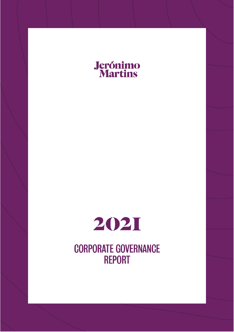



**CORPORATE GOVERNANCE REPORT**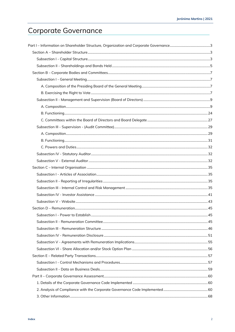# Corporate Governance

| Part I – Information on Shareholder Structure, Organization and Corporate Governance…………………………………………3 |  |
|-------------------------------------------------------------------------------------------------------|--|
|                                                                                                       |  |
|                                                                                                       |  |
|                                                                                                       |  |
|                                                                                                       |  |
|                                                                                                       |  |
|                                                                                                       |  |
|                                                                                                       |  |
|                                                                                                       |  |
|                                                                                                       |  |
|                                                                                                       |  |
|                                                                                                       |  |
|                                                                                                       |  |
|                                                                                                       |  |
|                                                                                                       |  |
|                                                                                                       |  |
|                                                                                                       |  |
|                                                                                                       |  |
|                                                                                                       |  |
|                                                                                                       |  |
|                                                                                                       |  |
|                                                                                                       |  |
|                                                                                                       |  |
|                                                                                                       |  |
|                                                                                                       |  |
|                                                                                                       |  |
|                                                                                                       |  |
|                                                                                                       |  |
|                                                                                                       |  |
|                                                                                                       |  |
|                                                                                                       |  |
|                                                                                                       |  |
|                                                                                                       |  |
|                                                                                                       |  |
|                                                                                                       |  |
|                                                                                                       |  |
|                                                                                                       |  |
|                                                                                                       |  |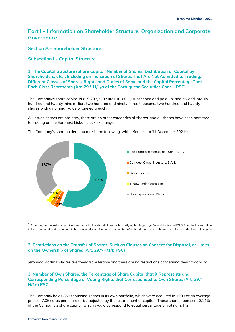# <span id="page-2-0"></span>**Part I – Information on Shareholder Structure, Organization and Corporate Governance**

<span id="page-2-1"></span>**Section A – Shareholder Structure**

# <span id="page-2-2"></span>**Subsection I - Capital Structure**

**1. The Capital Structure (Share Capital, Number of Shares, Distribution of Capital by Shareholders, etc.), Including an Indication of Shares That Are Not Admitted to Trading, Different Classes of Shares, Rights and Duties of Same and the Capital Percentage That Each Class Represents (Art. 29.º-H/1/a of the Portuguese Securities Code - PSC)**

The Company's share capital is 629,293,220 euros. It is fully subscribed and paid up, and divided into six hundred and twenty-nine million, two hundred and ninety-three thousand, two hundred and twenty shares with a nominal value of one euro each.

All issued shares are ordinary, there are no other categories of shares, and all shares have been admitted to trading on the Euronext Lisbon stock exchange.



The Company's shareholder structure is the following, with reference to 31 December 2021\*:

\* According to the last communications made by the shareholders with qualifying holdings to Jerónimo Martins, SGPS, S.A. up to the said date, being assumed that the number of shares owned is equivalent to the number of voting rights, unless otherwise disclosed to the issuer. See, point 7.

# **2. Restrictions on the Transfer of Shares, Such as Clauses on Consent for Disposal, or Limits on the Ownership of Shares (Art. 29.º-H/1/b PSC)**

Jerónimo Martins' shares are freely transferable and there are no restrictions concerning their tradability.

# **3. Number of Own Shares, the Percentage of Share Capital that it Represents and Corresponding Percentage of Voting Rights that Corresponded to Own Shares (Art. 29.º-H/1/a PSC)**

The Company holds 859 thousand shares in its own portfolio, which were acquired in 1999 at an average price of 7.06 euros per share (price adjusted by the restatement of capital). These shares represent 0.14% of the Company's share capital, which would correspond to equal percentage of voting rights.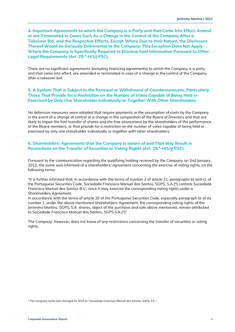**4. Important Agreements to which the Company is a Party and that Come Into Effect, Amend or are Terminated in Cases Such As a Change in the Control of the Company After a Takeover Bid, and the Respective Effects, Except Where Due to their Nature, the Disclosure Thereof Would be Seriously Detrimental to the Company; This Exception Does Not Apply Where the Company is Specifically Required to Disclose Said Information Pursuant to Other Legal Requirements (Art. 29.º-H/1/j PSC)**

There are no significant agreements (including financing agreements) to which the Company is a party and that come into effect, are amended or terminated in case of a change in the control of the Company after a takeover bid.

# **5. A System That is Subject to the Renewal or Withdrawal of Countermeasures, Particularly Those That Provide for a Restriction on the Number of Votes Capable of Being Held or Exercised by Only One Shareholder Individually or Together With Other Shareholders**

No defensive measures were adopted that require payments or the assumption of costs by the Company in the event of a change of control or a change in the composition of the Board of Directors and that are likely to impair the free transfer of shares and the free assessment by the shareholders of the performance of the Board members, or that provide for a restriction on the number of votes capable of being held or exercised by only one shareholder individually or together with other shareholders.

# **6. Shareholders' Agreements that the Company is aware of and That May Result in Restrictions on the Transfer of Securities or Voting Rights (Art. 29.º-H/1/g PSC)**

Pursuant to the communication regarding the qualifying holding received by the Company on 2nd January, 2012, the same was informed of a shareholders' agreement concerning the exercise of voting rights, on the following terms:

"It is further informed that, in accordance with the terms of number 2 of article 21, paragraphs b) and c), of the Portuguese Securities Code, Sociedade Francisco Manuel dos Santos, SGPS, S.A.[\*] controls Sociedade Francisco Manuel dos Santos B.V., since it may exercise the corresponding voting rights under a Shareholders Agreement.

In accordance with the terms of article 20 of the Portuguese Securities Code, especially paragraph b) of its number 1, under the above mentioned Shareholders Agreement, the corresponding voting rights of the Jerónimo Martins, SGPS, S.A. shares, object of the purchase and sale above mentioned, remain attributed to Sociedade Francisco Manuel dos Santos, SGPS S.A.[\*]".

The Company, however, does not know of any restrictions concerning the transfer of securities or voting rights.

\* The company name was changed on 2015 to "Sociedade Francisco Manuel dos Santos, SGPS, S.E.".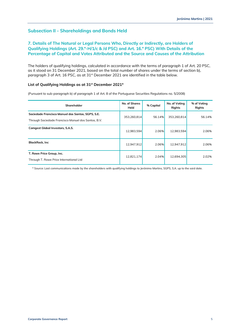# <span id="page-4-0"></span>**Subsection II - Shareholdings and Bonds Held**

# **7. Details of The Natural or Legal Persons Who, Directly or Indirectly, are Holders of Qualifying Holdings (Art. 29.º-H/1/c & /d PSC) and Art. 16.º PSC) With Details of the Percentage of Capital and Votes Attributed and the Source and Causes of the Attribution**

The holders of qualifying holdings, calculated in accordance with the terms of paragraph 1 of Art. 20 PSC, as it stood on 31 December 2021, based on the total number of shares under the terms of section b), paragraph 3 of Art. 16 PSC, as at 31<sup>st</sup> December 2021 are identified in the table below.

### **List of Qualifying Holdings as at 31st December 2021\***

(Pursuant to sub-paragraph b) of paragraph 1 of Art. 8 of the Portuguese Securities Regulations no. 5/2008)

| Shareholder                                                                                              | No. of Shares<br>Held | % Capital | No. of Voting<br><b>Rights</b> | % of Voting<br><b>Rights</b> |
|----------------------------------------------------------------------------------------------------------|-----------------------|-----------|--------------------------------|------------------------------|
| Sociedade Francisco Manuel dos Santos, SGPS, S.E.<br>Through Sociedade Francisco Manuel dos Santos, B.V. | 353,260,814           | 56.14%    | 353,260,814                    | 56.14%                       |
| <b>Comgest Global Investors, S.A.S.</b>                                                                  | 12.983.594            | 2.06%     | 12.983.594                     | 2.06%                        |
| <b>BlackRock, Inc</b>                                                                                    | 12,947,912            | 2.06%     | 12,947,912                     | 2.06%                        |
| T. Rowe Price Group, Inc.<br>Through T. Rowe Price International Ltd                                     | 12,821,174            | 2.04%     | 12.694.305                     | 2.02%                        |

\* Source: Last communications made by the shareholders with qualifying holdings to Jerónimo Martins, SGPS, S.A. up to the said date.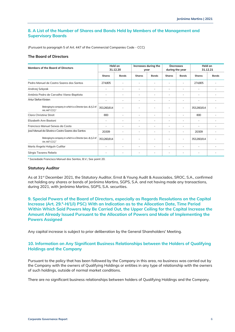# **8. A List of the Number of Shares and Bonds Held by Members of the Management and Supervisory Boards**

(Pursuant to paragraph 5 of Art. 447 of the Commercial Companies Code - CCC)

### **The Board of Directors**

| Members of the Board of Directors                                                          | Held on<br>31.12.20 |                          | Increases during the<br>year |                          | <b>Decreases</b><br>during the year |              | Held on<br>31.12.21 |              |
|--------------------------------------------------------------------------------------------|---------------------|--------------------------|------------------------------|--------------------------|-------------------------------------|--------------|---------------------|--------------|
|                                                                                            | <b>Shares</b>       | <b>Bonds</b>             | <b>Shares</b>                | <b>Bonds</b>             | <b>Shares</b>                       | <b>Bonds</b> | <b>Shares</b>       | <b>Bonds</b> |
| Pedro Manuel de Castro Soares dos Santos                                                   | 274,805             |                          | $\overline{\phantom{a}}$     | $\overline{\phantom{a}}$ |                                     | ۰            | 274,805             |              |
| Andrzej Szlęzak                                                                            | ٠                   | ٠                        | ٠                            | ٠                        | ٠                                   | ۰            | ٠                   |              |
| António Pedro de Carvalho Viana-Baptista                                                   |                     | ٠                        | ٠                            | ٠                        |                                     | ۰            | ۰                   |              |
| Artur Stefan Kirsten                                                                       |                     | ٠                        | ٠                            | ٠                        |                                     | ۰            | ٠                   |              |
| Belonging to company in which is a Director (sec. d), § 2 of<br>Art. 447 CCC) <sup>1</sup> | 353,260,814         | ٠                        | ٠                            | ٠                        |                                     | ۰            | 353,260,814         |              |
| Clara Christina Streit                                                                     | 800                 | ٠                        | ۰                            | ٠                        | -                                   | ۰            | 800                 |              |
| Elizabeth Ann Bastoni                                                                      |                     |                          | ٠                            | ٠                        |                                     | ۰            | ٠                   |              |
| Francisco Manuel Seixas da Costa                                                           | ۰                   | $\overline{\phantom{a}}$ | ٠                            | $\overline{\phantom{a}}$ | ٠                                   | ۰            | ٠                   |              |
| José Manuel da Silveira e Castro Soares dos Santos                                         | 20,509              |                          | ٠                            | ٠                        |                                     | ۰            | 20,509              |              |
| Belonging to company in which is a Director (sec. d), § 2 of<br>Art. 447 CCC $11$          | 353,260,814         | ٠                        |                              |                          |                                     |              | 353,260,814         |              |
| María Ángela Holguín Cuéllar                                                               |                     | ٠                        | ٠                            | ٠                        |                                     | ۰            | ٠                   |              |
| Sérgio Tavares Rebelo                                                                      |                     |                          |                              |                          |                                     |              |                     |              |

**<sup>1</sup>** Sociedade Francisco Manuel dos Santos, B.V.; See point 20.

### **Statutory Auditor**

As at 31st December 2021, the Statutory Auditor, Ernst & Young Audit & Associados, SROC, S.A., confirmed not holding any shares or bonds of Jerónimo Martins, SGPS, S.A. and not having made any transactions, during 2021, with Jerónimo Martins, SGPS, S.A. securities.

**9. Special Powers of the Board of Directors, especially as Regards Resolutions on the Capital Increase (Art. 29.º-H/1/i) PSC) With an Indication as to the Allocation Date, Time Period Within Which Said Powers May Be Carried Out, the Upper Ceiling for the Capital Increase the Amount Already Issued Pursuant to the Allocation of Powers and Mode of Implementing the Powers Assigned**

Any capital increase is subject to prior deliberation by the General Shareholders' Meeting.

# **10. Information on Any Significant Business Relationships between the Holders of Qualifying Holdings and the Company**

Pursuant to the policy that has been followed by the Company in this area, no business was carried out by the Company with the owners of Qualifying Holdings or entities in any type of relationship with the owners of such holdings, outside of normal market conditions.

There are no significant business relationships between holders of Qualifying Holdings and the Company.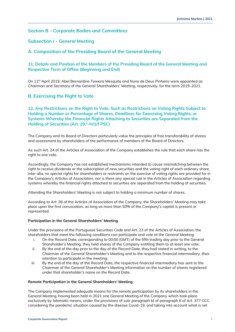### <span id="page-6-0"></span>**Section B – Corporate Bodies and Committees**

# <span id="page-6-1"></span>**Subsection I - General Meeting**

# <span id="page-6-2"></span>**A. Composition of the Presiding Board of the General Meeting**

# **11. Details and Position of the Members of the Presiding Board of the General Meeting and Respective Term of Office (Beginning and End)**

On 11th April 2019, Abel Bernardino Teixeira Mesquita and Nuno de Deus Pinheiro were appointed as Chairman and Secretary of the General Shareholders' Meeting, respectively, for the term 2019-2021.

# <span id="page-6-3"></span>**B. Exercising the Right to Vote**

# **12. Any Restrictions on the Right to Vote, Such as Restrictions on Voting Rights Subject to Holding a Number or Percentage of Shares, Deadlines for Exercising Voting Rights, or Systems Whereby the Financial Rights Attaching to Securities are Separated from the Holding of Securities (Art. 29.º-H/1/f PSC)**

The Company and its Board of Directors particularly value the principles of free transferability of shares and assessment by shareholders of the performance of members of the Board of Directors.

As such Art. 24 of the Articles of Association of the Company establishes the rule that each share has the right to one vote.

Accordingly, the Company has not established mechanisms intended to cause mismatching between the right to receive dividends or the subscription of new securities and the voting right of each ordinary share, inter alia, no special rights for shareholders or restraints on the exercise of voting rights are provided for in the Company's Articles of Association, nor is there any special rule in the Articles of Association regarding systems whereby the financial rights attached to securities are separated from the holding of securities.

Attending the Shareholders' Meeting is not subject to holding a minimum number of shares.

According to Art. 26 of the Articles of Association of the Company, the Shareholders' Meeting may take place upon the first convocation, as long as more than 50% of the Company's capital is present or represented.

### **Participation in the General Shareholders' Meeting**

Under the provisions of the Portuguese Securities Code and Art. 23 of the Articles of Association, the shareholders that meet the following conditions can participate and vote at the General Meeting:

- i. On the Record Date, corresponding to 00:00 (GMT) of the fifth trading day prior to the General Shareholder's Meeting, they held shares of the Company entitling them to at least one vote;
- ii. By the end of the day prior to the day of the Record Date, they had stated in writing, to the Chairman of the General Shareholder's Meeting and to the respective financial intermediary, their intention to participate in the meeting;
- iii. By the end of the day of the Record Date, the respective financial intermediary has sent to the Chairman of the General Shareholder's Meeting information on the number of shares registered under that shareholder's name on the Record Date.

### **Remote Participation in the General Shareholders' Meeting**

The Company implemented adequate means for the remote participation by its shareholders in the General Meeting, having been held in 2021 one General Meeting of the Company which took place exclusively by telematic means, under the provisions of sub-paragraph b) of paragraph 6 of Art. 377 CCC, considering the pandemic situation caused by the disease Covid-19, and taking into account what is set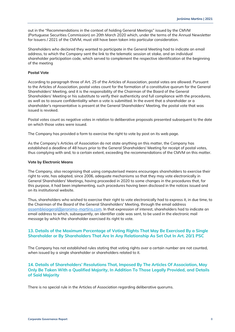out in the "Recommendations in the context of holding General Meetings" issued by the CMVM (Portuguese Securities Commission) on 20th March 2020 which, under the terms of the Annual Newsletter for Issuers / 2021 of the CMVM, must still have been taken into particular consideration.

Shareholders who declared they wanted to participate in the General Meeting had to indicate an email address, to which the Company sent the link to the telematic session at stake, and an individual shareholder participation code, which served to complement the respective identification at the beginning of the meeting

### **Postal Vote**

According to paragraph three of Art. 25 of the Articles of Association, postal votes are allowed. Pursuant to the Articles of Association, postal votes count for the formation of a constitutive quorum for the General Shareholders' Meeting, and it is the responsibility of the Chairman of the Board of the General Shareholders' Meeting or his substitute to verify their authenticity and full compliance with the procedures, as well as to assure confidentiality when a vote is submitted. In the event that a shareholder or a shareholder's representative is present at the General Shareholders' Meeting, the postal vote that was issued is revoked.

Postal votes count as negative votes in relation to deliberative proposals presented subsequent to the date on which those votes were issued.

The Company has provided a form to exercise the right to vote by post on its web page.

As the Company's Articles of Association do not state anything on this matter, the Company has established a deadline of 48 hours prior to the General Shareholders' Meeting for receipt of postal votes, thus complying with and, to a certain extent, exceeding the recommendations of the CMVM on this matter.

### **Vote by Electronic Means**

The Company, also recognising that using computerised means encourages shareholders to exercise their right to vote, has adopted, since 2006, adequate mechanisms so that they may vote electronically in General Shareholders' Meetings, having proceeded in 2020 to some changes in the procedures that, for this purpose, it had been implementing, such procedures having been disclosed in the notices issued and on its institutional website.

Thus, shareholders who wished to exercise their right to vote electronically had to express it, in due time, to the Chairman of the Board of the General Shareholders' Meeting, through the email address [assembleiageral@jeronimo-martins.com](mailto:assembleiageral@jeronimo-martins.com). In that expression of interest, shareholders had to indicate an email address to which, subsequently, an identifier code was sent, to be used in the electronic mail message by which the shareholder exercised its right to vote.

### **13. Details of the Maximum Percentage of Voting Rights That May Be Exercised By a Single Shareholder or By Shareholders That Are In Any Relationship As Set Out In Art. 20/1 PSC**

The Company has not established rules stating that voting rights over a certain number are not counted, when issued by a single shareholder or shareholders related to it.

### **14. Details of Shareholders' Resolutions That, Imposed By The Articles Of Association, May Only Be Taken With a Qualified Majority, In Addition To Those Legally Provided, and Details of Said Majority**

There is no special rule in the Articles of Association regarding deliberative quorums.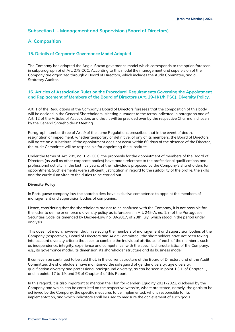# <span id="page-8-0"></span>**Subsection II - Management and Supervision (Board of Directors)**

# <span id="page-8-1"></span>**A. Composition**

### **15. Details of Corporate Governance Model Adopted**

The Company has adopted the Anglo-Saxon governance model which corresponds to the option foreseen in subparagraph b) of Art. 278 CCC. According to this model the management and supervision of the Company are organized through a Board of Directors, which includes the Audit Committee, and a Statutory Auditor.

### **16. Articles of Association Rules on the Procedural Requirements Governing the Appointment and Replacement of Members of the Board of Directors (Art. 29-H/1/h PSC). Diversity Policy.**

Art. 1 of the Regulations of the Company's Board of Directors foresees that the composition of this body will be decided in the General Shareholders' Meeting pursuant to the terms indicated in paragraph one of Art. 12 of the Articles of Association, and that it will be presided over by the respective Chairman, chosen by the General Shareholders' Meeting.

Paragraph number three of Art. 9 of the same Regulations prescribes that in the event of death, resignation or impediment, whether temporary or definitive, of any of its members, the Board of Directors will agree on a substitute. If the appointment does not occur within 60 days of the absence of the Director, the Audit Committee will be responsible for appointing the substitute.

Under the terms of Art. 289, no. 1, d) CCC, the proposals for the appointment of members of the Board of Directors (as well as other corporate bodies) have made reference to the professional qualifications and professional activity, in the last five years, of the individuals proposed by the Company's shareholders for appointment. Such elements were sufficient justification in regard to the suitability of the profile, the skills and the curriculum vitae to the duties to be carried out.

### **Diversity Policy**

In Portuguese company law the shareholders have exclusive competence to appoint the members of management and supervision bodies of companies.

Hence, considering that the shareholders are not to be confused with the Company, it is not possible for the latter to define or enforce a diversity policy as is foreseen in Art. 245-A, no. 1, r) of the Portuguese Securities Code, as amended by Decree-Law no. 89/2017, of 28th July, which stood in the period under analysis.

This does not mean, however, that in selecting the members of management and supervision bodies of the Company (respectively, Board of Directors and Audit Committee), the shareholders have not been taking into account diversity criteria that seek to combine the individual attributes of each of the members, such as independence, integrity, experience and competence, with the specific characteristics of the Company, e.g., its governance model, its dimension, its shareholder structure and its business model.

It can even be continued to be said that, in the current structure of the Board of Directors and of the Audit Committee, the shareholders have maintained the safeguard of gender diversity, age diversity, qualification diversity and professional background diversity, as can be seen in point 1.3.1. of Chapter 1, and in points 17 to 19, and 26 of Chapter 4 of this Report.

In this regard, it is also important to mention the Plan for (gender) Equality 2021-2022, disclosed by the Company and which can be consulted on the respective website, where are stated, namely, the goals to be achieved by the Company, the specific measures to be implemented, who is responsible for its implementation, and which indicators shall be used to measure the achievement of such goals.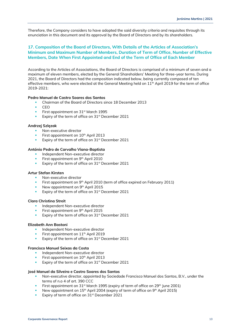Therefore, the Company considers to have adopted the said diversity criteria and requisites through its enunciation in this document and its approval by the Board of Directors and by its shareholders.

# **17. Composition of the Board of Directors, With Details of the Articles of Association's Minimum and Maximum Number of Members, Duration of Term of Office, Number of Effective Members, Date When First Appointed and End of the Term of Office of Each Member**

According to the Articles of Associations, the Board of Directors is comprised of a minimum of seven and a maximum of eleven members, elected by the General Shareholders' Meeting for three-year terms. During 2021, the Board of Directors had the composition indicated below, being currently composed of ten effective members, who were elected at the General Meeting held on 11<sup>th</sup> April 2019 for the term of office 2019-2021:

### **Pedro Manuel de Castro Soares dos Santos**

- Chairman of the Board of Directors since 18 December 2013
- $CFO$
- **Exercise 1995** First appointment on 31<sup>st</sup> March 1995
- Expiry of the term of office on 31<sup>st</sup> December 2021

### **Andrzej Szlęzak**

- Non-executive director
- First appointment on 10<sup>th</sup> April 2013
- Expiry of the term of office on 31<sup>st</sup> December 2021

### **António Pedro de Carvalho Viana-Baptista**

- Independent Non-executive director
- First appointment on 9<sup>th</sup> April 2010
- Expiry of the term of office on 31<sup>st</sup> December 2021

### **Artur Stefan Kirsten**

- Non-executive director
- **EXECT** First appointment on 9<sup>th</sup> April 2010 (term of office expired on February 2011)
- **•** New appointment on  $9<sup>th</sup>$  April 2015
- Expiry of the term of office on 31<sup>st</sup> December 2021

### **Clara Christina Streit**

- Independent Non-executive director
- First appointment on 9<sup>th</sup> April 2015
- Expiry of the term of office on 31<sup>st</sup> December 2021

### **Elizabeth Ann Bastoni**

- Independent Non-executive director
- **EXECUTE:** First appointment on 11<sup>th</sup> April 2019
- Expiry of the term of office on  $31<sup>st</sup>$  December 2021

### **Francisco Manuel Seixas da Costa**

- Independent Non-executive director
- First appointment on 10<sup>th</sup> April 2013
- Expiry of the term of office on 31<sup>st</sup> December 2021

### **José Manuel da Silveira e Castro Soares dos Santos**

- **•** Non-executive director, appointed by Sociedade Francisco Manuel dos Santos, B.V., under the terms of n.o 4 of art. 390 CCC
- First appointment on 31<sup>st</sup> March 1995 (expiry of term of office on 29<sup>th</sup> June 2001)
- E New appointment on  $15<sup>th</sup>$  April 2004 (expiry of term of office on  $9<sup>th</sup>$  April 2015)
- **Expiry of term of office on 31st December 2021**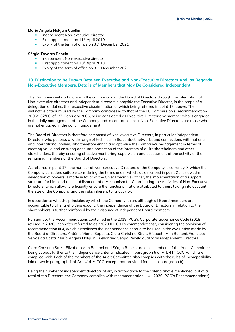### **María Ángela Holguín Cuéllar**

- Independent Non-executive director
- **•** First appointment on  $11<sup>th</sup>$  April 2019
- Expiry of the term of office on 31<sup>st</sup> December 2021

### **Sérgio Tavares Rebelo**

- Independent Non-executive director
- First appointment on 10<sup>th</sup> April 2013
- Expiry of the term of office on 31<sup>st</sup> December 2021

### **18. Distinction to be Drawn Between Executive and Non-Executive Directors And, as Regards Non-Executive Members, Details of Members that May Be Considered Independent**

The Company seeks a balance in the composition of the Board of Directors through the integration of Non-executive directors and independent directors alongside the Executive Director, in the scope of a delegation of duties, the respective discrimination of which being referred in point 17, above. The distinctive criterium used by the Company coincides with that of the EU Commission's Recommendation 2005/162/EC, of 15<sup>th</sup> February 2005, being considered as Executive Director any member who is engaged in the daily management of the Company and, a contrario sensu, Non-Executive Directors are those who are not engaged in the daily management.

The Board of Directors is therefore composed of Non-executive Directors, in particular independent Directors who possess a wide range of technical skills, contact networks and connections with national and international bodies, who therefore enrich and optimise the Company's management in terms of creating value and ensuring adequate protection of the interests of all its shareholders and other stakeholders, thereby ensuring effective monitoring, supervision and assessment of the activity of the remaining members of the Board of Directors.

As referred in point 17., the number of Non-executive Directors of the Company is currently 9, which the Company considers suitable considering the terms under which, as described in point 21. below, the delegation of powers is made in favor of the Chief Executive Officer, the implementation of a support structure for him, and the establishment of a Mechanism for Coordinating the Activities of Non-Executive Directors, which allow to efficiently ensure the functions that are attributed to them, taking into account the size of the Company and the risks inherent to its activity.

In accordance with the principles by which the Company is run, although all Board members are accountable to all shareholders equally, the independence of the Board of Directors in relation to the shareholders is further reinforced by the existence of independent Board members.

Pursuant to the Recommendations contained in the 2018 IPCG's Corporate Governance Code (2018 revised in 2020), hereafter referred to as "2020 IPCG's Recommendations", considering the provision of recommendation III.4, which establishes the independence criteria to be used in the evaluation made by the Board of Directors, António Viana-Baptista, Clara Christina Streit, Elizabeth Ann Bastoni, Francisco Seixas da Costa, María Ángela Holguín Cuéllar and Sérgio Rebelo qualify as independent Directors.

Clara Christina Streit, Elizabeth Ann Bastoni and Sérgio Rebelo are also members of the Audit Committee, being subject further to the independence criteria indicated in paragraph 5 of Art. 414 CCC, which are complied with. Each of the members of the Audit Committee also complies with the rules of incompatibility laid down in paragraph 1 of Art. 414-A CCC, except that provided for in sub-paragraph b).

Being the number of independent directors of six, in accordance to the criteria above mentioned, out of a total of ten Directors, the Company complies with recommendation III.4. (2020 IPCG's Recommendations).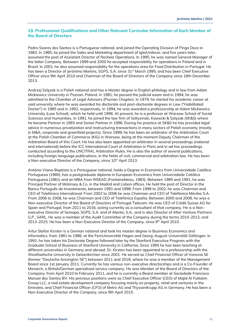### **19. Professional Qualifications and Other Relevant Curricular Information of Each Member of the Board of Directors**

Pedro Soares dos Santos is a Portuguese national, and joined the Operating Division of Pingo Doce in 1983. In 1985, he joined the Sales and Marketing department of Iglo/Unilever, and five years later, assumed the post of Assistant Director of Recheio Operations. In 1995, he was named General Manager of the latter Company. Between 1999 and 2000 he accepted responsibility for operations in Poland and in Brazil. In 2001, he also assumed responsibility for the operations area for Food Distribution in Portugal. He has been a Director of Jerónimo Martins, SGPS, S.A. since 31<sup>st</sup> March 1995, and has been Chief Executive Officer since 9th April 2010 and Chairman of the Board of Directors of the Company since 18th December 2013.

Andrzej Szlęzak is a Polish national and has a Master degree in English philology and in law from Adam Mickiewicz University in Poznan, Poland. In 1981, he passed the judicial exam and in 1994, he was admitted to the Chamber of Legal Advisors (Poznan Chapter). In 1979, he started his academic career at said university where he was awarded his doctorate and post-doctorate degrees in Law ("Habilitated Doctor") in 1985 and in 1992, respectively. In 1994, he was awarded a professorship at Adam Mickiewicz University (Law School), which he held until 1996. At present, he is a professor at Warsaw School of Social Sciences and Humanities. In 1991, he joined the law firm of Soltysinski, Kawecki & Szlęzak (SK&S) where he became Partner in 1993 and Senior Partner in 1996. During his practice at SK&S he has provided legal advice in numerous privatization and restructuring transactions in many sectors of Polish economy (mostly in M&A, corporate and greenfield projects). Since 1999, he has been an arbitrator of the Arbitration Court at the Polish Chamber of Commerce (KIG) in Warsaw, being at the moment Deputy Chairman of the Arbitration Board of this Court. He has also been appointed an arbitrator in several proceedings (national and international) before the ICC International Court of Arbitration in Paris and in ad hoc proceedings conducted according to the UNCITRAL Arbitration Rules. He is also the author of several publications, including foreign-language publications, in the fields of civil, commercial and arbitration law. He has been a Non-executive Director of the Company, since 10<sup>th</sup> April 2013.

António Viana-Baptista is a Portuguese national, holds a Degree in Economics from Universidade Católica Portuguesa (1980), has a postgraduate diploma in European Economics from Universidade Católica Portuguesa (1981) and an MBA from INSEAD (Fontainebleau, 1983). Between 1985 and 1991, he was Principal Partner of Mckinsey & Co. in the Madrid and Lisbon offices. He held the post of Director in the Banco Português de Investimento, between 1991 and 1998. From 1998 to 2002, he was Chairman and CEO of Telefónica International. From 2002 to 2006 he was Chairman and CEO of Telefónica Móviles S.A. From 2006 to 2008, he was Chairman and CEO of Telefónica España. Between 2000 and 2008, he was a Non-executive Director of the Board of Directors of Portugal Telecom. He was CEO of Crédit Suisse AG for Spain and Portugal, from 2011 to 2016, acting currently as a consultant of that company. He is a Nonexecutive Director of Semapa, SGPS, S.A. and of Atento, S.A., and is also Director of Alter Venture Partners G.P., SARL. He was a member of the Audit Committee of the Company during the terms 2010-2012, and 2013-2015. He has been a Non-Executive Director of the Company, since  $9<sup>th</sup>$  April 2010.

Artur Stefan Kirsten is a German national and took his master degree in Business Economics and Informatics, from 1981 to 1986, at the FernUniversität Hagen and Georg-August-Universität Göttingen. In 1991, he has taken his Doctorate Degree followed later by the Stanford Executive Program with the Graduate School of Business of Stanford University in California. Since 1995 he has been teaching at different universities in Germany and abroad. Dr. Kirsten has been appointed to a professorship with the Westfaelische University in Gelsenkirchen since 2001. He served as Chief Financial Officer of Vonovia SE (former "Deutsche Annington SE") between 2011 and 2018, where he was a member of the Management Board since 1st January 2011. Currently he has various non-executive directorships and is a Co-Founder of Monarch, a British/German specialized service company. He was Member of the Board of Directors of the Company, from April 2010 to February 2011, and he is currently a Board member at Sociedade Francisco Manuel dos Santos BV. His previous positions were as Chief Executive Officer (CEO) of Majid Al Futtaiim Group LLC, a real estate development company focusing mainly on property, retail and ventures in the Emirates, and Chief Financial Officer (CFO) of Metro AG and ThyssenKrupp AG in Germany. He has been a Non-Executive Director of the Company, since 9th April 2015.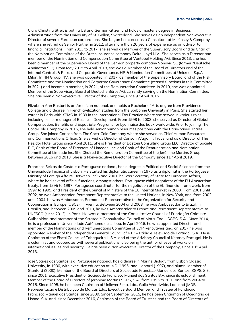Clara Christina Streit is both a US and German citizen and holds a master's degree in Business Administration from the University of St. Gallen, Switzerland. She serves as an independent Non-executive Director of several European corporations. She began her career as a Consultant at McKinsey & Company where she retired as Senior Partner in 2012, after more than 20 years of experience as an advisor to financial institutions. From 2013 to 2017, she served as Member of the Supervisory Board and as Chair of the Nomination Committee of the Dutch insurance company Delta Lloyd N.V.. She serves as a Director and member of the Nomination and Compensation Committee of Vontobel Holding AG. Since 2013, she has been a member of the Supervisory Board of the German property company Vonovia SE (former "Deutsche Annington SE"). From May 2015 to April 2018, she was a Member of the Board of Directors and of the Internal Controls & Risks and Corporate Governance, HR & Nomination Committees at Unicredit S.p.A, Milan. In NN Group, NV, she was appointed, in 2017, as member of the Supervisory Board, and of the Risk Committee and the Nomination and Corporate Governance Committee (ceased functions in this Committee in 2021) and became a member, in 2021, of the Remuneration Committee. In 2019, she was appointed Member of the Supervisory Board of Deutsche Börse AG, currently serving on the Nomination Committee. She has been a Non-executive Director of the Company, since 9<sup>th</sup> April 2015.

Elizabeth Ann Bastoni is an American national, and holds a Bachelor of Arts degree from Providence College and a degree in French civilization studies from the Sorbonne University in Paris. She started her career in Paris with KPMG in 1989 in the International Tax Practice where she served in various roles, including senior manager of Business Development. From 1998 to 2003, she served as Director of Global Compensation, Benefits and Expatriate Programs for Lyonnaise des Eaux worldwide. Prior to joining The Coca-Cola Company in 2015, she held senior human resources positions with the Paris-based Thales Group. She joined Carlson from The Coca-Cola Company where she served as Chief Human Resources and Communications Officer. She served as Director of Carlson Wagonlit Travel and as a Director of The Rezidor Hotel Group since April 2011. She is President of Bastoni Consulting Group LLC, Director of Société BIC, Chair of the Board of Directors of Limeade, Inc. and Chair of the Remuneration and Nomination Committee of Limeade Inc. She Chaired the Remuneration Committee of the Jerónimo Martins Group between 2016 and 2018. She is a Non-executive Director of the Company since 11<sup>th</sup> April 2019.

Francisco Seixas da Costa is a Portuguese national, has a degree in Political and Social Sciences from the Universidade Técnica of Lisbon. He started his diplomatic career in 1975 as a diplomat in the Portuguese Ministry of Foreign Affairs. Between 1995 and 2001, he was Secretary of State for European Affairs, where he had several official functions, amongst others, Portuguese chief negotiator of the EU Amsterdam treaty, from 1995 to 1997, Portuguese coordinator for the negotiation of the EU financial framework, from 1997 to 1999, and President of the Council of Ministers of the EU Internal Market in 2000. From 2001 until 2002, he was Ambassador, Permanent Representative to the United Nations, in New York, and, from 2002 until 2004, he was Ambassador, Permanent Representative to the Organization for Security and Cooperation in Europe (OSCE), in Vienna. Between 2004 and 2008, he was Ambassador to Brazil, in Brasília, and, between 2009 and 2013, he was Ambassador to France and Permanent Representative to UNESCO (since 2012), in Paris. He was a member of the Consultative Council of Fundação Calouste Gulbenkian and member of the Strategic Consultative Council of Mota-Engil, SGPS, S.A.. Since 2014, he is a professor in Universidade Autónoma de Lisboa. In April 2016, he was appointed Director and member of the Nominations and Remunerations Committee of EDP Renováveis and, on 2017 he was appointed Member of the Independent General Council of RTP – Rádio e Televisão de Portugal, S.A.. He is Chairman of the Fiscal Council of Tabaqueira II, S.A. and of the Advisory Council of Kearney Portugal. He is a columnist and cooperates with several publications, also being the author of several works on international issues and security. He has been a Non-executive Director of the Company, since 10<sup>th</sup> April 2013.

José Soares dos Santos is a Portuguese national, has a degree in Marine Biology from Lisbon Classic University, in 1986, with executive education at IMD (1995) and Harvard (1997), and alumni Member of Stanford (2000). Member of the Board of Directors of Sociedade Francisco Manuel dos Santos, SGPS, S.E., since 2001. Executive President of Sociedade Francisco Manuel dos Santos B.V. since its establishment. Member of the Board of Directors of Jerónimo Martins SGPS, S.A., from 1995 to 2001 and from 2004 to 2015. Since 1995, he has been Chairman of Unilever Fima, Lda., Gallo Worldwide, Lda. and JMDB Representação e Distribuição de Marcas Lda.. Executive Board Member and Trustee of Fundação Francisco Manuel dos Santos, since 2009. Since September 2015, he has been Chairman of Oceanário de Lisboa, S.A. and, since December 2016, Chairman of the Board of Trustees and the Board of Directors of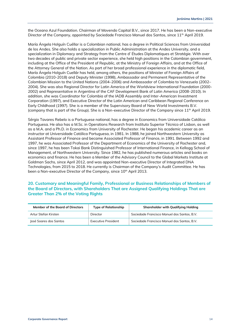the Oceano Azul Foundation. Chairman of Movendo Capital B.V., since 2017. He has been a Non-executive Director of the Company, appointed by Sociedade Francisco Manuel dos Santos, since 11<sup>th</sup> April 2019.

María Ángela Holguín Cuéllar is a Colombian national, has a degree in Political Sciences from Universidad de los Andes. She also holds a specialization in Public Administration at the Andes University, and a specialization in Diplomacy and Strategy from the Centre d' Études Diplomatiques et Stratégie. With over two decades of public and private sector experience, she held high positions in the Colombian government, including at the Office of the President of Republic, at the Ministry of Foreign Affairs, and at the Office of the Attorney General of the Nation. As part of her broad professional experience in the diplomatic field, María Ángela Holguín Cuellár has held, among others, the positions of Minister of Foreign Affairs of Colombia (2010-2018) and Deputy Minister (1998), Ambassador and Permanent Representative of the Colombian Mission to the United Nations (2004–2006) and Ambassador of Colombia to Venezuela (2002– 2004). She was also Regional Director for Latin America of the Worldview International Foundation (2000- 2002) and Representative in Argentina of the CAF Development Bank of Latin America (2008-2010). In addition, she was Coordinator for Colombia of the IADB Assembly and Inter-American Investment Corporation (1997), and Executive Director of the Latin American and Caribbean Regional Conference on Early Childhood (1997). She is a member of the Supervisory Board of New World Investments B.V. (company that is part of the Group). She is a Non-executive Director of the Company since  $11<sup>th</sup>$  April 2019.

Sérgio Tavares Rebelo is a Portuguese national, has a degree in Economics from Universidade Católica Portuguesa. He also has a M.Sc. in Operations Research from Instituto Superior Técnico of Lisbon, as well as a M.A. and a Ph.D. in Economics from University of Rochester. He began his academic career as an instructor at Universidade Católica Portuguesa, in 1981. In 1988, he joined Northwestern University as Assistant Professor of Finance and became Associated Professor of Finance, in 1991. Between 1992 and 1997, he was Associated Professor of the Department of Economics of the University of Rochester and, since 1997, he has been Tokai Bank Distinguished Professor of International Finance, in Kellogg School of Management, of Northwestern University. Since 1982, he has published numerous articles and books on economics and finance. He has been a Member of the Advisory Council to the Global Markets Institute at Goldman Sachs, since April 2012, and was appointed Non-executive Director of Integrated DNA Technologies, from 2015 to 2018. He currently is Chairman of the Company's Audit Committee. He has been a Non-executive Director of the Company, since 10<sup>th</sup> April 2013.

# **20. Customary and Meaningful Family, Professional or Business Relationships of Members of the Board of Directors, with Shareholders That are Assigned Qualifying Holdings That are Greater Than 2% of the Voting Rights**

| Member of the Board of Directors | <b>Type of Relationship</b> | Shareholder with Qualifying Holding         |
|----------------------------------|-----------------------------|---------------------------------------------|
| Artur Stefan Kirsten             | Director                    | Sociedade Francisco Manuel dos Santos, B.V. |
| José Soares dos Santos           | Executive President         | Sociedade Francisco Manuel dos Santos, B.V. |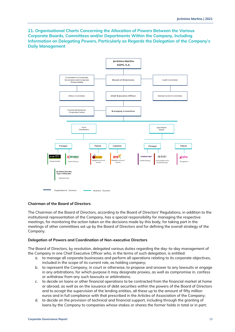**21. Organisational Charts Concerning the Allocation of Powers Between the Various Corporate Boards, Committees and/or Departments Within the Company, Including Information on Delegating Powers, Particularly as Regards the Delegation of the Company's Daily Management**



### **Chairman of the Board of Directors**

The Chairman of the Board of Directors, according to the Board of Directors' Regulations, in addition to the institutional representation of the Company, has a special responsibility for managing the respective meetings, for monitoring the action taken on the decisions made by this body, for taking part in the meetings of other committees set up by the Board of Directors and for defining the overall strategy of the Company.

### **Delegation of Powers and Coordination of Non-executive Directors**

The Board of Directors, by resolution, delegated various duties regarding the day-to-day management of the Company in one Chief Executive Officer who, in the terms of such delegation, is entitled:

- a. to manage all corporate businesses and perform all operations relating to its corporate objectives, included in the scope of its current role, as holding company;
- b. to represent the Company, in court or otherwise, to propose and answer to any lawsuits or engage in any arbitrations, for which purpose it may designate proxies, as well as compromise in, confess or withdraw from any such lawsuits or arbitrations;
- c. to decide on loans or other financial operations to be contracted from the financial market at home or abroad, as well as on the issuance of debt securities within the powers of the Board of Directors and to accept the supervision of the lending entities, all these up to the amount of fifty million euros and in full compliance with that prescribed in the Articles of Association of the Company;
- d. to decide on the provision of technical and financial support, including through the granting of loans by the Company to companies whose stakes or shares the former holds in total or in part;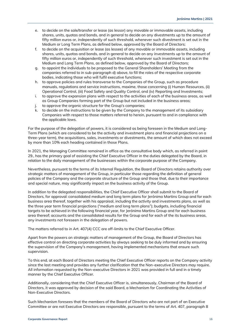- e. to decide on the sale/transfer or lease (as lessor) any movable or immovable assets, including shares, units, quotas and bonds, and in general to decide on any divestments up to the amount of fifty million euros or, independently of such threshold, whenever such divestment is set out in the Medium or Long Term Plans, as defined below, approved by the Board of Directors;
- f. to decide on the acquisition or lease (as lessee) of any movable or immovable assets, including shares, units, quotas and bonds, and in general to decide on any investments up to the amount of fifty million euros or, independently of such threshold, whenever such investment is set out in the Medium and Long Term Plans, as defined below, approved by the Board of Directors;
- g. to appoint the individuals to be proposed to the General Shareholders' Meeting from the companies referred to in sub-paragraph d) above, to fill the roles of the respective corporate bodies, indicating those who will fulfil executive functions;
- h. to approve policies and rules transverse to the Companies of the Group, such as procedure manuals, regulations and service instructions, maxime, those concerning (i) Human Resources, (ii) Operational Control, (iii) Food Safety and Quality Control, and (iv) Reporting and Investments;
- i. to approve the expansion plans with respect to the activities of each of the business areas, as well as Group Companies forming part of the Group but not included in the business areas;
- j. to approve the organic structure for the Group's companies;
- k. to decide on the instructions to be given by the Company to the management of its subsidiary Companies with respect to those matters referred to herein, pursuant to and in compliance with the applicable laws.

For the purpose of the delegation of powers, it is considered as being foreseen in the Medium and Long-Term Plans (which are considered to be the activity and investment plans and financial projections on a three-year term), the acquisitions, sales, investments or divestments, the amount of which does not exceed by more than 10% each heading contained in those Plans.

In 2021, the Managing Committee remained in office as the consultative body which, as referred in point 29., has the primary goal of assisting the Chief Executive Officer in the duties delegated by the Board, in relation to the daily management of the businesses within the corporate purpose of the Company.

Nevertheless, pursuant to the terms of its Internal Regulation, the Board of Directors retains authority over strategic matters of management of the Group, in particular those regarding the definition of general policies of the Company and the corporate structure of the Group and those that, due to their importance and special nature, may significantly impact on the business activity of the Group.

In addition to the delegated responsibilities, the Chief Executive Officer shall submit to the Board of Directors, for approval: consolidated medium and long term plans for Jerónimo Martins Group and for each business area thereof, together with his appraisal, including the activity and investments plans, as well as the three year term financial projections ("medium and long term plans"); budgets, including financial targets to be achieved in the following financial year, for Jerónimo Martins Group and for each business area thereof; accounts and the consolidated results for the Group and for each of the its business areas, any investments not foreseen in the delegation of powers.

The matters referred to in Art. 407(4) CCC are off-limits to the Chief Executive Officer.

Apart from the powers on strategic matters of management of the Group, the Board of Directors has effective control on directing corporate activities by always seeking to be duly informed and by ensuring the supervision of the Company's management, having implemented mechanisms that ensure such supervision.

To this end, at each Board of Directors meeting the Chief Executive Officer reports on the Company activity since the last meeting and provides any further clarification that the Non-executive Directors may require. All information requested by the Non-executive Directors in 2021 was provided in full and in a timely manner by the Chief Executive Officer.

Additionally, considering that the Chief Executive Officer is, simultaneously, Chairman of the Board of Directors, it was approved by decision of the said Board, a Mechanism for Coordinating the Activities of Non-Executive Directors.

Such Mechanism foresees that the members of the Board of Directors who are not part of an Executive Committee or are not Executive Directors are responsible, pursuant to the terms of Art. 407, paragraph 8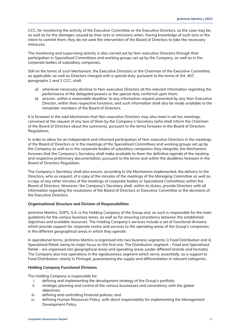CCC, for monitoring the activity of the Executive Committee or the Executive Directors, as the case may be, as well as for the damages caused by their acts or omissions when, having knowledge of such acts or the intent to commit them, they do not seek the intervention of the Board of Directors to take the necessary measures.

The monitoring and supervising activity is also carried out by Non-executive Directors through their participation in Specialized Committees and working groups set up by the Company, as well as in the corporate bodies of subsidiary companies.

Still on the terms of such Mechanism, the Executive Directors or the Chairman of the Executive Committee, as applicable, as well as Directors charged with a special duty, pursuant to the terms of Art. 407, paragraphs 1 and 2 CCC, shall:

- a) whenever necessary disclose to Non-executive Directors all the relevant information regarding the performance of the delegated powers or the special duty conferred upon them;
- b) answer, within a reasonable deadline, to any information request presented by any Non-Executive Director, within their respective functions, and such information shall also be made available to the remainder members of the Board of Directors.

It is foreseen in the said Mechanism that Non-executive Directors may also meet in ad hoc meetings, convened at the request of any two of them by the Company´s Secretary (who shall inform the Chairman of the Board of Directors about the summons), pursuant to the terms foreseen in the Board of Directors Regulations.

In order to allow for an independent and informed participation of Non-executive Directors in the meetings of the Board of Directors or in the meetings of the Specialised Committees and working groups set up by the Company as well as in the corporate bodies of subsidiary companies they integrate, the Mechanism foresees that the Company's Secretary shall make available to them the definitive agenda of the meeting and respective preliminary documentation, pursuant to the terms and within the deadlines foreseen in the Board of Directors Regulation.

The Company's Secretary shall also ensure, according to the Mechanism implemented, the delivery to the Directors, who so request, of a copy of the minutes of the meetings of the Managing Committee as well as a copy of any other minutes of the meetings of corporate bodies or Specialised Committees within the Board of Directors. Moreover, the Company's Secretary shall, within its duties, provide Directors with all information regarding the resolutions of the Board of Directors or Executive Committee or the decisions of the Executive Directors.

### **Organisational Structure and Division of Responsibilities**

Jerónimo Martins, SGPS, S.A. is the Holding Company of the Group and, as such is responsible for the main guidelines for the various business areas, as well as for ensuring consistency between the established objectives and available resources. The Holding Company's services include a set of functional divisions which provide support for corporate centre and services to the operating areas of the Group's companies, in the different geographical areas in which they operate.

In operational terms, Jerónimo Martins is organised into two business segments: i) Food Distribution and ii) Specialised Retail, being its major focus on the first one. The Distribution segment – Food and Specialised Retail – are organised into geographical areas and operating areas (under different brands and formats). The Company also has operations in the agrobusiness segment which serve, essentially, as a support to Food Distribution, mainly in Portugal, guaranteeing the supply and differentiation in relevant categories.

### **Holding Company Functional Divisions**

The Holding Company is responsible for:

- i. defining and implementing the development strategy of the Group's portfolio;
- ii. strategic planning and control of the various businesses and consistency with the global objectives;
- iii. defining and controlling financial policies; and
- iv. defining Human Resources Policy, with direct responsibility for implementing the Management Development Policy.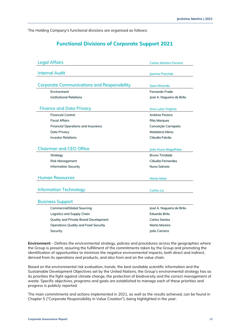The Holding Company's functional divisions are organised as follows:

# **Functional Divisions of Corporate Support 2021**

| <b>Legal Affairs</b>                               | <b>Carlos Martins Ferreira</b> |
|----------------------------------------------------|--------------------------------|
| <b>Internal Audit</b>                              |                                |
|                                                    | Joanna Peschak                 |
| <b>Corporate Communications and Responsibility</b> |                                |
|                                                    | Sara Miranda                   |
| Environment                                        | Fernando Frade                 |
| <b>Institutional Relations</b>                     | José A. Nogueira de Brito      |
| <b>Finance and Data Privacy</b>                    | Ana Luísa Virgínia             |
| <b>Financial Control</b>                           | António Pereira                |
| <b>Fiscal Affairs</b>                              | <b>Rita Marques</b>            |
| Financial Operations and Insurance                 | Conceição Carrapeta            |
| Data Privacy                                       | Madalena Mena                  |
| <b>Investor Relations</b>                          | Cláudia Falcão                 |
|                                                    |                                |
| <b>Chairman and CEO Office</b>                     | João Nuno Magalhães            |
| Strategy                                           | <b>Bruno Trindade</b>          |
| Risk Management                                    | Cláudia Fernandes              |
| <b>Information Security</b>                        | Nuno Galveia                   |
|                                                    |                                |
| <b>Human Resources</b>                             | <b>Marta Maia</b>              |
|                                                    |                                |
| <b>Information Technology</b>                      | <b>Carlos Lis</b>              |
|                                                    |                                |
| <b>Business Support</b>                            |                                |
| <b>Commercial/Global Sourcing</b>                  | José A. Nogueira de Brito      |
| Logistics and Supply Chain                         | Eduardo Brito                  |
| Quality and Private Brand Development              | <b>Carlos Santos</b>           |
| <b>Operations Quality and Food Security</b>        | Marta Moreira                  |
| Security                                           | João Carreira                  |
|                                                    |                                |

**Environment** – Defines the environmental strategy, policies and procedures across the geographies where the Group is present, assuring the fulfillment of the commitments taken by the Group and promoting the identification of opportunities to minimize the negative environmental impacts, both direct and indirect, derived from its operations and products, and also from and on the value chain.

Based on the environmental risk evaluation, trends, the best available scientific information and the Sustainable Development Objectives set by the United Nations, the Group's environmental strategy has as its priorities the fight against climate change, the protection of biodiversity and the correct management of waste. Specific objectives, programs and goals are established to manage each of these priorities and progress is publicly reported.

The main commitments and actions implemented in 2021, as well as the results achieved, can be found in Chapter 5 ("Corporate Responsibility in Value Creation"), being highlighted in the year: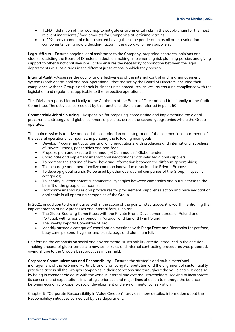- TCFD definition of the roadmap to mitigate environmental risks in the supply chain for the most relevant ingredients / food products for Companies at Jerónimo Martins;
- In 2021, environmental criteria started having the same ponderation as all other evaluation components, being now a deciding factor in the approval of new suppliers.

**Legal Affairs** – Ensures ongoing legal assistance to the Company, preparing contracts, opinions and studies, assisting the Board of Directors in decision making, implementing risk planning policies and giving support to other functional divisions. It also ensures the necessary coordination between the legal departments of subsidiaries in the different jurisdictions in which they operate.

**Internal Audit** – Assesses the quality and effectiveness of the internal control and risk management systems (both operational and non-operational) that are set by the Board of Directors, ensuring their compliance with the Group's and each business unit's procedures, as well as ensuring compliance with the legislation and regulations applicable to the respective operations.

This Division reports hierarchically to the Chairman of the Board of Directors and functionally to the Audit Committee. The activities carried out by this functional division are referred in point 50.

**Commercial/Global Sourcing** – Responsible for proposing, coordinating and implementing the global procurement strategy, and global commercial policies, across the several geographies where the Group operates.

The main mission is to drive and lead the coordination and integration of the commercial departments of the several operational companies, in pursuing the following main goals:

- Develop Procurement activities and joint negotiations with producers and international suppliers of Private Brands, perishables and non-food;
- Propose, plan and execute the annual JM Commodities' Global tenders;
- Coordinate and implement international negotiations with selected global suppliers;
- To promote the sharing of know-how and information between the different geographies;
- To encourage and operationalize common innovation associated to Private Brands;
- To develop global brands (to be used by other operational companies of the Group) in specific categories;
- To identify all other potential commercial synergies between companies and pursue them to the benefit of the group of companies;
- Harmonize internal rules and procedures for procurement, supplier selection and price negotiation, applicable in all operating companies of the Group.

In 2021, in addition to the initiatives within the scope of the points listed above, it is worth mentioning the implementation of new processes and internal fora, such as:

- The Global Sourcing Committees with the Private Brand Development areas of Poland and Portugal, with a monthly period in Portugal, and bimonthly in Poland;
- The weekly Imports Committee of Ara;
- Monthly strategic categories' coordination meetings with Pingo Doce and Biedronka for pet food, baby care, personal hygiene, and plastic bags and aluminum foil.

Reinforcing the emphasis on social and environmental sustainability criteria introduced in the decision- -making process of global tenders, a new set of rules and internal contracting procedures was prepared, giving shape to the Group's best practices in this field.

**Corporate Communications and Responsibility** – Ensures the strategic and multidimensional management of the Jerónimo Martins brand, promoting its reputation and the alignment of sustainability practices across all the Group's companies in their operations and throughout the value chain. It does so by being in constant dialogue with the various internal and external stakeholders, seeking to incorporate its concerns and expectations in strategic priorities and major lines of action to manage the balance between economic prosperity, social development and environmental conservation.

Chapter 5 ("Corporate Responsibility in Value Creation") provides more detailed information about the Responsibility initiatives carried out by this department.

.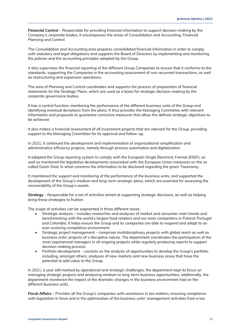**Financial Control** – Responsible for providing financial information to support decision-making by the Company's corporate bodies. It encompasses the areas of Consolidation and Accounting, Financial Planning and Control.

The Consolidation and Accounting area prepares consolidated financial information in order to comply with statutory and legal obligations and supports the Board of Directors by implementing and monitoring the policies and the accounting principles adopted by the Group.

It also supervises the financial reporting of the different Group Companies to ensure that it conforms to the standards, supporting the Companies in the accounting assessment of non-recurrent transactions, as well as restructuring and expansion operations.

The area of Planning and Control coordinates and supports the process of preparation of financial statements for the Strategic Plans, which are used as a basis for strategic decision-making by the corporate governance bodies.

It has a control function, monitoring the performance of the different business units of the Group and identifying eventual deviations from the plans. It thus provides the Managing Committee with relevant information and proposals to guarantee corrective measures that allow the defined strategic objectives to be achieved.

It also makes a financial assessment of all investment projects that are relevant for the Group, providing support to the Managing Committee for its approval and follow-up.

In 2021, it continued the development and implementation of organizational simplification and administrative efficiency projects, namely through process automation and digitalization.

It adapted the Group reporting system to comply with the European Single Electronic Format (ESEF), as well as monitored the legislative developments associated with the European Union measures on the so called Green Deal, in what concerns the information to be disclosed regarding the green Taxonomy.

It maintained the support and monitoring of the performance of the business units, and supported the development of the Group's medium and long-term strategic plans, which are essential for assessing the recoverability of the Group's assets.

**Strategy** – Responsible for a set of activities aimed at supporting strategic decisions, as well as helping bring these strategies to fruition.

The scope of activities can be segmented in three different areas:

- Strategic analysis includes researches and analyses of market and consumer main trends and benchmarking with the world's largest food retailers and our main competitors in Poland, Portugal and Colombia. It helps ensure the Group and its companies are able to respond and adapt to an ever-evolving competitive environment;
- Strategic project management comprises multidisciplinary projects with global reach as well as business units' projects of a disruptive nature. The department coordinates the participation of the most experienced managers in all ongoing projects while regularly producing reports to support decision-making process;
- Portfolio development consists on the analysis of opportunities to develop the Group's portfolio including, amongst others, analyses of new markets and new business areas that have the potential to add value to the Group.

In 2021, a year still marked by operational and strategic challenges, the department kept its focus on managing strategic projects and analysing medium to long-term business opportunities, additionally, the department monitored the impact of the dramatic changes in the business environment had on the different business units.

**Fiscal Affairs** – Provides all the Group's companies with assistance in tax matters, ensuring compliance with legislation in force and in the optimisation of the business units' management activities from a tax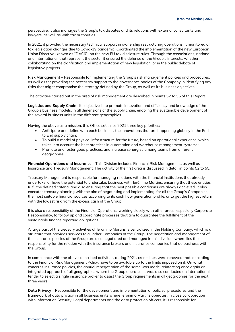perspective. It also manages the Group's tax disputes and its relations with external consultants and lawyers, as well as with tax authorities.

In 2021, it provided the necessary technical support in ownership restructuring operations. It monitored all tax legislation changes due to Covid-19 pandemic. Coordinated the implementation of the new European Union Directive (known as "DAC6") on the new EU tax disclosure rules. Through the associations, national and international, that represent the sector it ensured the defense of the Group's interests, whether collaborating on the clarification and implementation of new legislation, or in the public debate of legislative projects.

**Risk Management** – Responsible for implementing the Group's risk management policies and procedures, as well as for providing the necessary support to the governance bodies of the Company in identifying any risks that might compromise the strategy defined by the Group, as well as its business objectives.

The activities carried out in the area of risk management are described in points 52 to 55 of this Report.

**Logistics and Supply Chain** –Its objective is to promote innovation and efficiency and knowledge of the Group's business models, in all dimensions of the supply chain, enabling the sustainable development of the several business units in the different geographies.

Having the above as a mission, this Office set since 2021 three key priorities:

- Anticipate and define with each business, the innovations that are happening globally in the End to End supply chain;
- To build a model of physical infrastructure for the future, based on operational experience, which takes into account the best practices in automation and warehouse management systems;
- Promote and foster good practices, and increase synergies among teams from different geographies.

**Financial Operations and Insurance** – This Division includes Financial Risk Management, as well as Insurance and Treasury Management. The activity of the first area is discussed in detail in points 52 to 55.

Treasury Management is responsible for managing relations with the financial institutions that already undertake, or have the potential to undertake, business with Jerónimo Martins, ensuring that these entities fulfil the defined criteria, and also ensuring that the best possible conditions are always achieved. It also executes treasury planning with the aim of negotiating and implementing, for all the Group's Companies, the most suitable financial sources according to its cash flow generation profile, or to get the highest return with the lowest risk from the excess cash of the Group.

It is also a responsibility of the Financial Operations, working closely with other areas, especially Corporate Responsibility, to follow up and coordinate processes that aim to guarantee the fulfillment of the sustainable finance reporting obligations.

A large part of the treasury activities of Jerónimo Martins is centralized in the Holding Company, which is a structure that provides services to all other Companies of the Group. The negotiation and management of the insurance policies of the Group are also negotiated and managed in this division, where lies the responsibility for the relation with the insurance brokers and insurance companies that do business with the Group.

In compliance with the above-described activities, during 2021, credit lines were renewed that, according to the Financial Risk Management Policy, have to be available up to the limits imposed on it. On what concerns insurance policies, the annual renegotiation of the same was made, reinforcing once again an integrated approach of all geographies where the Group operates. It was also conducted an international tender to select a single insurance broker to assist the Group requirements in all geographies for the next three years.

**Data Privacy** – Responsible for the development and implementation of policies, procedures and the framework of data privacy in all business units where Jerónimo Martins operates. In close collaboration with Information Security, Legal departments and the data protection officers, it is responsible for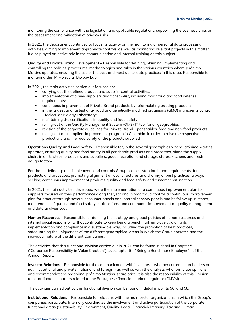monitoring the compliance with the legislation and applicable regulations, supporting the business units on the assessment and mitigation of privacy risks.

In 2021, the department continued to focus its activity on the monitoring of personal data processing activities, aiming to implement appropriate controls, as well as monitoring relevant projects in this matter. It also played an active role in the communication and internal training on this subject.

**Quality and Private Brand Development** – Responsible for defining, planning, implementing and controlling the policies, procedures, methodologies and rules in the various countries where Jerónimo Martins operates, ensuring the use of the best and most up-to-date practices in this area. Responsible for managing the JM Molecular Biology Lab.

In 2021, the main activities carried out focused on:

- carrying out the defined product and supplier control activities;
- implementation of a new suppliers audit check-list, including food fraud and food defense requirements;
- continuous improvement of Private Brand products by reformulating existing products;
- in the largest and fastest anti-fraud and genetically modified organisms (GMO) ingredients control – Molecular Biology Laboratory;
- maintaining the certifications in quality and food safety;
- rolling-out of the Quality Management System (QMS) IT tool for all geographies;
- revision of the corporate guidelines for Private Brand perishables, food and non-food products;
- rolling-out of a suppliers improvement program in Colombia, in order to raise the respective productivity and the food safety of the products supplied.

**Operations Quality and Food Safety** – Responsible for, in the several geographies where Jerónimo Martins operates, ensuring quality and food safety in all perishable products and processes, along the supply chain, in all its steps: producers and suppliers, goods reception and storage, stores, kitchens and fresh dough factory.

For that, it defines, plans, implements and controls Group policies, standards and requirements, for products and processes, promoting alignment of local structures and sharing of best practices, always seeking continuous improvement of products quality and food safety and customer satisfaction.

In 2021, the main activities developed were the implementation of a continuous improvement plan for suppliers focused on their performance along the year and in food fraud control, a continuous improvement plan for product through several consumer panels and internal sensory panels and its follow up in stores, maintenance of quality and food safety certifications, and continuous improvement of quality management and data analysis tool.

**Human Resources** – Responsible for defining the strategy and global policies of human resources and internal social responsibility that contribute to keep being a benchmark employer, guiding its implementation and compliance in a sustainable way, including the promotion of best practices, safeguarding the uniqueness of the different geographical areas in which the Group operates and the individual nature of the different Companies.

The activities that this functional division carried out in 2021 can be found in detail in Chapter 5 ("Corporate Responsibility in Value Creation"), subchapter 6 – "Being a Benchmark Employer" - of the Annual Report.

**Investor Relations** – Responsible for the communication with investors – whether current shareholders or not, institutional and private, national and foreign - as well as with the analysts who formulate opinions and recommendations regarding Jerónimo Martins' share price. It is also the responsibility of this Division to co-ordinate all matters related to the Portuguese financial markets regulator (CMVM).

The activities carried out by this functional division can be found in detail in points 56. and 58.

**Institutional Relations** – Responsible for relations with the main sector organizations in which the Group's companies participate. Internally coordinates the involvement and active participation of the corporate functional areas (Sustainability, Environment, Quality, Legal, Financial/Treasury, Tax and Human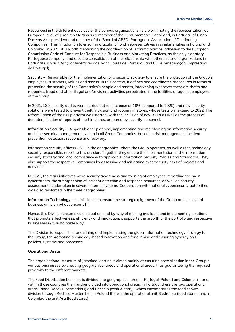Resources) in the different activities of the various organizations. It is worth noting the representation, at European level, of Jerónimo Martins as a member of the EuroCommerce Board and, in Portugal, of Pingo Doce as vice-president and member of the Board of APED (Portuguese Association of Distributing Companies). This, in addition to ensuring articulation with representatives in similar entities in Poland and Colombia. In 2021, it is worth mentioning the coordination of Jerónimo Martins' adhesion to the European Commission Code of Conduct for Responsible Business and Marketing Practices, as the only signatory Portuguese company, and also the consolidation of the relationship with other sectoral organizations in Portugal such as CAP (Confederação dos Agricultores de Portugal) and CIP (Confederação Empresarial de Portugal).

**Security** – Responsible for the implementation of a security strategy to ensure the protection of the Group's employees, customers, values and assets. In this context, it defines and coordinates procedures in terms of protecting the security of the Companies's people and assets, intervening whenever there are thefts and robberies, fraud and other illegal and/or violent activities perpetrated in the facilities or against employees of the Group.

In 2021, 130 security audits were carried out (an increase of 16% compared to 2020) and new security solutions were tested to prevent theft, intrusion and robbery in stores, whose tests will extend to 2022. The reformulation of the risk platform was started, with the inclusion of new KPI's as well as the process of dematerialization of reports of theft in stores, prepared by security personnel.

**Information Security** – Responsible for planning, implementing and maintaining an information security and cibersecurity management system in all Group Companies, based on risk management, incident prevention, detection, response and recovery.

Information security officers (ISO) in the geographies where the Group operates, as well as the technology security responsible, report to this division. Together they ensure the implementation of the information security strategy and local compliance with applicable Information Security Policies and Standards. They also support the respective Companies by assessing and mitigating cybersecurity risks of projects and activities.

In 2021, the main initiatives were security awareness and training of employees, regarding the main cyberthreats, the strengthening of incident detection and response resources, as well as security assessments undertaken in several internal systems. Cooperation with national cybersecurity authorities was also reinforced in the three geographies.

**Information Technology** – Its mission is to ensure the strategic alignment of the Group and its several business units on what concerns IT.

Hence, this Division ensures value creation, and by way of making available and implementing solutions that promote effectiveness, efficiency and innovation, it supports the growth of the portfolio and respective businesses in a sustainable way.

The Division is responsible for defining and implementing the global information technology strategy for the Group, for promoting technology-based innovation and for aligning and ensuring synergy on IT policies, systems and processes.

### **Operational Areas**

The organisational structure of Jerónimo Martins is aimed mainly at ensuring specialisation in the Group's various businesses by creating geographical areas and operational areas, thus guaranteeing the required proximity to the different markets.

The Food Distribution business is divided into geographical areas - Portugal, Poland and Colombia – and within those countries then further divided into operational areas. In Portugal there are two operational areas: Pingo Doce (supermarkets) and Recheio (cash & carry), which encompasses the food service division through Recheio Masterchef. In Poland there is the operational unit Biedronka (food stores) and in Colombia the unit Ara (food stores).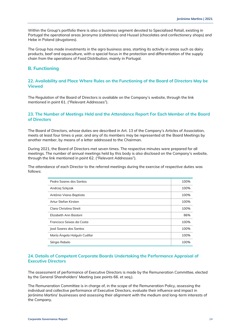Within the Group's portfolio there is also a business segment devoted to Specialised Retail, existing in Portugal the operational areas Jeronymo (cafeterias) and Hussel (chocolates and confectionery shops) and Hebe in Poland (drugstores).

The Group has made investments in the agro business area, starting its activity in areas such as dairy products, beef and aquaculture, with a special focus in the protection and differentiation of the supply chain from the operations of Food Distribution, mainly in Portugal.

# <span id="page-23-0"></span>**B. Functioning**

### **22. Availability and Place Where Rules on the Functioning of the Board of Directors May be Viewed**

The Regulation of the Board of Directors is available on the Company's website, through the link mentioned in point 61. ("Relevant Addresses").

# **23. The Number of Meetings Held and the Attendance Report For Each Member of the Board of Directors**

The Board of Directors, whose duties are described in Art. 13 of the Company's Articles of Association, meets at least four times a year, and any of its members may be represented at the Board Meetings by another member, by means of a letter addressed to the Chairman.

During 2021, the Board of Directors met seven times. The respective minutes were prepared for all meetings. The number of annual meetings held by this body is also disclosed on the Company's website, through the link mentioned in point 62. ("Relevant Addresses").

The attendance of each Director to the referred meetings during the exercise of respective duties was follows:

| Pedro Sogres dos Santos      | 100% |
|------------------------------|------|
| Andrzej Szlęzak              | 100% |
| António Viana-Baptista       | 100% |
| Artur Stefan Kirsten         | 100% |
| Clara Christina Streit       | 100% |
| Elizabeth Ann Bastoni        | 86%  |
| Francisco Seixas da Costa    | 100% |
| José Soares dos Santos       | 100% |
| María Ángela Holguín Cuéllar | 100% |
| Sérgio Rebelo                | 100% |

### **24. Details of Competent Corporate Boards Undertaking the Performance Appraisal of Executive Directors**

The assessment of performance of Executive Directors is made by the Remuneration Committee, elected by the General Shareholders' Meeting (see points 66. et seq.).

The Remuneration Committee is in charge of, in the scope of the Remuneration Policy, assessing the individual and collective performance of Executive Directors, evaluate their influence and impact in Jerónimo Martins' businesses and assessing their alignment with the medium and long-term interests of the Company.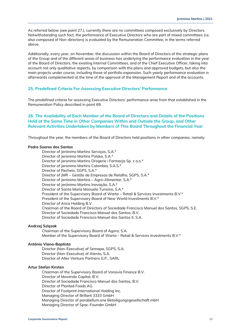As referred below (see point 27.), currently there are no committees composed exclusively by Directors. Notwithstanding such fact, the performance of Executive Directors who are part of mixed committees (i.e. also composed of Non-directors) is evaluated by the Remuneration Committee, in the terms referred above.

Additionally, every year, on November, the discussion within the Board of Directors of the strategic plans of the Group and of the different areas of business has underlying the performance evaluation in the year of the Board of Directors, the existing Internal Committees, and of the Chief Executive Officer, taking into account not only qualitative aspects, by comparison with the plans and approved budgets, but also the main projects under course, including those of portfolio expansion. Such yearly performance evaluation is afterwards complemented at the time of the approval of the Management Report and of the accounts.

### **25. Predefined Criteria For Assessing Executive Directors' Performance**

The predefined criteria for assessing Executive Directors' performance arise from that established in the Remuneration Policy described in point 69.

# **26. The Availability of Each Member of the Board of Directors and Details of the Positions Held at the Same Time in Other Companies Within and Outside the Group, and Other Relevant Activities Undertaken by Members of This Board Throughout the Financial Year**

Throughout the year, the members of the Board of Directors held positions in other companies, namely:

### **Pedro Soares dos Santos**

Director of Jerónimo Martins Serviços, S.A.\* Director of Jeronimo Martins Polska, S.A.\* Director of Jeronimo Martins Drogerie i Farmacja Sp. z o.o.\* Director of Jeronimo Martins Colombia, S.A.S.\* Director of Recheio, SGPS, S.A.\* Director of JMR – Gestão de Empresas de Retalho, SGPS, S.A.\* Director of Jerónimo Martins – Agro-Alimentar, S.A.\* Director of Jerónimo Martins Inovação, S.A.\* Director of Santa Maria Manuela Turismo, S.A.\* President of the Supervisory Board of Warta - Retail & Services Investments B.V.\* President of the Supervisory Board of New World Investments B.V.\* Director of Arica Holding B.V. Chairman of the Board of Directors of Sociedade Francisco Manuel dos Santos, SGPS, S.E. Director of Sociedade Francisco Manuel dos Santos, B.V. Director of Sociedade Francisco Manuel dos Santos II, S.A.

### **Andrzej Szlęzak**

Chairman of the Supervisory Board of Agora, S.A. Member of the Supervisory Board of Warta – Retail & Services Investments B.V.\*

### **António Viana-Baptista**

Director (Non-Executive) of Semapa, SGPS, S.A. Director (Non-Executive) of Atento, S.A. Director of Alter Venture Partners G.P., SARL

### **Artur Stefan Kirsten**

Chairman of the Supervisory Board of Vonovia Finance B.V. Director of Movendo Capital, B.V. Director of Sociedade Francisco Manuel dos Santos, B.V. Director of Planted Foods AG Director of Footprint International Holding Inc. Managing Director of Brillant 3333 GmbH Managing Director of parabellum.one Beteiligungsgesellschaft mbH Managing Director of Spac-Founder GmbH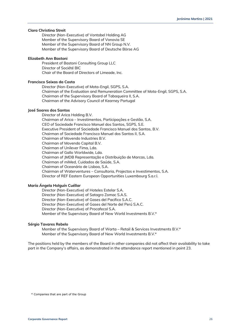### **Clara Christina Streit**

Director (Non-Executive) of Vontobel Holding AG Member of the Supervisory Board of Vonovia SE Member of the Supervisory Board of NN Group N.V. Member of the Supervisory Board of Deutsche Börse AG

### **Elizabeth Ann Bastoni**

President of Bastoni Consulting Group LLC Director of Société BIC Chair of the Board of Directors of Limeade, Inc.

### **Francisco Seixas da Costa**

Director (Non-Executive) of Mota-Engil, SGPS, S.A. Chairman of the Evaluation and Remuneration Committee of Mota-Engil, SGPS, S.A. Chairman of the Supervisory Board of Tabaqueira II, S.A. Chairman of the Advisory Council of Kearney Portugal

### **José Soares dos Santos**

Director of Arica Holding B.V. Chairman of Arica – Investimentos, Participações e Gestão, S.A. CEO of Sociedade Francisco Manuel dos Santos, SGPS, S.E. Executive President of Sociedade Francisco Manuel dos Santos, B.V. Chairman of Sociedade Francisco Manuel dos Santos II, S.A. Chairman of Movendo Industries B.V. Chairman of Movendo Capital B.V. Chairman of Unilever Fima, Lda. Chairman of Gallo Worldwide, Lda. Chairman of JMDB Representação e Distribuição de Marcas, Lda. Chairman of miMed, Cuidados de Saúde, S.A. Chairman of Oceanário de Lisboa, S.A. Chairman of Waterventures – Consultoria, Projectos e Investimentos, S.A. Director of REF Eastern European Opportunities Luxembourg S.a.r.l.

### **María Ángela Holguín Cuéllar**

Director (Non-Executive) of Hoteles Estelar S.A. Director (Non-Executive) of Satagro Zomac S.A.S. Director (Non-Executive) of Gases del Pacifico S.A.C. Director (Non-Executive) of Gases del Norte del Perú S.A.C. Director (Non-Executive) of Procafecol S.A. Member of the Supervisory Board of New World Investments B.V.\*

### **Sérgio Tavares Rebelo**

Member of the Supervisory Board of Warta – Retail & Services Investments B.V.\* Member of the Supervisory Board of New World Investments B.V.\*

The positions held by the members of the Board in other companies did not affect their availability to take part in the Company's affairs, as demonstrated in the attendance report mentioned in point 23.

\* Companies that are part of the Group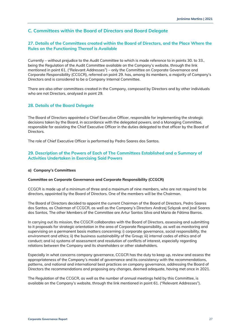# <span id="page-26-0"></span>**C. Committees within the Board of Directors and Board Delegate**

# **27. Details of the Committees created within the Board of Directors, and the Place Where the Rules on the Functioning Thereof is Available**

Currently – without prejudice to the Audit Committee to which is made reference to in points 30. to 33., being the Regulation of the Audit Committee available on the Company's website, through the link mentioned in point 61. ("Relevant Addresses") – only the Committee on Corporate Governance and Corporate Responsibility (CCGCR), referred on point 29. has, among its members, a majority of Company's Directors and is considered to be a Company Internal Committee.

There are also other committees created in the Company, composed by Directors and by other individuals who are not Directors, analysed in point 29.

### **28. Details of the Board Delegate**

The Board of Directors appointed a Chief Executive Officer, responsible for implementing the strategic decisions taken by the Board, in accordance with the delegated powers, and a Managing Committee, responsible for assisting the Chief Executive Officer in the duties delegated to that officer by the Board of Directors.

The role of Chief Executive Officer is performed by Pedro Soares dos Santos.

### **29. Description of the Powers of Each of The Committees Established and a Summary of Activities Undertaken in Exercising Said Powers**

### **a) Company's Committees**

### **Committee on Corporate Governance and Corporate Responsibility (CCGCR)**

CCGCR is made up of a minimum of three and a maximum of nine members, who are not required to be directors, appointed by the Board of Directors. One of the members will be the Chairman.

The Board of Directors decided to appoint the current Chairman of the Board of Directors, Pedro Soares dos Santos, as Chairman of CCGCR, as well as the Company's Directors Andrzej Szlęzak and José Soares dos Santos, The other Members of the Committee are Artur Santos Silva and Maria de Fátima Barros.

In carrying out its mission, the CCGCR collaborates with the Board of Directors, assessing and submitting to it proposals for strategic orientation in the area of Corporate Responsibility, as well as monitoring and supervising on a permanent basis matters concerning: i) corporate governance, social responsibility, the environment and ethics; ii) the business sustainability of the Group; iii) internal codes of ethics and of conduct; and iv) systems of assessment and resolution of conflicts of interest, especially regarding relations between the Company and its shareholders or other stakeholders.

Especially in what concerns company governance, CCGCR has the duty to keep up, review and assess the appropriateness of the Company's model of governance and its consistency with the recommendations, patterns, and national and international best practices on company governance, addressing the Board of Directors the recommendations and proposing any changes, deemed adequate, having met once in 2021.

The Regulation of the CCGCR, as well as the number of annual meetings held by this Committee, is available on the Company's website, through the link mentioned in point 61. ("Relevant Addresses").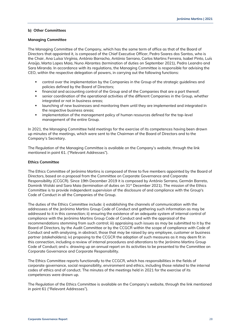### **b) Other Committees**

### **Managing Committee**

The Managing Committee of the Company, which has the same term of office as that of the Board of Directors that appointed it, is composed of the Chief Executive Officer, Pedro Soares dos Santos, who is the Chair, Ana Luísa Virgínia, António Barracho, António Serrano, Carlos Martins Ferreira, Isabel Pinto, Luís Araújo, Marta Lopes Maia, Nuno Abrantes (termination of duties on September 2021), Pedro Leandro and Sara Miranda. In accordance with its regulations, the Managing Committee is responsible for advising the CEO, within the respective delegation of powers, in carrying out the following functions:

- control over the implementation by the Companies in the Group of the strategic guidelines and policies defined by the Board of Directors;
- **•** financial and accounting control of the Group and of the Companies that are a part thereof;
- senior coordination of the operational activities of the different Companies in the Group, whether integrated or not in business areas;
- **•** launching of new businesses and monitoring them until they are implemented and integrated in the respective business areas;
- **•** implementation of the management policy of human resources defined for the top-level management of the entire Group.

In 2021, the Managing Committee held meetings for the exercise of its competences having been drawn up minutes of the meetings, which were sent to the Chairman of the Board of Directors and to the Company's Secretary.

The Regulation of the Managing Committee is available on the Company's website, through the link mentioned in point 61. ("Relevant Addresses").

### **Ethics Committee**

The Ethics Committee of Jerónimo Martins is composed of three to five members appointed by the Board of Directors, based on a proposal from the Committee on Corporate Governance and Corporate Responsibility (CCGCR). Since 19th December 2019 it is composed by António Serrano, Germán Barreto, Dominik Wolski and Sara Maia (termination of duties on 31<sup>st</sup> December 2021). The mission of the Ethics Committee is to provide independent supervision of the disclosure of and compliance with the Group's Code of Conduct in all the Companies of the Group.

The duties of the Ethics Committee include: i) establishing the channels of communication with the addressees of the Jerónimo Martins Group Code of Conduct and gathering such information as may be addressed to it in this connection; ii) ensuring the existence of an adequate system of internal control of compliance with the Jerónimo Martins Group Code of Conduct and with the appraisal of the recommendations stemming from such control; iii) appraising such issues as may be submitted to it by the Board of Directors, by the Audit Committee or by the CCGCR within the scope of compliance with Code of Conduct and with analysing, in abstract, those that may be raised by any employee, customer or business partner (stakeholders); iv) proposing to the CCGCR the adoption of such measures as it may deem fit in this connection, including a review of internal procedures and alterations to the Jerónimo Martins Group Code of Conduct; and v. drawing up an annual report on its activities to be presented to the Committee on Corporate Governance and Corporate Responsibility.

The Ethics Committee reports functionally to the CCGCR, which has responsibilities in the fields of corporate governance, social responsibility, environment and ethics, including those related to the internal codes of ethics and of conduct. The minutes of the meetings held in 2021 for the exercise of its competences were drawn up.

The Regulation of the Ethics Committee is available on the Company's website, through the link mentioned in point 61 ("Relevant Addresses").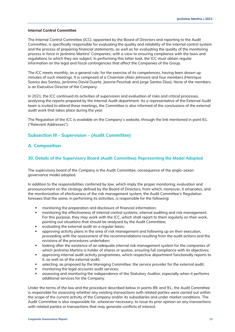### **Internal Control Committee**

The Internal Control Committee (ICC), appointed by the Board of Directors and reporting to the Audit Committee, is specifically responsible for evaluating the quality and reliability of the internal control system and the process of preparing financial statements, as well as for evaluating the quality of the monitoring process in force in Jerónimo Martins' Companies, with a view to ensuring compliance with the laws and regulations to which they are subject. In performing this latter task, the ICC must obtain regular information on the legal and fiscal contingencies that affect the Companies of the Group.

The ICC meets monthly, as a general rule, for the exercise of its competences, having been drawn up minutes of such meetings. It is composed of a Chairman (Alan Johnson) and four members (Henrique Soares dos Santos, Jerónimo David Duarte, Joanna Peschak and Jorge Santos Dias). None of the members is an Executive Director of the Company.

In 2021, the ICC continued its activities of supervision and evaluation of risks and critical processes, analysing the reports prepared by the Internal Audit department. As a representative of the External Audit team is invited to attend these meetings, the Committee is also informed of the conclusions of the external audit work that takes place during the year.

The Regulation of the ICC is available on the Company's website, through the link mentioned in point 61. ("Relevant Addresses").

# <span id="page-28-0"></span>**Subsection III - Supervision - (Audit Committee)**

# <span id="page-28-1"></span>**A. Composition**

### **30. Details of the Supervisory Board (Audit Committee) Representing the Model Adopted**

The supervisory board of the Company is the Audit Committee, consequence of the anglo-saxon governance model adopted.

In addition to the responsibilities conferred by law, which imply the proper monitoring, evaluation and pronouncement on the strategy defined by the Board of Directors, from which, moreover, it emanates, and the monitorization of efectiveness of the risk management system, the Audit Committee's Regulation foresees that the same, in performing its activities, is responsible for the following:

- monitoring the preparation and disclosure of financial information;
- monitoring the effectiveness of internal control systems, internal auditing and risk management. For this purpose, they may work with the ICC, which shall report to them regularly on their work, pointing out situations that should be analysed by the Audit Committee;
- evaluating the external audit on a regular basis;
- approving activity plans in the area of risk management and following up on their execution, proceeding with the assessment of the recommendations resulting from the audit actions and the revisions of the procedures undertaken;
- looking after the existence of an adequate internal risk management system for the companies of which Jerónimo Martins is holder of shares or quotas, ensuring full compliance with its objectives;
- approving internal audit activity programmes, which respective department functionally reports to it, as well as of the external audit;
- selecting, as proposed by the Managing Committee, the service provider for the external audit;
- monitoring the legal accounts audit services;
- assessing and monitoring the independence of the Statutory Auditor, especially when it performs additional services for the Company.

Under the terms of the law and the procedure described below in points 89. and 91., the Audit Committee is responsible for assessing whether any existing transactions with related parties were carried out within the scope of the current activity of the Company and/or its subsidiaries and under market conditions. The Audit Committee is also responsible for, whenever necessary, to issue its prior opinion on any transactions with related parties or transactions that may generate conflicts of interest.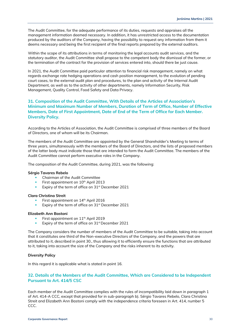The Audit Committee, for the adequate performance of its duties, requests and appraises all the management information deemed necessary. In addition, it has unrestricted access to the documentation produced by the auditors of the Company, having the possibility to request any information from them it deems necessary and being the first recipient of the final reports prepared by the external auditors.

Within the scope of its attributions in terms of monitoring the legal accounts audit services, and the statutory auditor, the Audit Committee shall propose to the competent body the dismissal of the former, or the termination of the contract for the provision of services entered into, should there be just cause.

In 2021, the Audit Committee paid particular attention to financial risk management, namely on what regards exchange rate hedging operations and cash position management, to the evolution of pending court cases, to the external audit plan and procedures, to the plan and activity of the Internal Audit Department, as well as to the activity of other departments, namely Information Security, Risk Management, Quality Control, Food Safety and Data Privacy.

# **31. Composition of the Audit Committee, With Details of the Articles of Association's Minimum and Maximum Number of Members, Duration of Term of Office, Number of Effective Members, Date of First Appointment, Date of End of the Term of Office for Each Member. Diversity Policy.**

According to the Articles of Association, the Audit Committee is comprised of three members of the Board of Directors, one of whom will be its Chairman.

The members of the Audit Committee are appointed by the General Shareholder's Meeting to terms of three years, simultaneously with the members of the Board of Directors, and the lists of proposed members of the latter body must indicate those that are intended to form the Audit Committee. The members of the Audit Committee cannot perform executive roles in the Company.

The composition of the Audit Committee, during 2021, was the following:

### **Sérgio Tavares Rebelo**

- Chairman of the Audit Committee
- **•** First appointment on  $10<sup>th</sup>$  April 2013
- **Expiry of the term of office on 31st December 2021**

### **Clara Christina Streit**

- First appointment on 14<sup>th</sup> April 2016
- Expiry of the term of office on 31<sup>st</sup> December 2021

### **Elizabeth Ann Bastoni**

- First appointment on 11<sup>th</sup> April 2019
- Expiry of the term of office on 31<sup>st</sup> December 2021

The Company considers the number of members of the Audit Committee to be suitable, taking into account that it constitutes one third of the Non-executive Directors of the Company, and the powers that are attributed to it, described in point 30., thus allowing it to efficiently ensure the functions that are attributed to it, taking into account the size of the Company and the risks inherent to its activity.

### **Diversity Policy**

In this regard it is applicable what is stated in point 16.

### **32. Details of the Members of the Audit Committee, Which are Considered to be Independent Pursuant to Art. 414/5 CSC**

Each member of the Audit Committee complies with the rules of incompatibility laid down in paragraph 1 of Art. 414-A CCC, except that provided for in sub-paragraph b). Sérgio Tavares Rebelo, Clara Christina Streit and Elizabeth Ann Bastoni comply with the independence criteria foreseen in Art. 414, number 5 CCC.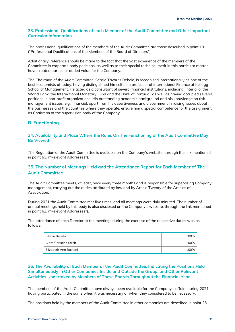### **33. Professional Qualifications of each Member of the Audit Committee and Other Important Curricular Information**

The professional qualifications of the members of the Audit Committee are those described in point 19. ("Professional Qualifications of the Members of the Board of Directors").

Additionally, reference should be made to the fact that the vast experience of the members of the Committee in corporate body positions, as well as to their special technical merit in this particular matter, have created particular added value for the Company.

The Chairman of the Audit Committee, Sérgio Tavares Rebelo, is recognised internationally as one of the best economists of today, having distinguished himself as a professor of International Finance at Kellogg School of Management. He acted as a consultant of several financial institutions, including, *inter alia*, the World Bank, the International Monetary Fund and the Bank of Portugal, as well as having occupied several positions in non-profit organizations. His outstanding academic background and his knowledge on risk management issues, e.g., financial, apart from his assertiveness and discernment in raising issues about the businesses and the countries where they operate, ensure him a special competence for the assignment as Chairman of the supervision body of the Company.

# <span id="page-30-0"></span>**B. Functioning**

### **34. Availability and Place Where the Rules On The Functioning of the Audit Committee May Be Viewed**

The Regulation of the Audit Committee is available on the Company's website, through the link mentioned in point 61. ("Relevant Addresses").

# **35. The Number of Meetings Held and the Attendance Report for Each Member of The Audit Committee**

The Audit Committee meets, at least, once every three months and is responsible for supervising Company management, carrying out the duties attributed by law and by Article Twenty of the Articles of Association.

During 2021 the Audit Committee met five times, and all meetings were duly minuted. The number of annual meetings held by this body is also disclosed on the Company's website, through the link mentioned in point 62. ("Relevant Addresses").

The attendance of each Director at the meetings during the exercise of the respective duties was as follows:

| Sérgio Rebelo          | 100% |
|------------------------|------|
| Clara Christina Streit | 100% |
| Elizabeth Ann Bastoni  | 100% |

### **36. The Availability of Each Member of the Audit Committee, Indicating the Positions Held Simultaneously in Other Companies Inside and Outside the Group, and Other Relevant Activities Undertaken by Members of These Boards Throughout the Financial Year**

The members of the Audit Committee have always been available for the Company's affairs during 2021, having participated in the same when it was necessary or when they considered to be necessary.

The positions held by the members of the Audit Committee in other companies are described in point 26.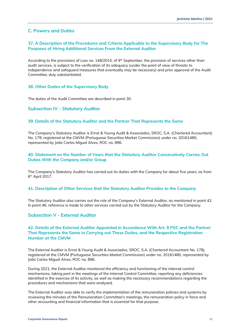# <span id="page-31-0"></span>**C. Powers and Duties**

### **37. A Description of the Procedures and Criteria Applicable to the Supervisory Body for The Purposes of Hiring Additional Services From the External Auditor**

According to the provisions of Law no.  $148/2015$ , of 9<sup>th</sup> September, the provision of services other than audit services, is subject to the verification of its adequacy (under the point of view of threats to independence and safeguard measures that eventually may be necessary) and prior approval of the Audit Committee, duly substantiated.

### **38. Other Duties of the Supervisory Body**

The duties of the Audit Committee are described in point 30.

### <span id="page-31-1"></span>**Subsection IV - Statutory Auditor**

### **39. Details of the Statutory Auditor and the Partner That Represents the Same**

The Company's Statutory Auditor is Ernst & Young Audit & Associados, SROC, S.A. (Chartered Accountant) No. 178, registered at the CMVM (Portuguese Securities Market Commission) under no. 20161480, represented by João Carlos Miguel Alves, ROC no. 896.

# **40. Statement on the Number of Years that the Statutory Auditor Consecutively Carries Out Duties With the Company and/or Group**

The Company's Statutory Auditor has carried out its duties with the Company for about five years, as from 6<sup>th</sup> April 2017.

### **41. Description of Other Services that the Statutory Auditor Provides to the Company**

The Statutory Auditor also carries out the role of the Company's External Auditor, as mentioned in point 42. In point 46. reference is made to other services carried out by the Statutory Auditor for the Company.

# <span id="page-31-2"></span>**Subsection V - External Auditor**

### **42. Details of the External Auditor Appointed in Accordance With Art. 8 PSC and the Partner That Represents the Same in Carrying out These Duties, and the Respective Registration Number at the CMVM**

The External Auditor is Ernst & Young Audit & Associados, SROC, S.A. (Chartered Accountant No. 178), registered at the CMVM (Portuguese Securities Market Commission) under no. 20161480, represented by João Carlos Miguel Alves, ROC no. 896.

During 2021, the External Auditor monitored the efficiency and functioning of the internal control mechanisms, taking part in the meetings of the Internal Control Committee, reporting any deficiencies identified in the exercise of its activity, as well as making the necessary recommendations regarding the procedures and mechanisms that were analysed.

The External Auditor was able to verify the implementation of the remuneration policies and systems by reviewing the minutes of the Remuneration Committee's meetings, the remuneration policy in force and other accounting and financial information that is essential for that purpose.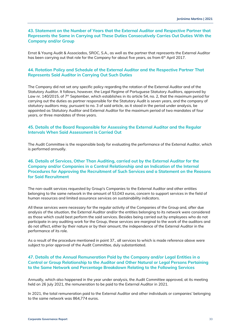# **43. Statement on the Number of Years that the External Auditor and Respective Partner that Represents the Same in Carrying out These Duties Consecutively Carries Out Duties With the Company and/or Group**

Ernst & Young Audit & Associados, SROC, S.A., as well as the partner that represents the External Auditor has been carrying out that role for the Company for about five years, as from 6<sup>th</sup> April 2017.

# **44. Rotation Policy and Schedule of the External Auditor and the Respective Partner That Represents Said Auditor in Carrying Out Such Duties**

The Company did not set any specific policy regarding the rotation of the External Auditor and of the Statutory Auditor. It follows, however, the Legal Regime of Portuguese Statutory Auditors, approved by Law nr. 140/2015, of  $7<sup>th</sup>$  September, which establishes in its article 54, no. 2, that the maximum period for carrying out the duties as partner responsible for the Statutory Audit is seven years, and the company of statutory auditors may, pursuant to no. 3 of said article, as it stood in the period under analysis, be appointed as Statutory Auditor and External Auditor for the maximum period of two mandates of four years, or three mandates of three years.

# **45. Details of the Board Responsible for Assessing the External Auditor and the Regular Intervals When Said Assessment is Carried Out**

The Audit Committee is the responsible body for evaluating the performance of the External Auditor, which is performed annually.

# **46. Details of Services, Other Than Auditing, carried out by the External Auditor for the Company and/or Companies in a Control Relationship and an Indication of the Internal Procedures for Approving the Recruitment of Such Services and a Statement on the Reasons for Said Recruitment**

The non-audit services requested by Group's Companies to the External Auditor and other entities belonging to the same network in the amount of 53,043 euros, concern to support services in the field of human resources and limited assurance services on sustainability indicators.

All these services were necessary for the regular activity of the Companies of the Group and, after due analysis of the situation, the External Auditor and/or the entities belonging to its network were considered as those which could best perform the said services. Besides being carried out by employees who do not participate in any auditing work for the Group, these services are marginal to the work of the auditors and do not affect, either by their nature or by their amount, the independence of the External Auditor in the performance of its role.

As a result of the procedure mentioned in point 37., all services to which is made reference above were subject to prior approval of the Audit Committee, duly substantiated.

### **47. Details of the Annual Remuneration Paid by the Company and/or Legal Entities in a Control or Group Relationship to the Auditor and Other Natural or Legal Persons Pertaining to the Same Network and Percentage Breakdown Relating to the Following Services**

Annually, which also happened in the year under analysis, the Audit Committee approved, at its meeting held on 26 July 2021, the remuneration to be paid to the External Auditor in 2021.

In 2021, the total remuneration paid to the External Auditor and other individuals or companies' belonging to the same network was 864,774 euros.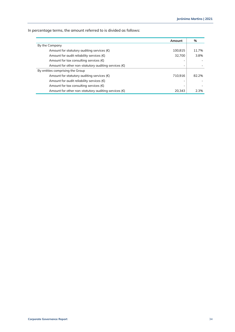In percentage terms, the amount referred to is divided as follows:

| Amount                                                        |         | %     |
|---------------------------------------------------------------|---------|-------|
| By the Company                                                |         |       |
| Amount for statutory auditing services $(\epsilon)$           | 100.815 | 11.7% |
| Amount for audit reliability services $(\epsilon)$            | 32.700  | 3.8%  |
| Amount for tax consulting services $(\epsilon)$               |         |       |
| Amount for other non-statutory auditing services $(\epsilon)$ |         |       |
| By entities comprising the Group                              |         |       |
| Amount for statutory auditing services $(\epsilon)$           | 710.916 | 82.2% |
| Amount for audit reliability services $(\epsilon)$            |         |       |
| Amount for tax consulting services $(\epsilon)$               |         |       |
| Amount for other non-statutory auditing services $(\epsilon)$ | 20.343  | 2.3%  |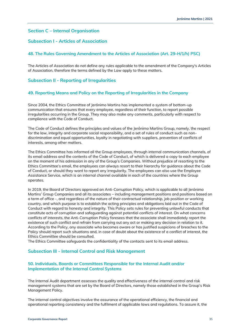# <span id="page-34-0"></span>**Section C – Internal Organisation**

# <span id="page-34-1"></span>**Subsection I - Articles of Association**

### **48. The Rules Governing Amendment to the Articles of Association (Art. 29-H/1/h) PSC)**

The Articles of Association do not define any rules applicable to the amendment of the Company's Articles of Association, therefore the terms defined by the Law apply to these matters.

# <span id="page-34-2"></span>**Subsection II - Reporting of Irregularities**

### **49. Reporting Means and Policy on the Reporting of Irregularities in the Company**

Since 2004, the Ethics Committee of Jerónimo Martins has implemented a system of bottom-up communication that ensures that every employee, regardless of their function, to report possible irregularities occurring in the Group. They may also make any comments, particularly with respect to compliance with the Code of Conduct.

The Code of Conduct defines the principles and values of the Jerónimo Martins Group, namely, the respect for the law, integrity and corporate social responsibility, and a set of rules of conduct such as nondiscrimination and equal opportunities, loyalty in negotiating with suppliers, prevention of conflicts of interests, among other matters.

The Ethics Committee has informed all the Group employees, through internal communication channels, of its email address and the contents of the Code of Conduct, of which is delivered a copy to each employee on the moment of his admission in any of the Group's Companies. Without prejudice of resorting to the Ethics Committee's email, the employees can always resort to their hierarchy for guidance about the Code of Conduct, or should they want to report any irregularity. The employees can also use the Employee Assistance Service, which is an internal channel available in each of the countries where the Group operates.

In 2019, the Board of Directors approved an Anti-Corruption Policy, which is applicable to all Jerónimo Martins' Group Companies and all its associates – including management positions and positions based on a term of office -, and regardless of the nature of their contractual relationship, job position or working country, and which purpose is to establish the acting principles and obligations laid out in the Code of Conduct with regard to honesty and integrity. This Policy sets rules for preventing unlawful conducts that constitute acts of corruption and safeguarding against potential conflicts of interest. On what concerns conflicts of interests, the Anti-Corruption Policy foresees that the associate shall immediately report the existence of such conflict and refrain from carrying out any act or making any decision in relation to it. According to the Policy, any associate who becomes aware or has justified suspicions of breaches to the Policy should report such situations and, in case of doubt about the existence of a conflict of interest, the Ethics Committee should be consulted.

The Ethics Committee safeguards the confidentiality of the contacts sent to its email address.

### <span id="page-34-3"></span>**Subsection III - Internal Control and Risk Management**

# **50. Individuals, Boards or Committees Responsible for the Internal Audit and/or Implementation of the Internal Control Systems**

The Internal Audit department assesses the quality and effectiveness of the internal control and risk management systems that are set by the Board of Directors, namely those established in the Group's Risk Management Policy.

The internal control objectives involve the assurance of the operational efficiency, the financial and operational reporting consistency and the fulfilment of applicable laws and regulations. To assure it, the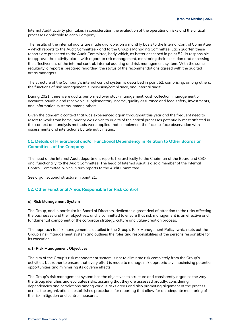Internal Audit activity plan takes in consideration the evaluation of the operational risks and the critical processes applicable to each Company.

The results of the internal audits are made available, on a monthly basis to the Internal Control Committee – which reports to the Audit Committee - and to the Group's Managing Committee. Each quarter, these reports are presented to the Audit Committee, body which, as better described in point 52., is responsible to approve the activity plans with regard to risk management, monitoring their execution and assessing the effectiveness of the internal control, internal auditing and risk management system. With the same regularity, a report is prepared regarding the status of the recommendations agreed with the audited areas managers.

The structure of the Company's internal control system is described in point 52. comprising, among others, the functions of risk management, supervision/compliance, and internal audit.

During 2021, there were audits performed over stock management, cash collection, management of accounts payable and receivable, supplementary income, quality assurance and food safety, investments, and information systems, among others.

Given the pandemic context that was experienced again throughout this year and the frequent need to resort to work from home, priority was given to audits of the critical processes potentially most affected in this context and analysis methods were applied that complement the face-to-face observation with assessments and interactions by telematic means.

# **51. Details of Hierarchical and/or Functional Dependency in Relation to Other Boards or Committees of the Company**

The head of the Internal Audit department reports hierarchically to the Chairman of the Board and CEO and, functionally, to the Audit Committee. The head of Internal Audit is also a member of the Internal Control Committee, which in turn reports to the Audit Committee.

See organisational structure in point 21.

### **52. Other Functional Areas Responsible for Risk Control**

### **a) Risk Management System**

The Group, and in particular its Board of Directors, dedicates a great deal of attention to the risks affecting the businesses and their objectives, and is committed to ensure that risk management is an effective and fundamental component of the corporate strategy, culture and value-creation process.

The approach to risk management is detailed in the Group's Risk Management Policy, which sets out the Group's risk management system and outlines the roles and responsibilities of the persons responsible for its execution.

### **a.1) Risk Management Objectives**

The aim of the Group's risk management system is not to eliminate risk completely from the Group's activities, but rather to ensure that every effort is made to manage risk appropriately, maximising potential opportunities and minimising its adverse effects.

The Group's risk management system has the objectives to structure and consistently organise the way the Group identifies and evaluates risks, assuring that they are assessed broadly, considering dependencies and correlations among various risks areas and also promoting alignment of the process across the organization. It establishes procedures for reporting that allow for an adequate monitoring of the risk mitigation and control measures.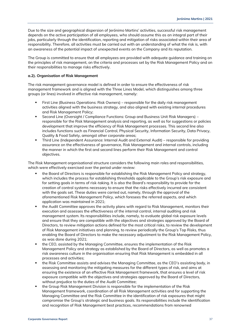Due to the size and geographical dispersion of Jerónimo Martins' activities, successful risk management depends on the active participation of all employees, who should assume this as an integral part of their jobs, particularly through the identification, reporting and mitigation of risks associated within their area of responsibility. Therefore, all activities must be carried out with an understanding of what the risk is, with an awareness of the potential impact of unexpected events on the Company and its reputation.

The Group is committed to ensure that all employees are provided with adequate guidance and training on the principles of risk management, on the criteria and processes set by the Risk Management Policy and on their responsibilities to manage risks effectively.

### **a.2). Organisation of Risk Management**

The risk management governance model is defined in order to ensure the effectiveness of risk management framework and is aligned with the Three Lines Model, which distinguishes among three groups (or lines) involved in effective risk management, namely:

- First Line (Business Operations: Risk Owners) responsible for the daily risk management activities aligned with the business strategy, and also aligned with existing internal procedures and Risk Management Policy;
- Second Line (Oversight / Compliance Functions: Group and Business Unit Risk Managers) responsible for the Risk Management analysis and reporting, as well as for suggestions or policies development that improve the efficiency of Risk Management processes. This second line also includes functions such as Financial Control, Physical Security, Information Security, Data Privacy, Quality & Food Safety, amongst other corporate areas;
- **•** Third Line (Independent Assurance: Internal Audit and External Audit) responsible for providing assurance on the effectiveness of governance, Risk Management and internal controls, including the manner in which the first and second lines perform their Risk Management and control objectives.

The Risk Management organisational structure considers the following main roles and responsibilities, which were effectively exercised over the period under review:

- the Board of Directors is responsible for establishing the Risk Management Policy and strategy, which includes the process for establishing thresholds applicable to the Group's risk exposure and for setting goals in terms of risk-taking. It is also the Board's responsibility to provide for the creation of control systems necessary to ensure that the risks effectively incurred are consistent with the goals set. These duties were carried out, namely, through the approval of the aforementioned Risk Management Policy, which foresees the referred aspects, and which application was maintained in 2021;
- the Audit Committee approves the activity plans with regard to Risk Management, monitors their execution and assesses the effectiveness of the internal control, internal auditing and risk management system. Its responsibilities include, namely, to evaluate global risk exposure levels and ensure that they are compatible with the objectives and strategies approved by the Board of Directors, to review mitigation actions defined for the most critical risks, to review the development of Risk Management initiatives and planning, to review periodically the Group's Top Risks, thus enabling the Board of Directors to make the necessary adjustment to the Risk Management Policy, as was done during 2021;
- the CEO, assisted by the Managing Committee, ensures the implementation of the Risk Management Policy and strategy as established by the Board of Directors, as well as promotes a risk awareness culture in the organisation ensuring that Risk Management is embedded in all processes and activities;
- the Risk Committee assists and advises the Managing Committee, as the CEO's assisting body, in assessing and monitoring the mitigating measures for the different types of risk, and aims at ensuring the existence of an effective Risk Management framework, that ensures a level of risk exposure compatible with the objectives and strategies approved by the Board of Directors, without prejudice to the duties of the Audit Committee;
- the Group Risk Management Division is responsible for the implementation of the Risk Management framework, coordination of all Risk Management activities and for supporting the Managing Committee and the Risk Committee in the identification of risk exposures that might compromise the Group's strategic and business goals. Its responsibilities include the identification and recognition of Risk Management best practices, recommendations from renowned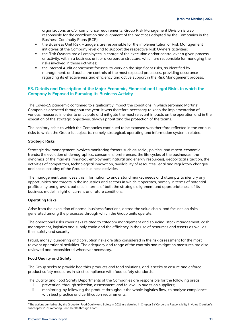organizations and/or compliance requirements. Group Risk Management Division is also responsible for the coordination and alignment of the practices adopted by the Companies in the Business Continuity Plans (BCP);

- the Business Unit Risk Managers are responsible for the implementation of Risk Management initiatives at the Company level and to support the respective Risk Owners activities;
- the Risk Owners are all employees in charge of the execution and/or control over a given process or activity, within a business unit or a corporate structure, which are responsible for managing the risks involved in those activities;
- the Internal Audit department focuses its work on the significant risks, as identified by management, and audits the controls of the most exposed processes, providing assurance regarding its effectiveness and efficiency and active support in the Risk Management process.

# **53. Details and Description of the Major Economic, Financial and Legal Risks to which the Company is Exposed in Pursuing Its Business Activity**

The Covid-19 pandemic continued to significantly impact the conditions in which Jerónimo Martins' Companies operated throughout the year. It was therefore necessary to keep the implementation of various measures in order to anticipate and mitigate the most relevant impacts on the operation and in the execution of the strategic objectives, always prioritizing the protection of the teams.

The sanitary crisis to which the Companies continued to be exposed was therefore reflected in the various risks to which the Group is subject to, namely strategical, operating and information systems related.

### **Strategic Risks**

Strategic risk management involves monitoring factors such as social, political and macro-economic trends: the evolution of demographics, consumers' preferences, the life cycles of the businesses, the dynamics of the markets (financial, employment, natural and energy resources), geopolitical situation, the activities of competitors, technological innovation, availability of resources, legal and regulatory changes and social scrutiny of the Group's business activities.

The management team uses this information to understand market needs and attempts to identify any opportunities and threats in the industries and sectors in which it operates, namely in terms of potential profitability and growth, but also in terms of both the strategic alignment and appropriateness of its business model in light of current and future conditions.

### **Operating Risks**

Arise from the execution of normal business functions, across the value chain, and focuses on risks generated among the processes through which the Group units operate.

The operational risks cover risks related to category management and sourcing, stock management, cash management, logistics and supply chain and the efficiency in the use of resources and assets as well as their safety and security.

Fraud, money laundering and corruption risks are also considered in the risk assessment for the most relevant operational activities. The adequacy and range of the controls and mitigation measures are also reviewed and reconsidered whenever necessary.

### **Food Quality and Safety**<sup>1</sup>

The Group seeks to provide healthier products and food solutions, and it seeks to ensure and enforce product safety measures in strict compliance with food safety standards.

The Quality and Food Safety Departments of the Companies are responsible for the following areas:

- i. prevention, through selection, assessment, and follow-up audits on suppliers;
- ii. monitoring, by following the product throughout the whole logistics flow, to analyse compliance with best practice and certification requirements;

<sup>&</sup>lt;sup>1</sup> The actions carried out by the Group for Food Quality and Safety in 2021 are detailed in Chapter 5 ("Corporate Responsibility in Value Creation"), subchapter 2 - "Promoting Good Health through Food".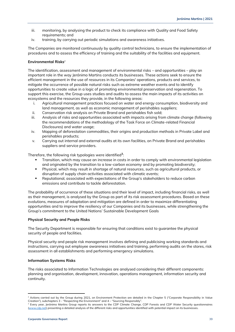- iii. monitoring, by analysing the product to check its compliance with Quality and Food Safety requirements; and
- iv. training, by carrying out periodic simulations and awareness initiatives.

The Companies are monitored continuously by quality control technicians, to ensure the implementation of procedures and to assess the efficiency of training and the suitability of the facilities and equipment.

### **Environmental Risks**<sup>2</sup>

The identification, assessment and management of environmental risks – and opportunities – play an important role in the way Jerónimo Martins conducts its businesses. These actions seek to ensure the efficient management in the use of resources in its Companies' operations, products and services, to mitigate the occurrence of possible natural risks such as extreme weather events and to identify opportunities to create value in a logic of promoting environmental preservation and regeneration. To support this exercise, the Group uses studies and audits to assess the main impacts of its activities on ecosystems and the resources they provide, in the following areas:

- i. Agricultural management practices focused on water and energy consumption, biodiversity and land management, as well as economic management of perishables suppliers;
- ii. Conservation risk analysis on Private Brand and perishables fish sold;
- iii. Analysis of risks and opportunities associated with impacts arising from climate change (following the recommendations of the methodology of the Task Force on Climate-related Financial Disclosures) and water usage;
- iv. Mapping of deforestation commodities, their origins and production methods in Private Label and perishables products;
- v. Carrying out internal and external audits at its own facilities, on Private Brand and perishables suppliers and service providers.

Therefore, the following risk typologies were identified**<sup>3</sup>** :

- Transition, which may cause an increase in costs in order to comply with environmental legislation and originated by the transition to a low-carbon economy and by promoting biodiversity;
- Physical, which may result in shortage of natural resources, such as agricultural products, or disruption of supply chain activities associated with climatic events;
- **•** Reputational, associated with expectations of the Group's stakeholders to reduce carbon emissions and contribute to tackle deforestation.

The probability of occurrence of these situations and their level of impact, including financial risks, as well as their management, is analysed by the Group as part of its risk assessment procedures. Based on these evolutions, measures of adaptation and mitigation are defined in order to maximize differentiating opportunities and to improve the resiliency of our Companies and its businesses, while strengthening the Group's commitment to the United Nations' Sustainable Development Goals

### **Physical Security and People Risks**

The Security Department is responsible for ensuring that conditions exist to guarantee the physical security of people and facilities.

Physical security and people risk management involves defining and publicising working standards and instructions, carrying out employee awareness initiatives and training, performing audits on the stores, risk assessment in all establishments and performing emergency simulations.

### **Information Systems Risks**

The risks associated to Information Technologies are analysed considering their different components: planning and organisation, development, innovation, operations management, information security and continuity.

<sup>&</sup>lt;sup>2</sup> Actions carried out by the Group during 2021, on Environment Protection are detailed in the Chapter 5 ("Corporate Responsibility in Value Creation"), subchapters 3 - "Respecting the Environment" and 4 – "Sourcing Responsibly".

<sup>&</sup>lt;sup>3</sup> Every year, Jerónimo Martins Group reports its answers to the CDP Climate Change, CDP Forests and CDP Water Security questionnaires [\(www.cdp.net\)](http://www.cdp.net/) presenting a detailed analysis of the different risks and opportunities identified with potential impact on its businesses.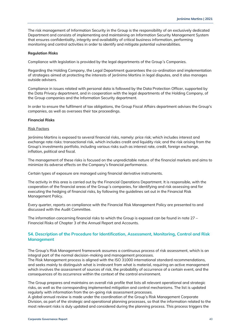The risk management of Information Security in the Group is the responsibility of an exclusively dedicated Department and consists of implementing and maintaining an Information Security Management System that ensures confidentiality, integrity and availability of critical business information, performing monitoring and control activities in order to identify and mitigate potential vulnerabilities.

### **Regulation Risks**

Compliance with legislation is provided by the legal departments of the Group´s Companies.

Regarding the Holding Company, the Legal Department guarantees the co-ordination and implementation of strategies aimed at protecting the interests of Jerónimo Martins in legal disputes, and it also manages outside advisers.

Compliance in issues related with personal data is followed by the Data Protection Officer, supported by the Data Privacy department, and in cooperation with the legal departments of the Holding Company, of the Group companies and the Information Security department.

In order to ensure the fulfilment of tax obligations, the Group Fiscal Affairs department advises the Group's companies, as well as oversees their tax proceedings.

### **Financial Risks**

### Risk Factors

Jerónimo Martins is exposed to several financial risks, namely: price risk; which includes interest and exchange rate risks: transactional risk, which includes credit and liquidity risk; and the risk arising from the Group's investments portfolio, including various risks such as interest rate, credit, foreign exchange, inflation, political and fiscal.

The management of these risks is focused on the unpredictable nature of the financial markets and aims to minimize its adverse effects on the Company's financial performance.

Certain types of exposure are managed using financial derivative instruments.

The activity in this area is carried out by the Financial Operations Department. It is responsible, with the cooperation of the financial areas of the Group´s companies, for identifying and risk assessing and for executing the hedging of financial risks, by following the guidelines set out in the Financial Risk Management Policy.

Every quarter, reports on compliance with the Financial Risk Management Policy are presented to and discussed with the Audit Committee.

The information concerning financial risks to which the Group is exposed can be found in note 27 – Financial Risks of Chapter 3 of the Annual Report and Accounts.

### **54. Description of the Procedure for Identification, Assessment, Monitoring, Control and Risk Management**

The Group's Risk Management framework assumes a continuous process of risk assessment, which is an integral part of the normal decision-making and management processes.

The Risk Management process is aligned with the ISO 31000 international standard recommendations, and seeks mainly to distinguish what is irrelevant from what is material, requiring an active management which involves the assessment of sources of risk, the probability of occurrence of a certain event, and the consequences of its occurrence within the context of the control environment.

The Group prepares and maintains an overall risk profile that lists all relevant operational and strategic risks, as well as the corresponding implemented mitigation and control mechanisms. The list is updated regularly with information from the on-going risk assessment processes.

A global annual review is made under the coordination of the Group's Risk Management Corporate Division, as part of the strategic and operational planning processes, so that the information related to the most relevant risks is duly updated and considered during the planning process. This process triggers the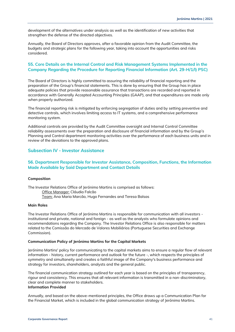development of the alternatives under analysis as well as the identification of new activities that strengthen the defense of the directed objectives.

Annually, the Board of Directors approves, after a favorable opinion from the Audit Committee, the budgets and strategic plans for the following year, taking into account the opportunities and risks considered.

# **55. Core Details on the Internal Control and Risk Management Systems Implemented in the Company Regarding the Procedure for Reporting Financial Information (Art. 29-H/1/l) PSC)**

The Board of Directors is highly committed to assuring the reliability of financial reporting and the preparation of the Group's financial statements. This is done by ensuring that the Group has in place adequate policies that provide reasonable assurance that transactions are recorded and reported in accordance with Generally Accepted Accounting Principles (GAAP), and that expenditures are made only when properly authorized.

The financial reporting risk is mitigated by enforcing segregation of duties and by setting preventive and detective controls, which involves limiting access to IT systems, and a comprehensive performance monitoring system.

Additional controls are provided by the Audit Committee oversight and Internal Control Committee reliability assessments over the preparation and disclosure of financial information and by the Group's Planning and Control department monitoring activities over the performance of each business units and in review of the deviations to the approved plans.

# <span id="page-40-0"></span>**Subsection IV - Investor Assistance**

### **56. Department Responsible for Investor Assistance, Composition, Functions, the Information Made Available by Said Department and Contact Details**

### **Composition**

The Investor Relations Office of Jerónimo Martins is comprised as follows: Office Manager: Cláudia Falcão Team: Ana Maria Marcão, Hugo Fernandes and Teresa Balsas

### **Main Roles**

The Investor Relations Office of Jerónimo Martins is responsible for communication with all investors institutional and private, national and foreign - as well as the analysts who formulate opinions and recommendations regarding the Company. The Investor Relations Office is also responsible for matters related to the Comissão do Mercado de Valores Mobiliários (Portuguese Securities and Exchange Commission).

### **Communication Policy of Jerónimo Martins for the Capital Markets**

Jerónimo Martins' policy for communicating to the capital markets aims to ensure a regular flow of relevant information - history, current performance and outlook for the future -, which respects the principles of symmetry and simultaneity and creates a faithful image of the Company's business performance and strategy for investors, shareholders, analysts and the general public.

The financial communication strategy outlined for each year is based on the principles of transparency, rigour and consistency. This ensures that all relevant information is transmitted in a non-discriminatory, clear and complete manner to stakeholders. **Information Provided**

Annually, and based on the above-mentioned principles, the Office draws up a Communication Plan for the Financial Market, which is included in the global communication strategy of Jerónimo Martins.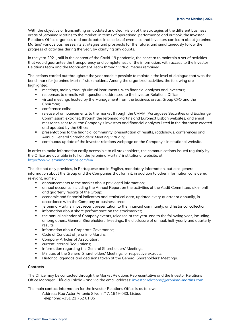With the objective of transmitting an updated and clear vision of the strategies of the different business areas of Jerónimo Martins to the market, in terms of operational performance and outlook, the Investor Relations Office organises and participates in a series of events so that investors can learn about Jerónimo Martins' various businesses, its strategies and prospects for the future, and simultaneously follow the progress of activities during the year, by clarifying any doubts.

In the year 2021, still in the context of the Covid-19 pandemic, the concern to maintain a set of activities that would guarantee the transparency and completeness of the information, with access to the Investor Relations team and the Management Team through virtual means remained.

The actions carried out throughout the year made it possible to maintain the level of dialogue that was the benchmark for Jerónimo Martins' stakeholders. Among the organized activities, the following are highlighted:

- meetings, mainly through virtual instruments, with financial analysts and investors;
- responses to e-mails with questions addressed to the Investor Relations Office;
- virtual meetings hosted by the Management from the business areas, Group CFO and the Chairman;
- conference calls:
- release of announcements to the market through the CMVM (Portuguese Securities and Exchange Commission) extranet, through the Jerónimo Martins and Euronext Lisbon websites, and email messages sent to all the Company's investors and financial analysts listed in the database created and updated by the Office;
- presentations to the financial community: presentation of results, roadshows, conferences and Annual General Shareholders' Meeting, virtually;
- continuous update of the investor relations webpage on the Company's institutional website.

In order to make information easily accessible to all stakeholders, the communications issued regularly by the Office are available in full on the Jerónimo Martins' institutional website, at [https://www.jeronimomartins.com/en/.](https://www.jeronimomartins.com/en/)

The site not only provides, in Portuguese and in English, mandatory information, but also general information about the Group and the Companies that form it, in addition to other information considered relevant, namely:

- announcements to the market about privileged information;
- annual accounts, including the Annual Report on the activities of the Audit Committee, six-month and quarterly reports of the Group;
- economic and financial indicators and statistical data, updated every quarter or annually, in accordance with the Company or business area;
- Jerónimo Martins' most recent presentation to the financial community, and historical collection;
- **■** information about share performance on the stockmarket;
- the annual calendar of Company events, released at the year-end to the following year, including, among others, General Shareholders' Meetings, the disclosure of annual, half-yearly and quarterly results;
- information about Corporate Governance;
- Code of Conduct of Jerónimo Martins;
- **Company Articles of Association;**
- current Internal Regulations;
- **·** Information regarding the General Shareholders' Meetings;
- Minutes of the General Shareholders' Meetings, or respective extracts;
- Historical agendas and decisions taken at the General Shareholders' Meetings.

### **Contacts**

The Office may be contacted through the Market Relations Representative and the Investor Relations Office Manager, Cláudia Falcão - and via the email address: [investor.relations@jeronimo-martins.com.](mailto:investor.relations@jeronimo-martins.com)

The main contact information for the Investor Relations Office is as follows:

Address: Rua Actor António Silva, n.º 7, 1649-033, Lisboa Telephone: +351 21 752 61 05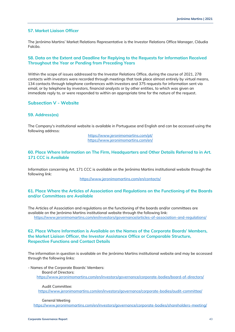### **57. Market Liaison Officer**

The Jerónimo Martins' Market Relations Representative is the Investor Relations Office Manager, Cláudia Falcão.

# **58. Data on the Extent and Deadline for Replying to the Requests for Information Received Throughout the Year or Pending from Preceding Years**

Within the scope of issues addressed to the Investor Relations Office, during the course of 2021, 278 contacts with investors were recorded through meetings that took place almost entirely by virtual means, 134 contacts through telephone conferences with investors and 375 requests for information sent via email, or by telephone by investors, financial analysts or by other entities, to which was given an immediate reply to, or were responded to within an appropriate time for the nature of the request.

# <span id="page-42-0"></span>**Subsection V - Website**

### **59. Address(es)**

The Company's institutional website is available in Portuguese and English and can be accessed using the following address:

> <https://www.jeronimomartins.com/pt/> <https://www.jeronimomartins.com/en/>

### **60. Place Where Information on The Firm, Headquarters and Other Details Referred to in Art. 171 CCC is Available**

Information concerning Art. 171 CCC is available on the Jerónimo Martins institutional website through the following link:

<https://www.jeronimomartins.com/en/contacts/>

### **61. Place Where the Articles of Association and Regulations on the Functioning of the Boards and/or Committees are Available**

The Articles of Association and regulations on the functioning of the boards and/or committees are available on the Jerónimo Martins institutional website through the following link: <https://www.jeronimomartins.com/en/investors/governance/articles-of-association-and-regulations/>

### **62. Place Where Information is Available on the Names of the Corporate Boards' Members, the Market Liaison Officer, the Investor Assistance Office or Comparable Structure, Respective Functions and Contact Details**

The information in question is available on the Jerónimo Martins institutional website and may be accessed through the following links:

- Names of the Corporate Boards' Members: Board of Directors: <https://www.jeronimomartins.com/en/investors/governance/corporate-bodies/board-of-directors/>

### Audit Committee:

<https://www.jeronimomartins.com/en/investors/governance/corporate-bodies/audit-committee/>

### General Meeting

<https://www.jeronimomartins.com/en/investors/governance/corporate-bodies/shareholders-meeting/>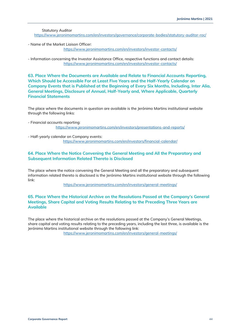Statutory Auditor <https://www.jeronimomartins.com/en/investors/governance/corporate-bodies/statutory-auditor-roc/>

- Name of the Market Liaison Officer: <https://www.jeronimomartins.com/en/investors/investor-contacts/>

- Information concerning the Investor Assistance Office, respective functions and contact details: <https://www.jeronimomartins.com/en/investors/investor-contacts/>

**63. Place Where the Documents are Available and Relate to Financial Accounts Reporting, Which Should be Accessible For at Least Five Years and the Half-Yearly Calendar on Company Events that is Published at the Beginning of Every Six Months, Including, Inter Alia, General Meetings, Disclosure of Annual, Half-Yearly and, Where Applicable, Quarterly Financial Statements**

The place where the documents in question are available is the Jerónimo Martins institutional website through the following links:

- Financial accounts reporting: <https://www.jeronimomartins.com/en/investors/presentations-and-reports/>
- Half-yearly calendar on Company events: <https://www.jeronimomartins.com/en/investors/financial-calendar/>

# **64. Place Where the Notice Convening the General Meeting and All the Preparatory and Subsequent Information Related Thereto is Disclosed**

The place where the notice convening the General Meeting and all the preparatory and subsequent information related thereto is disclosed is the Jerónimo Martins institutional website through the following link:

<https://www.jeronimomartins.com/en/investors/general-meetings/>

# **65. Place Where the Historical Archive on the Resolutions Passed at the Company's General Meetings, Share Capital and Voting Results Relating to the Preceding Three Years are Available**

The place where the historical archive on the resolutions passed at the Company's General Meetings, share capital and voting results relating to the preceding years, including the last three, is available is the Jerónimo Martins institutional website through the following link:

<https://www.jeronimomartins.com/en/investors/general-meetings/>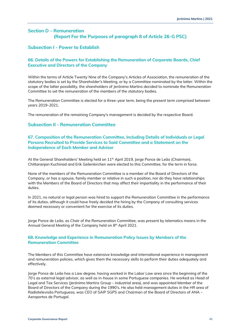# <span id="page-44-0"></span>**Section D – Remuneration (Report For the Purposes of paragraph 8 of Article 26-G PSC)**

# <span id="page-44-1"></span>**Subsection I - Power to Establish**

# **66. Details of the Powers for Establishing the Remuneration of Corporate Boards, Chief Executive and Directors of the Company**

Within the terms of Article Twenty Nine of the Company's Articles of Association, the remuneration of the statutory bodies is set by the Shareholder's Meeting, or by a Committee nominated by the latter. Within the scope of the latter possibility, the shareholders of Jerónimo Martins decided to nominate the Remuneration Committee to set the remuneration of the members of the statutory bodies.

The Remuneration Committee is elected for a three-year term, being the present term comprised between years 2019-2021.

The remuneration of the remaining Company's management is decided by the respective Board.

# <span id="page-44-2"></span>**Subsection II - Remuneration Committee**

# **67. Composition of the Remuneration Committee, Including Details of Individuals or Legal Persons Recruited to Provide Services to Said Committee and a Statement on the Independence of Each Member and Advisor**

At the General Shareholders' Meeting held on  $11<sup>th</sup>$  April 2019, Jorge Ponce de Leão (Chairman), Chittaranjan Kuchinad and Erik Geilenkirchen were elected to this Committee, for the term in force.

None of the members of the Remuneration Committee is a member of the Board of Directors of the Company, or has a spouse, family member or relative in such a position, nor do they have relationships with the Members of the Board of Directors that may affect their impartiality in the performance of their duties.

In 2021, no natural or legal person was hired to support the Remuneration Committee in the performance of its duties, although it could have freely decided the hiring by the Company of consulting services deemed necessary or convenient for the exercise of its duties.

Jorge Ponce de Leão, as Chair of the Remuneration Committee, was present by telematics means in the Annual General Meeting of the Company held on 8<sup>th</sup> April 2021.

# **68. Knowledge and Experience in Remuneration Policy Issues by Members of the Remuneration Committee**

The Members of this Committee have extensive knowledge and international experience in management and remuneration policies, which gives them the necessary skills to perform their duties adequately and effectively.

Jorge Ponce de Leão has a Law degree, having worked in the Labor Law area since the beginning of the 70's as external legal advisor, as well as in-house in some Portuguese companies. He worked as Head of Legal and Tax Services (Jerónimo Martins Group – industrial area), and was appointed Member of the Board of Directors of the Company during the 1990's. He also held management duties in the HR area of Radiotelevisão Portuguesa, was CEO of SAIP SGPS and Chairman of the Board of Directors of ANA – Aeroportos de Portugal.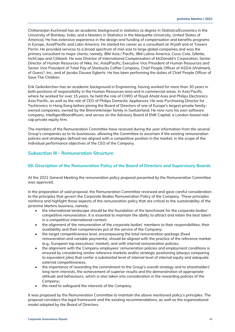Chittaranjan Kuchinad has an academic background in statistics (a degree in Statistics/Economics in the University of Bombay, India, and a Masters in Statistics in the Marquette University, United States of America). He has extensive experience in the design and funding of compensation and benefits programs in Europe, Asia/Pacific and Latin America. He started his career as a consultant at Wyatt and at Towers Perrin. He provided services to a broad spectrum of mid-size to large global companies and was the primary consultant to major clients, namely, IBM Asia / Pacific, IBM Latina America, Coca-Cola, Gillette, InchCape and Citibank. He was Director of International Compensation of McDonald's Corporation, Senior Director of Human Resources of Nike, Inc. Asia/Pacific, Executive Vice President of Human Resources and Senior Vice President of Total Pay of Starbucks Coffee Company, Chief People Officer of ASDA (Walmart), of Guess?, Inc., and of Jacobs Douwe Egberts. He has been performing the duties of Chief People Officer of Save The Children.

Erik Geilenkirchen has an academic background in Engineering, having worked for more than 30 years in both positions of responsibility in the Human Resources area and in commercial areas. In Asia Pacific, where he worked for over 15 years, he held the role of CHRO of Royal Ahold Asia and Philips Electronics Asia Pacific, as well as the role of CEO of Philips Domestic Appliances. He was Purchasing Director for Techtronics in Hong Kong before joining the Board of Directors of one of Europe's largest private familyowned companies, owned by the Brenninkmeijer family in Switzerland. He now runs his own software company, IntelligentBoardRoom, and serves on the Advisory Board of EMK Capital, a London-based midcap private equity firm.

The members of the Remuneration Committee have received during the year information from the several Group's companies as to its businesses, allowing the Committee to ascertain if the existing remuneration policies and strategies defined are aligned with a competitive position in the market, in the scope of the individual performance objectives of the CEO of the Company.

# <span id="page-45-0"></span>**Subsection III - Remuneration Structure**

# **69. Description of the Remuneration Policy of the Board of Directors and Supervisory Boards**

At the 2021 General Meeting the remuneration policy proposal presented by the Remuneration Committee was approved.

In the preparation of said proposal, the Remuneration Committee reviewed and gave careful consideration to the principles that govern the Corporate Bodies Remuneration Policy of the Company. These principles reinforce and highlight those aspects of the remuneration policy that are critical to the sustainability of the Jerónimo Martins business, namely:

- the international landscape should be the foundation of the benchmark for the corporate bodies' competitive remuneration. It is essential to maintain the ability to attract and retain the best talent in a competitive international context;
- the alignment of the remuneration of the corporate bodies' members to their responsibilities, their availability and their competencies put at the service of the Company;
- the target competitiveness level, encompassing the total remuneration package (fixed remuneration and variable payments), should be aligned with the practice of the reference market (e.g., European top executives' market), and with internal remuneration policies;
- the alignment with the Company employees' remuneration policies and employment conditions is ensured by considering similar reference markets and/or strategic positioning (always comparing to equivalent jobs) that confer a substantial level of internal level of internal equity and adequate external competitiveness;
- the importance of rewarding the commitment to the Group's overall strategy and to shareholders' long-term interests, the achievement of superior results and the demonstration of appropriate attitude and behaviours, which is also taken into consideration in the rewarding policies of the Company;
- the need to safeguard the interests of the Company.

It was proposed by the Remuneration Committee to maintain the above mentioned policy's principles. The proposal considers the legal framework and the existing recommendations, as well as the organisational model adopted by the Board of Directors.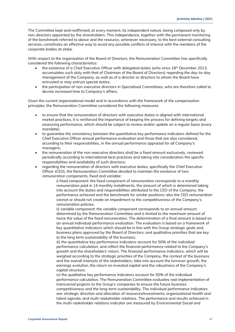The Committee kept and reaffirmed, at every moment, its independent nature, being composed only by non-directors appointed by the shareholders. This independence, together with the permanent monitoring of the benchmark referred to above and the resource, whenever necessary, to the best external consulting services, constitutes an effective way to avoid any possible conflicts of interest with the members of the corporate bodies at stake.

With respect to the organisation of the Board of Directors, the Remuneration Committee has specifically considered the following characteristics:

- the existence of a Chief Executive Officer with delegated duties (who since 18<sup>th</sup> December 2013, accumulates such duty with that of Chairman of the Board of Directors) regarding the day-to-day management of the Company, as well as of a director or directors to whom the Board have entrusted or may entrust special duties;
- the participation of non-executive directors in Specialised Committees, who are therefore called to devote increased time to Company's affairs.

Given the current organizational model and in accordance with the framework of the compensation principles, the Remuneration Committee considered the following measures:

- to ensure that the remuneration of directors with executive duties is aligned with international market practices, it is reinforced the importance of keeping the process for defining targets and assessing performance, which should be subject to review and/or update on a regular basis (every mandate);
- to guarantee the consistency between the quantitative key performance indicators defined for the Chief Executive Officer annual performance evaluation and those that are also considered, according to their responsibilities, in the annual performance appraisal for all Company's managers;
- the remuneration of the non-executive directors shall be a fixed amount exclusively, reviewed periodically according to international best practices and taking into consideration the specific responsibilities and availability of such directors;
- regarding the remuneration of directors with executive duties, specifically the Chief Executive Officer (CEO), the Remuneration Committee decided to maintain the existence of two remuneration components, fixed and variable:

i) fixed component: the fixed component of remuneration corresponds to a monthly remuneration paid in 14 monthly installments, the amount of which is determined taking into account the duties and responsibilities attributed to the CEO of the Company, the performance achieved and the benchmark for similar positions; also the CEO remuneration cannot or should not create an impediment to the competitiveness of the Company's remuneration policies;

ii) variable component: the variable component corresponds to an annual amount determined by the Remuneration Committee and is limited to the maximum amount of twice the value of the fixed remuneration. The determination of a final amount is based on an annual individual performance evaluation. The evaluation is based on a framework of key quantitative indicators which should be in line with the Group strategic goals and business plans approved by the Board of Directors, and qualitative priorities that are key to the long term sustainability of the business;

iii) the quantitative key performance indicators account for 50% of the individual performance calculation, and reflect the financial performance related to the Company's growth and the shareholders' return. The financial performance indicators, which will be weighed according to the strategic priorities of the Company, the context of the business and the overall interests of the stakeholders, take into account the turnover growth, the earnings evolution, the return on invested capital and the robustness of the Company's capital structure;

iv) the qualitative key performance indicators account for 50% of the individual performance calculation. The Remuneration Committee evaluates real implementation of transversal projects to the Group's companies to ensure the future business competitiveness and the long-term sustainability. The individual performance indicators are: strategic direction and allocation of resources/investments; organizational health and talent agenda, and multi-stakeholder relations. The performance and results achieved in the multi-stakeholder relations indicator are measured by Environmental Social and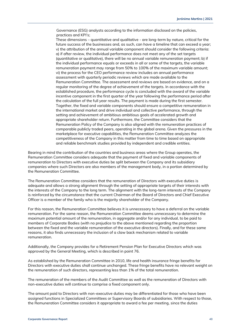Governance (ESG) analysts according to the information disclosed on the policies, practices and KPI's;

These dimensions – quantitative and qualitative - are long-term by nature, critical for the future success of the businesses and, as such, can have a timeline that can exceed a year; v) the attribution of the annual variable component should consider the following criteria: a) if after review, the individual performance does not meet any of the set targets (quantitative or qualitative), there will be no annual variable remuneration payment; b) if the individual performance equals or exceeds in all or some of the targets, the variable remuneration payment may range from 50% to 100% of the maximum variable amount; vi) the process for the CEO performance review includes an annual performance assessment with quarterly periodic reviews which are made available to the Remuneration Committee. The assessment and reviews are based on evidence, and on a regular monitoring of the degree of achievement of the targets. In accordance with the established procedure, the performance cycle is concluded with the award of the variable incentive component in the first quarter of the year following the performance period after the calculation of the full year results. The payment is made during the first semester. Together, the fixed and variable components should ensure a competitive remuneration in the international market and drive individual and collective performance, through the setting and achievement of ambitious ambitious goals of accelerated growth and appropriate shareholder return. Furthermore, the Committee considers that the Remuneration Policy of the Company is also aligned with the remuneration practices of comparable publicly traded peers, operating in the global arena. Given the pressures in the marketplace for executive capabilities, the Remuneration Committee analyzes the competitiveness of the Company in this matter from time to time based on appropriate and reliable benchmark studies provided by independent and credible entities.

Bearing in mind the contribution of the countries and business areas where the Group operates, the Remuneration Committee considers adequate that the payment of fixed and variable components of remuneration to Directors with executive duties be split between the Company and its subsidiary companies where such Directors are also members of the management body, in a portion determined by the Remuneration Committee.

The Remuneration Committee considers that the remuneration of Directors with executive duties is adequate and allows a strong alignment through the setting of appropriate targets of their interests with the interests of the Company to the long term. The alignment with the long-term interests of the Company is reinforced by the circumstance that the current Chairman of the Board of Directors and Chief Executive Officer is a member of the family who is the majority shareholder of the Company.

For this reason, the Remuneration Committee believes it is unnecessary to have a deferral on the variable remuneration. For the same reason, the Remuneration Committee deems unnecessary to determine the maximum potential amount of the remuneration, in aggregate and/or for any individual, to be paid to members of Corporate Bodies (with no prejudice to the above mentioned regarding the proportion between the fixed and the variable remuneration of the executive directors). Finally, and for these same reasons, it also finds unnecessary the inclusion of a claw back mechanism related to variable remuneration.

Additionally, the Company provides for a Retirement Pension Plan for Executive Directors which was approved by the General Meeting, which is described in point 76.

As established by the Remuneration Committee in 2010, life and health insurance fringe benefits for Directors with executive duties shall continue unchanged. These fringe benefits have no relevant weight on the remuneration of such directors, representing less than 1% of the total remuneration.

The remuneration of the members of the Audit Committee as well as the remuneration of Directors with non-executive duties will continue to comprise a fixed component only.

The amount paid to Directors with non-executive duties may be differentiated for those who have been assigned functions in Specialized Committees or Supervisory Boards of subsidiaries. With respect to those, the Remuneration Committee considers it appropriate to award a fee per meeting, since the duties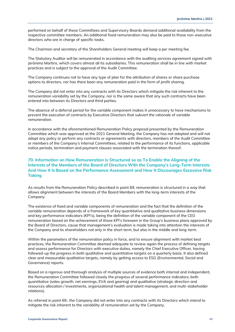performed on behalf of these Committees and Supervisory Boards demand additional availability from the respective committee members. An additional fixed remuneration may also be paid to those non-executive directors who are in charge of specific tasks.

The Chairman and secretary of the Shareholders General meeting will keep a per meeting fee.

The Statutory Auditor will be remunerated in accordance with the auditing services agreement signed with Jerónimo Martins, which covers almost all its subsidiaries. This remuneration shall be in line with market practices and is subject to the approval of the Audit Committee.

The Company continues not to have any type of plan for the attribution of shares or share purchase options to directors, nor has there been any remuneration paid in the form of profit sharing.

The Company did not enter into any contracts with its Directors which mitigate the risk inherent to the remuneration variability set by the Company, nor is the same aware that any such contracts have been entered into between its Directors and third parties.

The absence of a deferral period for the variable component makes it unnecessary to have mechanisms to prevent the execution of contracts by Executive Directors that subvert the rationale of variable remuneration.

In accordance with the aforementioned Remuneration Policy proposal presented by the Remuneration Committee which was approved at the 2021 General Meeting, the Company has not adopted and will not adopt any policy or perform any contracts or agreements with directors, members of the Audit Committee or members of the Company's Internal Committees, related to the performance of its functions, applicable notice periods, termination and payment clauses associated with the termination thereof.

# **70. Information on How Remuneration is Structured so as To Enable the Aligning of the Interests of the Members of the Board of Directors With the Company's Long-Term Interests And How It Is Based on the Performance Assessment and How It Discourages Excessive Risk Taking**

As results from the Remuneration Policy described in point 69, remuneration is structured in a way that allows alignment between the interests of the Board Members with the long-term interests of the Company.

The existence of fixed and variable components of remuneration and the fact that the definition of the variable remuneration depends of a framework of key quantitative and qualitative business dimensions and key performance indicators (KPI's), being the definition of the variable component of the CEO remuneration based on the achievement of those KPI's foreseen in the Group's business plans approved by the Board of Directors, cause that management's evaluation is made taking into attention the interests of the Company and its shareholders not only in the short term, but also in the middle and long-term.

Within the parameters of the remuneration policy in force, and to ensure alignment with market best practices, the Remuneration Committee deemed adequate to review again the process of defining targets and assess performance for Directors with executive duties, namely the Chief Executive Officer, having followed-up the progress in both qualitative and quantitative targets on a quarterly basis. It also defined clear and measurable qualitative targets, namely by getting access to ESG (Environmental, Social and Governance) reports.

Based on a rigorous and thorough analysis of multiple sources of evidence both internal and independent, the Remuneration Committee followed closely the progress of several performance indicators, both quantitative (sales growth, net earnings, EVA and gearing) and qualitative (strategic direction and resources allocation / investments, organizational health and talent management, and multi-stakeholder relations).

As referred in point 69., the Company did not enter into any contracts with its Directors which intend to mitigate the risk inherent to the variability of remuneration set by the Company.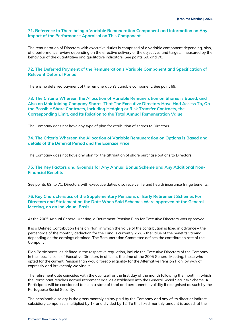### **71. Reference to There being a Variable Remuneration Component and Information on Any Impact of the Performance Appraisal on This Component**

The remuneration of Directors with executive duties is comprised of a variable component depending, also, of a performance review depending on the effective delivery of the objectives and targets, measured by the behaviour of the quantitative and qualitative indicators. See points 69. and 70.

### **72. The Deferred Payment of the Remuneration's Variable Component and Specification of Relevant Deferral Period**

There is no deferred payment of the remuneration's variable component. See point 69.

# **73. The Criteria Whereon the Allocation of Variable Remuneration on Shares is Based, and Also on Maintaining Company Shares That The Executive Directors Have Had Access To, On the Possible Share Contracts, Including Hedging or Risk Transfer Contracts, the Corresponding Limit, and Its Relation to the Total Annual Remuneration Value**

The Company does not have any type of plan for attribution of shares to Directors.

# **74. The Criteria Whereon the Allocation of Variable Remuneration on Options is Based and details of the Deferral Period and the Exercise Price**

The Company does not have any plan for the attribution of share purchase options to Directors.

# **75. The Key Factors and Grounds for Any Annual Bonus Scheme and Any Additional Non-Financial Benefits**

See points 69. to 71. Directors with executive duties also receive life and health insurance fringe benefits.

### **76. Key Characteristics of the Supplementary Pensions or Early Retirement Schemes For Directors and Statement on the Date When Said Schemes Were approved at the General Meeting, on an Individual Basis**

At the 2005 Annual General Meeting, a Retirement Pension Plan for Executive Directors was approved.

It is a Defined Contribution Pension Plan, in which the value of the contribution is fixed in advance – the percentage of the monthly deduction for the Fund is currently 25% - the value of the benefits varying depending on the earnings obtained. The Remuneration Committee defines the contribution rate of the Company.

Plan Participants, as defined in the respective regulation, include the Executive Directors of the Company. In the specific case of Executive Directors in office at the time of the 2005 General Meeting, those who opted for the current Pension Plan would forego eligibility for the Alternative Pension Plan, by way of expressly and irrevocably waiving it.

The retirement date coincides with the day itself or the first day of the month following the month in which the Participant reaches normal retirement age, as established into the General Social Security Scheme. A Participant will be considered to be in a state of total and permanent invalidity if recognised as such by the Portuguese Social Security.

The pensionable salary is the gross monthly salary paid by the Company and any of its direct or indirect subsidiary companies, multiplied by 14 and divided by 12. To this fixed monthly amount is added, at the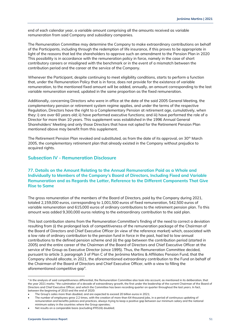end of each calendar year, a variable amount comprising all the amounts received as variable remuneration from said Company and subsidiary companies.

The Remuneration Committee may determine the Company to make extraordinary contributions on behalf of the Participants, including through the redemption of life insurance, if this proves to be appropriate in light of the reasons that led the shareholders to approve such an amendment to the Pension Plan in 2020 This possibility is in accordance with the remuneration policy in force, namely in the case of short contributory careers or misaligned with the benchmark or in the event of a mismatch between the contribution period and the career at the service of the Company.

Whenever the Participant, despite continuing to meet eligibility conditions, starts to perform a function that, under the Remuneration Policy that is in force, does not provide for the existence of variable remuneration, to the mentioned fixed amount will be added, annually, an amount corresponding to the last variable remuneration earned, updated in the same proportion as the fixed remuneration.

Additionally, concerning Directors who were in office at the date of the said 2005 General Meeting, the complementary pension or retirement system regime applies, and under the terms of the respective Regulation, Directors have the right to a Complementary Pension at retirement age, cumulatively, when they: i) are over 60 years old; ii) have performed executive functions; and iii) have performed the role of a Director for more than 10 years. This supplement was established in the 1996 Annual General Shareholders' Meeting and only those Directors that have not opted for the Retirement Pension Plan mentioned above may benefit from this supplement.

The Retirement Pension Plan revoked and substituted, as from the date of its approval, on 30<sup>th</sup> March 2005, the complementary retirement plan that already existed in the Company without prejudice to acquired rights.

# <span id="page-50-0"></span>**Subsection IV - Remuneration Disclosure**

# **77. Details on the Amount Relating to the Annual Remuneration Paid as a Whole and Individually to Members of the Company's Board of Directors, Including Fixed and Variable Remuneration and as Regards the Latter, Reference to the Different Components That Give Rise to Same**

The gross remuneration of the members of the Board of Directors, paid by the Company during 2021, totaled 2,159,000 euros, corresponding to 1,001,500 euros of fixed remuneration, 542,500 euros of variable remuneration and 615,000 euros of ordinary contributions to the retirement pension plan. To this amount was added 9,300,000 euros relating to the extraordinary contribution to the said plan.

This last contribution stems from the Remuneration Committee's finding of the need to correct a deviation resulting from (i) the prolonged lack of competitiveness of the remuneration package of the Chairman of the Board of Directors and Chief Executive Officer (in view of the reference market) which, associated with a low rate of ordinary contribution to the pension fund in force in the past, had led to low annual contributions to the defined pension scheme and (ii) the gap between the contribution period (started in 2005) and the entire career of the Chairman of the Board of Directors and Chief Executive Officer at the service of the Group as Executive Director (since 1995). Thus, the Remuneration Committee decided, pursuant to article 3, paragraph 3 of Plan C of the Jerónimo Martins & Affiliates Pension Fund, that the Company should allocate, in 2021, the aforementioned extraordinary contribution to the Fund on behalf of the Chairman of the Board of Directors and Chief Executive Officer, with a view to filling the aforementioned competitive gap $\rm ^4$ .

• The number of employees grew 2.2 times, with the creation of more than 64 thousand jobs, in a period of continuous updating of remuneration and benefits policies and practices, always trying to keep a positive gap between our minimum salary and the national minimum salary in the countries where the Group operates;

Net results on a comparable basis (excluding IFRS16) doubled;

<sup>4</sup> In the analysis of said competitiveness differential, the Remuneration Committee also took into account, as mentioned in its deliberation, that the year 2021 marks: "the culmination of a decade of extraordinary growth, the first under the leadership of the current Chairman of the Board of Directors and Chief Executive Officer, and which the Committee has been recording quarter on quarter throughout the last years. In fact, between the beginning of 2010 and the end of 2020:

<sup>•</sup> The Group's sales more than doubled, and are expected to exceed 20 billion euros in 2021;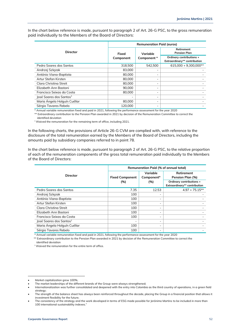In the chart below reference is made, pursuant to paragraph 2 of Art. 26-G PSC, to the gross remuneration paid individually to the Members of the Board of Directors:

|                                     | <b>Remuneration Paid (euros)</b> |                          |                                                          |  |  |  |
|-------------------------------------|----------------------------------|--------------------------|----------------------------------------------------------|--|--|--|
| <b>Director</b>                     | Fixed                            | Variable                 | Retirement<br><b>Pension Plan</b>                        |  |  |  |
|                                     | Component                        | Component *              | Ordinary contributions +<br>Extraordinary** contribution |  |  |  |
| Pedro Sogres dos Santos             | 318,500                          | 542.500                  | 615.000 + 9.300.000**                                    |  |  |  |
| Andrzej Szlęzak                     | 83,000                           |                          |                                                          |  |  |  |
| António Viana-Baptista              | 80,000                           |                          |                                                          |  |  |  |
| Artur Stefan Kirsten                | 80,000                           | $\overline{\phantom{a}}$ |                                                          |  |  |  |
| Clara Christina Streit              | 80,000                           | $\overline{\phantom{a}}$ |                                                          |  |  |  |
| Elizabeth Ann Bastoni               | 90,000                           | $\overline{\phantom{a}}$ |                                                          |  |  |  |
| Francisco Seixas da Costa           | 80,000                           | $\overline{\phantom{a}}$ |                                                          |  |  |  |
| José Soares dos Santos <sup>1</sup> |                                  |                          |                                                          |  |  |  |
| Maria Ángela Holguín Cuéllar        | 80,000                           |                          |                                                          |  |  |  |
| Sérgio Tavares Rebelo               | 120.000                          |                          |                                                          |  |  |  |

\* Annual variable remuneration fixed and paid in 2021, following the performance assessment for the year 2020

\*\* Extraordinary contribution to the Pension Plan awarded in 2021 by decision of the Remuneration Committee to correct the identified deviation

<sup>1</sup> Waived the remuneration for the remaining term of office, including 2021.

In the following charts, the provisions of Article 26-G CVM are complied with, with reference to the disclosure of the total remuneration earned by the Members of the Board of Directors, including the amounts paid by subsidiary companies referred to in point 78.

In the chart below reference is made, pursuant to paragraph 2 of Art. 26-G PSC, to the relative proportion of each of the remuneration components of the gross total remuneration paid individually to the Members of the Board of Directors:

|                                     | <b>Remuneration Paid (% of annual total)</b> |                          |                                                          |  |  |
|-------------------------------------|----------------------------------------------|--------------------------|----------------------------------------------------------|--|--|
| Director                            | <b>Fixed Component</b>                       | Variable<br>Component*   | Retirement<br>Pension Plan (%)                           |  |  |
|                                     | (%)                                          | (%)                      | Ordinary contributions +<br>Extraordinary** contribution |  |  |
| Pedro Sogres dos Santos             | 7.35                                         | 12.53                    | $4.97 + 75.15**$                                         |  |  |
| Andrzej Szlęzak                     | 100                                          | $\overline{\phantom{a}}$ |                                                          |  |  |
| António Viana-Baptista              | 100                                          |                          |                                                          |  |  |
| Artur Stefan Kirsten                | 100                                          | -                        |                                                          |  |  |
| Clara Christina Streit              | 100                                          |                          |                                                          |  |  |
| Elizabeth Ann Bastoni               | 100                                          |                          |                                                          |  |  |
| Francisco Seixas da Costa           | 100                                          |                          |                                                          |  |  |
| José Soares dos Santos <sup>1</sup> | $\overline{\phantom{a}}$                     |                          |                                                          |  |  |
| Maria Ángela Holguín Cuéllar        | 100                                          |                          |                                                          |  |  |
| Sérgio Tavares Rebelo               | 100                                          | -                        |                                                          |  |  |

\* Annual variable remuneration fixed and paid in 2021, following the performance assessment for the year 2020

 \*\* Extraordinary contribution to the Pension Plan awarded in 2021 by decision of the Remuneration Committee to correct the identified deviation

<sup>1</sup> Waived the remuneration for the entire term of office.

<sup>•</sup> Market capitalization grew 100%;

The market leaderships of the different brands of the Group were always strengthened;

<sup>•</sup> Internationalization was further consolidated and deepened with the entry into Colombia as the third country of operations, in a green field strategy;

<sup>•</sup> The strength of the balance sheet has always been reinforced throughout the decade, placing the Group in a financial position that allows it investment flexibility for the future;

The consistency of the strategy and the work developed in terms of ESG made possible for Jerónimo Martins to be included in more than 100 international sustainability indexes."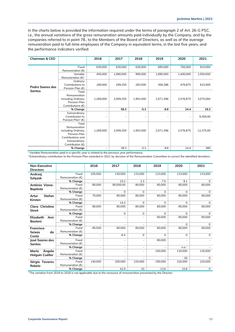In the charts below is provided the information required under the terms of paragraph 2 of Art. 26-G PSC, i.e., the annual variations of the gross remuneration amounts paid individually by the Company, and by the companies referred to in point 78., to the Members of the Board of Directors, as well as of the average remuneration paid to full-time employees of the Company in equivalent terms, in the last five years, and the performance indicators verified:

| <b>Chairman &amp; CEO</b>                |                                                                                                                       | 2016                     | 2017      | 2018      | 2019      | 2020      | 2021      |
|------------------------------------------|-----------------------------------------------------------------------------------------------------------------------|--------------------------|-----------|-----------|-----------|-----------|-----------|
|                                          | Fixed                                                                                                                 | 630,000                  | 630,000   | 630,000   | 685,000   | 700,000   | 910,000   |
|                                          | Remuneration $(E)$                                                                                                    |                          |           |           |           |           |           |
|                                          | Variable<br>Remuneration $(E)^1$                                                                                      | 450,000                  | 1,080,000 | 990,000   | 1,080,000 | 1,400,000 | 1,550,000 |
| <b>Pedro Soares dos</b><br><b>Santos</b> | Ordinary<br>Contributions to<br>Pension Plan $(E)$                                                                    | 189,000                  | 299,250   | 283,500   | 306,396   | 476,875   | 615,000   |
|                                          | Total<br>Remuneration<br>including Ordinary<br>Pension Plan<br>Contributions (€)                                      | 1,269,000                | 2,009,250 | 1,903,500 | 2,071,396 | 2,576,875 | 3,075,000 |
|                                          | % Change                                                                                                              | $\overline{\phantom{a}}$ | 58.3      | $-5.3$    | 8.8       | 24.4      | 19.3      |
|                                          | Extraordinary<br>Contribution to<br>Pension Plan <sup>2</sup> (€)                                                     |                          |           |           |           |           | 9,300,00  |
|                                          | Total<br>Remuneration<br>including Ordinary<br>Pension Plan<br>Contributions and<br>Extraordinary<br>Contribution (€) | 1,269,000                | 2,009,250 | 1,903,500 | 2,071,396 | 2,576,875 | 12,375,00 |
|                                          | % Change                                                                                                              |                          | 58.3      | $-5.3$    | 8.8       | 24.4      | 380       |

<sup>1</sup> Variable Remuneration paid in a specific year is related to the previous year performance.

<sup>2</sup> Extraordinary contribution to the Pension Plan awarded in 2021 by decision of the Remuneration Committee to correct the identified deviation.

| <b>Non-Executive</b>   |                    | 2016                     | 2017                     | 2018     | 2019     | 2020              | 2021        |
|------------------------|--------------------|--------------------------|--------------------------|----------|----------|-------------------|-------------|
| <b>Directors</b>       |                    |                          |                          |          |          |                   |             |
| Andrzei                | Fixed              | 105,500                  | 130,000                  | 133,000  | 123,000  | 133,000           | 133,000     |
| <b>Szlęzak</b>         | Remuneration $(E)$ |                          |                          |          |          |                   |             |
|                        | % Change           |                          | 23.2                     | 2.3      | $-7.5$   | 8.1               | $\Omega$    |
| António Viana-         | Fixed              | 80,000                   | 80,000.00                | 80,000   | 80,000   | 80,000            | 80,000      |
| <b>Baptista</b>        | Remuneration $(E)$ |                          |                          |          |          |                   |             |
|                        | % Change           |                          | $\Omega$                 | $\Omega$ | $\Omega$ | $\Omega$          | $\Omega$    |
| <b>Stefan</b><br>Artur | Fixed              | 70,000                   | 80,000                   | 80.000   | 80,000   | 80,000            | 80,000      |
| Kirsten                | Remuneration $(E)$ |                          |                          |          |          |                   |             |
|                        | % Change           |                          | 14.3                     | $\Omega$ | $\Omega$ | $\Omega$          | $\mathbf 0$ |
| Clara Christina        | Fixed              | 80.000                   | 80,000                   | 80.000   | 80.000   | 80.000            | 80,000      |
| <b>Streit</b>          | Remuneration $(E)$ |                          |                          |          |          |                   |             |
|                        | % Change           |                          | $\Omega$                 | $\Omega$ | $\Omega$ | $\Omega$          | $\Omega$    |
| Elizabeth<br>Ann       | Fixed              |                          |                          |          | 80,000   | 80,000            | 80,000      |
| <b>Bastoni</b>         | Remuneration $(E)$ |                          |                          |          |          |                   |             |
|                        | % Change           |                          |                          |          |          | $\Omega$          | $\Omega$    |
| <b>Francisco</b>       | Fixed              | 85,500                   | 80,000                   | 80.000   | 80,000   | 80,000            | 80,000      |
| Seixas<br>da           | Remuneration $(E)$ |                          |                          |          |          |                   |             |
| Costa                  | % Change           | ۰                        | $-6.4$                   | $\Omega$ | $\Omega$ | $\Omega$          | $\Omega$    |
| José Soares dos        | Fixed              |                          |                          |          | 80,000   | ٠                 |             |
| <b>Santos</b>          | Remuneration $(E)$ |                          |                          |          |          |                   |             |
|                        | % Change           | $\overline{\phantom{a}}$ | $\overline{\phantom{a}}$ | ٠        |          | n.a. <sup>1</sup> |             |
| Ángela<br>Maria        | Fixed              |                          |                          |          | 100,000  | 130,000           | 130,000     |
| Holguin Cuéllar        | Remuneration $(E)$ |                          |                          |          |          |                   |             |
|                        | % Change           |                          |                          |          |          | 30                | $\Omega$    |
| Sérgio Tavares         | Fixed              | 140,000                  | 200.000                  | 220,000  | 190,000  | 220,000           | 220,000     |
| Rebelo                 | Remuneration $(E)$ |                          |                          |          |          |                   |             |
|                        | % Change           |                          | 42.9                     | 10       | $-13.6$  | 15.8              | 0           |

 $1$ <sup>1</sup> The variation from 2019 to 2020 is not applicable due to the renounce of remuneration presented by the Director.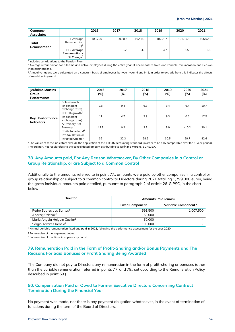| Company<br><b>Associates</b>       |                                                            | 2016    | 2017   | 2018    | 2019    | 2020    | 2021    |
|------------------------------------|------------------------------------------------------------|---------|--------|---------|---------|---------|---------|
| Total<br>Remuneration <sup>1</sup> | FTE Average<br>Remuneration<br>(€) <sup>2</sup>            | 103,726 | 99,389 | 102.140 | 102,787 | 105.857 | 106,928 |
|                                    | <b>FTE Average</b><br><b>Remuneration -</b><br>% $Change3$ |         | 8.2    | 4.8     | 4.7     | 6.5     | 5.6     |

1 Includes contributions to the Pension Plan.

<sup>2</sup> Average remuneration for full-time and active employees during the entire year. It encompasses fixed and variable remuneration and Pension Plan contributions.

<sup>3</sup> Annual variations were calculated on a constant basis of employees between year N and N-1, in order to exclude from this indicator the effects of new hires in year N.

| Jerónimo Martins<br>Group<br>Performance |                                                      | 2016<br>(%) | 2017<br>(%) | 2018<br>(%) | 2019<br>(%) | 2020<br>(%) | 2021<br>(%) |
|------------------------------------------|------------------------------------------------------|-------------|-------------|-------------|-------------|-------------|-------------|
|                                          | Sales Growth<br>(at constant<br>exchange rates)      | 9.8         | 9.4         | 6.8         | 8.4         | 6.7         | 10.7        |
| Key Performance                          | EBITDA growth $1$<br>(at constant<br>exchange rates) | 11          | 4.7         | 3.9         | 9.3         | 0.5         | 17.5        |
| <b>Indicators</b>                        | ∆ Ordinary Net<br>Earnings<br>attributable to $IM1$  | 12.8        | 0.2         | 3.2         | 8.9         | $-10.2$     | 30.1        |
|                                          | Pre-tax Return on<br>Invested Capital <sup>1</sup>   | 32          | 32.3        | 28.5        | 30.5        | 29.7        | 42.6        |

 $1$  The values of these indicators exclude the application of the IFRS16 accounting standard (in order to be fully comparable over the 5-year period). The ordinary net result refers to the consolidated amount attributable to Jerónimo Martins, SGPS, SA.

### **78. Any Amounts paid, For Any Reason Whatsoever, By Other Companies in a Control or Group Relationship, or are Subject to a Common Control**

Additionally to the amounts referred to in point 77., amounts were paid by other companies in a control or group relationship or subject to a common control to Directors during 2021 totalling 1,799,000 euros, being the gross individual amounts paid detailed, pursuant to paragraph 2 of article 26-G PSC, in the chart below:

| <b>Director</b>                           | <b>Amounts Paid (euros)</b> |                      |  |
|-------------------------------------------|-----------------------------|----------------------|--|
|                                           | <b>Fixed Component</b>      | Variable Component * |  |
| Pedro Soares dos Santos <sup>1</sup>      | 591.500                     | 1.007.500            |  |
| Andrzej Szlęzak <sup>2</sup>              | 50,000                      |                      |  |
| María Ángela Holguín Cuéllar <sup>2</sup> | 50,000                      |                      |  |
| Sérgio Tavares Rebelo <sup>2</sup>        | 100.000                     |                      |  |

\* Annual variable remuneration fixed and paid in 2021, following the performance assessment for the year 2020.

**<sup>1</sup>** For exercise of management duties.

**<sup>2</sup>** For exercise of functions in supervisory board

### **79. Remuneration Paid in the Form of Profit-Sharing and/or Bonus Payments and The Reasons For Said Bonuses or Profit Sharing Being Awarded**

The Company did not pay to Directors any remuneration in the form of profit-sharing or bonuses (other than the variable remuneration referred in points 77. and 78., set according to the Remuneration Policy described in point 69.).

### **80. Compensation Paid or Owed to Former Executive Directors Concerning Contract Termination During the Financial Year**

No payment was made, nor there is any payment obligation whatsoever, in the event of termination of functions during the term of the Board of Directors.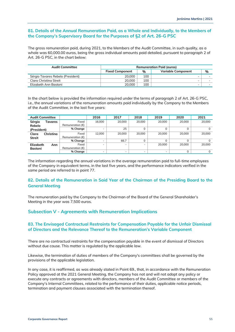### **81. Details of the Annual Remuneration Paid, as a Whole and Individually, to the Members of the Company's Supervisory Board for the Purposes of §2 of Art. 26-G PSC**

The gross remuneration paid, during 2021, to the Members of the Audit Committee, in such quality, as a whole was 60,000.00 euros, being the gross individual amounts paid detailed, pursuant to paragraph 2 of Art. 26-G PSC, in the chart below:

| <b>Audit Committee</b>            | <b>Remuneration Paid (euros)</b> |               |                           |   |  |
|-----------------------------------|----------------------------------|---------------|---------------------------|---|--|
|                                   | <b>Fixed Component</b>           | $\frac{0}{0}$ | <b>Variable Component</b> | % |  |
| Sérgio Tavares Rebelo (President) | 20,000                           | 100           |                           |   |  |
| Clara Christina Streit            | 20,000                           | 100           |                           | - |  |
| Elizabeth Ann Bastoni             | 20,000                           | 100           |                           | - |  |

In the chart below is provided the information required under the terms of paragraph 2 of Art. 26-G PSC, i.e., the annual variations of the remuneration amounts paid individually by the Company to the Members of the Audit Committee, in the last five years:

|                | <b>Audit Committee</b> |                           | 2016   | 2017   | 2018   | 2019                     | 2020   | 2021   |
|----------------|------------------------|---------------------------|--------|--------|--------|--------------------------|--------|--------|
| Sérgio         | Tavares                | Fixed                     | 16.000 | 20,000 | 20.000 | 20,000                   | 20.000 | 20,000 |
| Rebelo         |                        | Remuneration $(\epsilon)$ |        |        |        |                          |        |        |
| (President)    |                        | % Change                  |        | 25     | 0      | 0                        |        | 0      |
| Clara          | Christina              | Fixed                     | 12.000 | 20.000 | 20,000 | 20,000                   | 20.000 | 20.000 |
| <b>Streit</b>  |                        | Remuneration $(E)$        |        |        |        |                          |        |        |
|                |                        | % Change                  | $\sim$ | 66.7   | 0      | 0                        |        |        |
| Elizabeth      | Ann                    | Fixed                     |        | -      | -      | 20,000                   | 20,000 | 20,000 |
| <b>Bastoni</b> |                        | Remuneration $(\epsilon)$ |        |        |        |                          |        |        |
|                |                        | % Change                  | $\sim$ |        |        | $\overline{\phantom{a}}$ |        |        |

The information regarding the annual variations in the average remuneration paid to full-time employees of the Company in equivalent terms, in the last five years, and the performance indicators verified in the same period are referred to in point 77.

# **82. Details of the Remuneration in Said Year of the Chairman of the Presiding Board to the General Meeting**

The remuneration paid by the Company to the Chairman of the Board of the General Shareholder's Meeting in the year was 7,500 euros.

# <span id="page-54-0"></span>**Subsection V - Agreements with Remuneration Implications**

### **83. The Envisaged Contractual Restraints for Compensation Payable for the Unfair Dismissal of Directors and the Relevance Thereof to the Remuneration's Variable Component**

There are no contractual restraints for the compensation payable in the event of dismissal of Directors without due cause. This matter is regulated by the applicable law.

Likewise, the termination of duties of members of the Company's committees shall be governed by the provisions of the applicable legislation.

In any case, it is reaffirmed, as was already stated in Point 69., that, in accordance with the Remuneration Policy approved at the 2021 General Meeting, the Company has not and will not adopt any policy or execute any contracts or agreements with directors, members of the Audit Committee or members of the Company's Internal Committees, related to the performance of their duties, applicable notice periods, termination and payment clauses associated with the termination thereof.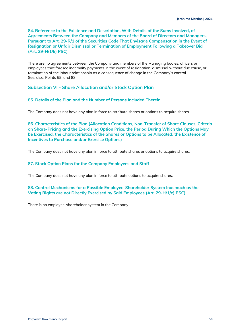**84. Reference to the Existence and Description, With Details of the Sums Involved, of Agreements Between the Company and Members of the Board of Directors and Managers, Pursuant to Art. 29-R/1 of the Securities Code That Envisage Compensation in the Event of Resignation or Unfair Dismissal or Termination of Employment Following a Takeover Bid (Art. 29-H/1/k) PSC)**

There are no agreements between the Company and members of the Managing bodies, officers or employees that foresee indemnity payments in the event of resignation, dismissal without due cause, or termination of the labour relationship as a consequence of change in the Company's control. See, also, Points 69. and 83.

<span id="page-55-0"></span>**Subsection VI - Share Allocation and/or Stock Option Plan**

**85. Details of the Plan and the Number of Persons Included Therein**

The Company does not have any plan in force to attribute shares or options to acquire shares.

**86. Characteristics of the Plan (Allocation Conditions, Non-Transfer of Share Clauses, Criteria on Share-Pricing and the Exercising Option Price, the Period During Which the Options May be Exercised, the Characteristics of the Shares or Options to be Allocated, the Existence of Incentives to Purchase and/or Exercise Options)**

The Company does not have any plan in force to attribute shares or options to acquire shares.

# **87. Stock Option Plans for the Company Employees and Staff**

The Company does not have any plan in force to attribute options to acquire shares.

**88. Control Mechanisms for a Possible Employee-Shareholder System Inasmuch as the Voting Rights are not Directly Exercised by Said Employees (Art. 29-H/1/e) PSC)**

There is no employee-shareholder system in the Company.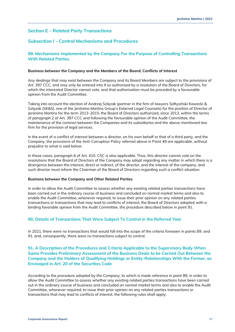# <span id="page-56-0"></span>**Section E – Related Party Transactions**

# <span id="page-56-1"></span>**Subsection I - Control Mechanisms and Procedures**

# **89. Mechanisms Implemented by the Company For the Purpose of Controlling Transactions With Related Parties**

### **Business between the Company and the Members of the Board; Conflicts of Interest**

Any dealings that may exist between the Company and its Board Members are subject to the provisions of Art. 397 CCC, and may only be entered into if so authorised by a resolution of the Board of Directors, for which the interested Director cannot vote, and that authorisation must be preceded by a favourable opinion from the Audit Committee.

Taking into account the election of Andrzej Szlęzak (partner in the firm of lawyers Sołtysiński Kawecki & Szlęzak (SK&S), one of the Jerónimo Martins Group's External Legal Counsels) for the position of Director of Jerónimo Martins for the term 2013-2015, the Board of Directors authorized, since 2013, within the terms of paragraph 2 of Art. 397 CCC and following the favourable opinion of the Audit Committee, the maintenance of the contract between the Companies and its subsidiaries and the above-mentioned law firm for the provision of legal services.

In the event of a conflict of interest between a director, on his own behalf or that of a third party, and the Company, the provisions of the Anti-Corruption Policy referred above in Point 49 are applicable, without prejudice to what is said below.

In these cases, paragraph 6 of Art. 410. CSC is also applicable. Thus, this director cannot vote on the resolutions that the Board of Directors of the Company may adopt regarding any matter in which there is a divergence between the interest, direct or indirect, of the director, and the interest of the company, and such director must inform the Chairman of the Board of Directors regarding such a conflict situation.

### **Business between the Company and Other Related Parties**

In order to allow the Audit Committee to assess whether any existing related parties transactions have been carried out in the ordinary course of business and concluded on normal market terms and also to enable the Audit Committee, whenever required, to issue their prior opinion on any related parties transactions or transactions that may lead to conflicts of interest, the Board of Directors adopted with a binding favorable opinion from the Audit Committee, the procedure described below in point 91.

### **90. Details of Transactions That Were Subject To Control in the Referred Year**

In 2021, there were no transactions that would fall into the scope of the criteria foreseen in points 89. and 91. and, consequently, there were no transactions subject to control.

# **91. A Description of the Procedures and Criteria Applicable to the Supervisory Body When Same Provides Preliminary Assessment of the Business Deals to be Carried Out Between the Company and the Holders of Qualifying Holdings or Entity-Relationships With the Former, as Envisaged in Art. 20 of the Securities Code**

According to the procedure adopted by the Company, to which is made reference in point 89, in order to allow the Audit Committee to assess whether any existing related parties transactions have been carried out in the ordinary course of business and concluded on normal market terms and also to enable the Audit Committee, whenever required, to issue their prior opinion on any related parties transactions or transactions that may lead to conflicts of interest, the following rules shall apply.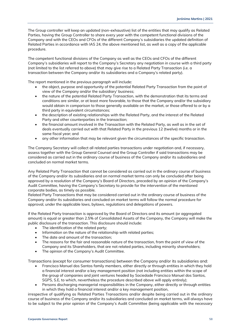The Group controller will keep an updated (non-exhaustive) list of the entities that may qualify as Related Parties, having the Group Controller to share every year with the competent functional divisions of the Company and with the CEOs and CFOs of the different Company's subsidiaries the updated definition of Related Parties in accordance with IAS 24, the above mentioned list, as well as a copy of the applicable procedure.

The competent functional divisions of the Company as well as the CEOs and CFOs of the different Company's subsidiaries will report to the Company's Secretary any negotiation in course with a third party (not limited to the list referred to above) that may give rise to a Related Party Transaction (i.e. a transaction between the Company and/or its subsidiaries and a Company's related party).

The report mentioned in the previous paragraph will include:

- the object, purpose and opportunity of the potential Related Party Transaction from the point of view of the Company and/or the subsidiary' business;
- the nature of the potential Related Party Transaction, with the demonstration that its terms and conditions are similar, or at least more favorable, to those that the Company and/or the subsidiary would obtain in comparison to those generally available on the market, or those offered to or by a third party in equivalent circumstances;
- the description of existing relationships with the Related Party, and the interest of the Related Party and other counterparties in the transaction;
- the financial amount involved in the Transaction with the Related Party, as well as in the set of deals eventually carried out with that Related Party in the previous 12 (twelve) months or in the same fiscal year; and
- any other information that may be relevant given the circumstances of the specific transaction.

The Company Secretary will collect all related parties transactions under negotiation and, if necessary, assess together with the Group General Counsel and the Group Controller if said transactions may be considered as carried out in the ordinary course of business of the Company and/or its subsidiaries and concluded on normal market terms.

Any Related Party Transaction that cannot be considered as carried out in the ordinary course of business of the Company and/or its subsidiaries and on normal market terms can only be concluded after being approved by a resolution of the Company's Board of Directors, preceded by an opinion of the Company's Audit Committee, having the Company's Secretary to provide for the intervention of the mentioned corporate bodies, as timely as possible.

Related Party Transactions that may be considered carried out in the ordinary course of business of the Company and/or its subsidiaries and concluded on market terms will follow the normal procedure for approval, under the applicable laws, bylaws, regulations and delegations of powers.

If the Related Party transaction is approved by the Board of Directors and its amount (or aggregated amount) is equal or greater than 2.5% of Consolidated Assets of the Company, the Company will make the public disclosure of the transaction. This disclosure should include:

- The identification of the related party;
- Information on the nature of the relationship with related parties;
- The date and amount of the transaction;
- The reasons for the fair and reasonable nature of the transaction, from the point of view of the Company and its Shareholders, that are not related parties, including minority shareholders;
- The opinion of the Company's Audit Committee.

Transactions (except for consumer transactions) between the Company and/or its subsidiaries and:

- Francisco Manuel dos Santos family members, either directly or through entities in which they hold a financial interest and/or a key management position (not including entities within the scope of the group of companies and joint ventures headed by Sociedade Francisco Manuel dos Santos, SGPS, S.E, to which, nevertheless the procedure described above will apply entirely);
- Persons discharging managerial responsibilities in the Company, either directly or through entities in which they hold a financial interest and/or a key management position,

irrespective of qualifying as Related Parties Transactions and/or despite being carried out in the ordinary course of business of the Company and/or its subsidiaries and concluded on market terms, will always have to be subject to the prior opinion of the Company's Audit Committee (being applicable with the necessary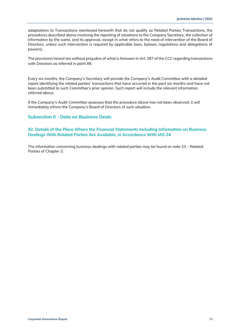adaptations to Transactions mentioned herewith that do not qualify as Related Parties Transactions, the procedures described above involving the reporting of situations to the Company Secretary, the collection of information by the same, and its approval, except in what refers to the need of intervention of the Board of Directors, unless such intervention is required by applicable laws, bylaws, regulations and delegations of powers).

The provisions hereof are without prejudice of what is foreseen in Art. 397 of the CCC regarding transactions with Directors as referred in point 89.

Every six months, the Company's Secretary will provide the Company's Audit Committee with a detailed report identifying the related parties' transactions that have occurred in the past six months and have not been submitted to such Committee's prior opinion. Such report will include the relevant information referred above.

If the Company's Audit Committee assesses that the procedure above has not been observed, it will immediately inform the Company's Board of Directors of such situation.

### <span id="page-58-0"></span>**Subsection II - Data on Business Deals**

### **92. Details of the Place Where the Financial Statements Including Information on Business Dealings With Related Parties Are Available, in Accordance With IAS 24**

The information concerning business dealings with related parties may be found on note 23 – Related Parties of Chapter 3.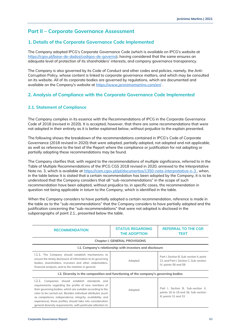# <span id="page-59-0"></span>**Part II – Corporate Governance Assessment**

# <span id="page-59-1"></span>**1. Details of the Corporate Governance Code Implemented**

The Company adopted IPCG's Corporate Governance Code (which is available on IPCG's website at [https://cgov.pt/base-de-dados/codigos-de-governo\)](https://cgov.pt/base-de-dados/codigos-de-governo), having considered that the same ensures an adequate level of protection of its shareholders' interests, and company governance transparency.

The Company is also governed by its Code of Conduct and other codes and policies, namely, the Anti-Corruption Policy, whose content is linked to corporate governance matters, and which may be consulted on its website. All of its corporate bodies are governed by regulations, which are documented and available on the Company's website at<https://www.jeronimomartins.com/en/>.

# <span id="page-59-2"></span>**2. Analysis of Compliance with the Corporate Governance Code Implemented**

# **2.1. Statement of Compliance**

The Company complies in its essence with the Recommendations of IPCG in the Corporate Governance Code of 2018 (revised in 2020). It is accepted, however, that there are some recommendations that were not adopted in their entirety as it is better explained below, without prejudice to the explain presented.

The following shows the breakdown of the recommendations contained in IPCG's Code of Corporate Governance (2018 revised in 2020) that were adopted, partially adopted, not adopted and not applicable, as well as reference to the text of the Report where the compliance or justification for not adopting or partially adopting these recommendations may be found.

The Company clarifies that, with regard to the recommendations of multiple significance, referred to in the Table of Multiple Recommendations of the IPCG CGS 2018 revised in 2020, annexed to the Interpretative Note no. 3, which is available a[t https://cam.cgov.pt/pt/documentos/1350-nota-interpretativa-n-3](https://cam.cgov.pt/pt/documentos/1350-nota-interpretativa-n-3), when, in the table below it is stated that a certain recommendation has been adopted by the Company, it is to be understood that the Company considers that all "sub-recommendations" in the scope of such recommendation have been adopted, without prejudice to, in specific cases, the recommendation in question not being applicable *in totum* to the Company, which is identified in the table.

When the Company considers to have partially adopted a certain recommendation, reference is made in the table as to the "sub-recommendations" that the Company considers to have partially adopted and the justification concerning the "sub-recommendations" that were not adopted is disclosed in the subparagraphs of point 2.1., presented below the table.

| <b>RECOMMENDATION</b>                                                                                                                                                                                                                                                                                                                                                                                                                | <b>STATUS REGARDING</b><br><b>THE ADOPTION</b>            | <b>REFERRAL TO THE CGR</b><br>TEXT                                                                         |
|--------------------------------------------------------------------------------------------------------------------------------------------------------------------------------------------------------------------------------------------------------------------------------------------------------------------------------------------------------------------------------------------------------------------------------------|-----------------------------------------------------------|------------------------------------------------------------------------------------------------------------|
|                                                                                                                                                                                                                                                                                                                                                                                                                                      | <b>Chapter I. GENERAL PROVISIONS</b>                      |                                                                                                            |
|                                                                                                                                                                                                                                                                                                                                                                                                                                      | I.1. Company's relationship with investors and disclosure |                                                                                                            |
| 1.1.1. The Company should establish mechanisms to<br>ensure the timely disclosure of information to its governing<br>bodies, shareholders, investors and other stakeholders,<br>financial analysts, and to the markets in general.                                                                                                                                                                                                   | Adopted                                                   | Part I, Section B, Sub-section II, point<br>21, and Part I, Section C, Sub-section<br>IV, points 56 and 58 |
| I.2. Diversity in the composition and functioning of the company's governing bodies                                                                                                                                                                                                                                                                                                                                                  |                                                           |                                                                                                            |
| l.2.1.<br>Companies should establish standards and<br>requirements regarding the profile of new members of<br>their governing bodies, which are suitable according to the<br>roles to be carried out. Besides individual attributes (such<br>as competence, independence, integrity, availability, and<br>experience), these profiles should take into consideration<br>aeneral diversity requirements, with particular attention to | Adopted                                                   | Part I, Section B, Sub-section II,<br>points 16 to 19 and 26, Sub-section<br>III, points 31 and 33         |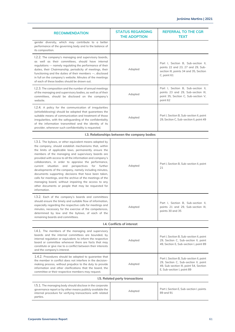| <b>RECOMMENDATION</b>                                                                                                                                                                                                                                                                                                                                                                                                                                                                                                                                                                                                                                                                                                   | <b>STATUS REGARDING</b><br><b>THE ADOPTION</b> | <b>REFERRAL TO THE CGR</b><br><b>TEXT</b>                                                                                                                |  |  |  |
|-------------------------------------------------------------------------------------------------------------------------------------------------------------------------------------------------------------------------------------------------------------------------------------------------------------------------------------------------------------------------------------------------------------------------------------------------------------------------------------------------------------------------------------------------------------------------------------------------------------------------------------------------------------------------------------------------------------------------|------------------------------------------------|----------------------------------------------------------------------------------------------------------------------------------------------------------|--|--|--|
| gender diversity, which may contribute to a better<br>performance of the governing body and to the balance of<br>its composition.                                                                                                                                                                                                                                                                                                                                                                                                                                                                                                                                                                                       |                                                |                                                                                                                                                          |  |  |  |
| 1.2.2. The company's managing and supervisory boards,<br>as well as their committees, should have internal<br>regulations — namely regulating the performance of their<br>duties, their Chairmanship, periodicity of meetings, their<br>functioning and the duties of their members -, disclosed<br>in full on the company's website. Minutes of the meetings<br>of each of these bodies should be drawn out.                                                                                                                                                                                                                                                                                                           | Adopted                                        | Part I, Section B, Sub-section II,<br>points 22 and 23, 27 and 29, Sub-<br>section III, points 34 and 35, Section<br>C, point 61                         |  |  |  |
| I.2.3. The composition and the number of annual meetings<br>of the managing and supervisory bodies, as well as of their<br>committees, should be disclosed on the company's<br>website.                                                                                                                                                                                                                                                                                                                                                                                                                                                                                                                                 | Adopted                                        | Part I, Section B, Sub-section II,<br>points 23 and 29, Sub-section III,<br>point 35, Section C, Sub-section V,<br>point 62                              |  |  |  |
| I.2.4. A policy for the communication of irregularities<br>(whistleblowing) should be adopted that quarantees the<br>suitable means of communication and treatment of those<br>irregularities, with the safeguarding of the confidentiality<br>of the information transmitted and the identity of its<br>provider, whenever such confidentiality is requested.                                                                                                                                                                                                                                                                                                                                                          | Adopted                                        | Part I, Section B, Sub-section II, point<br>29, Section C, Sub-section II, point 49                                                                      |  |  |  |
| I.3. Relationships between the company bodies                                                                                                                                                                                                                                                                                                                                                                                                                                                                                                                                                                                                                                                                           |                                                |                                                                                                                                                          |  |  |  |
| I.3.1. The bylaws, or other equivalent means adopted by<br>the company, should establish mechanisms that, within<br>the limits of applicable laws, permanently ensure the<br>members of the managing and supervisory boards are<br>provided with access to all the information and company's<br>collaborators, in order to appraise the performance,<br>current situation and<br>perspectives for further<br>developments of the company, namely including minutes,<br>documents supporting decisions that have been taken,<br>calls for meetings, and the archive of the meetings of the<br>managing board, without impairing the access to any<br>other documents or people that may be requested for<br>information. | Adopted                                        | Part I, Section B, Sub-section II, point<br>21                                                                                                           |  |  |  |
| I.3.2. Each of the company's boards and committees<br>should ensure the timely and suitable flow of information,<br>especially regarding the respective calls for meetings and<br>minutes, necessary for the exercise of the competences,<br>determined by law and the bylaws, of each of the<br>remaining boards and committees.                                                                                                                                                                                                                                                                                                                                                                                       | Adopted                                        | Part I, Section B, Sub-section II,<br>points 21 and 29, Sub-section III,<br>points 30 and 35                                                             |  |  |  |
|                                                                                                                                                                                                                                                                                                                                                                                                                                                                                                                                                                                                                                                                                                                         | I.4. Conflicts of interest                     |                                                                                                                                                          |  |  |  |
| I.4.1. The members of the managing and supervisory<br>boards and the internal committees are bounded, by<br>internal regulation or equivalent, to inform the respective<br>board or committee whenever there are facts that may<br>constitute or give rise to a conflict between their interests<br>and the company's interest.                                                                                                                                                                                                                                                                                                                                                                                         | Adopted                                        | Part I, Section B, Sub-section II, point<br>29, Section C, Sub-section II, point<br>49, Section E, Sub-section I, point 89                               |  |  |  |
| 1.4.2. Procedures should be adopted to guarantee that<br>the member in conflict does not interfere in the decision-<br>making process, without prejudice to the duty to provide<br>information and other clarifications that the board, the<br>committee or their respective members may request.                                                                                                                                                                                                                                                                                                                                                                                                                       | Adopted                                        | Part I, Section B, Sub-section II, point<br>29, Section C, Sub-section II, point<br>49, Sub-section III, point 54, Section<br>E, Sub-section I, point 89 |  |  |  |
|                                                                                                                                                                                                                                                                                                                                                                                                                                                                                                                                                                                                                                                                                                                         | I.5. Related party transactions                |                                                                                                                                                          |  |  |  |
| I.5.1. The managing body should disclose in the corporate<br>governance report or by other means publicly available the<br>internal procedure for verifying transactions with related<br>parties.                                                                                                                                                                                                                                                                                                                                                                                                                                                                                                                       | Adopted                                        | Part I, Section E, Sub-section I, points<br>89 and 91                                                                                                    |  |  |  |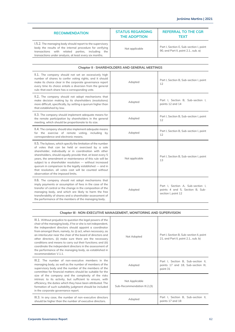| <b>RECOMMENDATION</b>                                                                                                                                                                                                                   | <b>STATUS REGARDING</b><br><b>THE ADOPTION</b> | <b>REFERRAL TO THE CGR</b><br>TEXT                                              |
|-----------------------------------------------------------------------------------------------------------------------------------------------------------------------------------------------------------------------------------------|------------------------------------------------|---------------------------------------------------------------------------------|
| 1.5.2. The managing body should report to the supervisory<br>body the results of the internal procedure for verifying<br>transactions with related parties,<br>including the<br>transactions under analysis, at least every six months. | Not applicable                                 | Part I, Section E, Sub-section I, point<br>90, and Part II, point 2.1., sub. a) |

| Chapter II · SHAREHOLDERS AND GENERAL MEETINGS                                                                                                                                                                                                                                                                                                                                                                                                                                                                                 |                |                                                                                             |  |  |
|--------------------------------------------------------------------------------------------------------------------------------------------------------------------------------------------------------------------------------------------------------------------------------------------------------------------------------------------------------------------------------------------------------------------------------------------------------------------------------------------------------------------------------|----------------|---------------------------------------------------------------------------------------------|--|--|
| II.1. The company should not set an excessively high<br>number of shares to confer voting rights, and it should<br>make its choice clear in the corporate governance report<br>every time its choice entails a diversion from the general<br>rule: that each share has a corresponding vote.                                                                                                                                                                                                                                   | Adopted        | Part I, Section B, Sub-section I, point<br>12                                               |  |  |
| II.2. The company should not adopt mechanisms that<br>make decision making by its shareholders (resolutions)<br>more difficult, specifically, by setting a quorum higher than<br>that established by law.                                                                                                                                                                                                                                                                                                                      | Adopted        | Part I, Section B, Sub-section I,<br>points 12 and 14                                       |  |  |
| II.3. The company should implement adequate means for<br>the remote participation by shareholders in the general<br>meeting, which should be proportionate to its size.                                                                                                                                                                                                                                                                                                                                                        | Adopted        | Part I, Section B, Sub-section I, point<br>12                                               |  |  |
| II.4. The company should also implement adequate means<br>for the exercise of remote voting, including by<br>correspondence and electronic means.                                                                                                                                                                                                                                                                                                                                                                              | Adopted        | Part I, Section B, Sub-section I, point<br>12                                               |  |  |
| II.5. The bylaws, which specify the limitation of the number<br>of votes that can be held or exercised by a sole<br>shareholder, individually or in coordination with other<br>shareholders, should equally provide that, at least every 5<br>years, the amendment or maintenance of this rule will be<br>subject to a shareholder resolution - without increased<br>quorum in comparison to the legally established – and in<br>that resolution, all votes cast will be counted without<br>observation of the imposed limits. | Not applicable | Part I, Section B, Sub-section I, point<br>13                                               |  |  |
| II.6. The company should not adopt mechanisms that<br>imply payments or assumption of fees in the case of the<br>transfer of control or the change in the composition of the<br>managing body, and which are likely to harm the free<br>transferability of shares and a shareholder assessment of<br>the performance of the members of the managing body.                                                                                                                                                                      | Adopted        | Part I, Section A, Sub-section I,<br>points 4 and 5, Section B, Sub-<br>section I, point 12 |  |  |

| Chapter III · NON-EXECUTIVE MANAGEMENT, MONITORING AND SUPERVISION                                                                                                                                                                                                                                                                                                                                                                                                                                                                                                                               |                                                |                                                                                      |  |  |  |
|--------------------------------------------------------------------------------------------------------------------------------------------------------------------------------------------------------------------------------------------------------------------------------------------------------------------------------------------------------------------------------------------------------------------------------------------------------------------------------------------------------------------------------------------------------------------------------------------------|------------------------------------------------|--------------------------------------------------------------------------------------|--|--|--|
| III.1. Without prejudice to question the legal powers of the<br>chair of the managing body, if he or she is not independent,<br>the independent directors should appoint a coordinator<br>from amongst them, namely, to: (i) act, when necessary, as<br>an interlocutor near the chair of the board of directors and<br>other directors, (ii) make sure there are the necessary<br>conditions and means to carry out their functions; and (iii)<br>coordinate the independent directors in the assessment of<br>the performance of the managing body, as established in<br>recommendation V.1.1. | Not Adopted                                    | Part I, Section B, Sub-section II, point<br>21, and Part II, point 2.1., sub. b)     |  |  |  |
| III.2. The number of non-executive members in the<br>managing body, as well as the number of members of the<br>supervisory body and the number of the members of the<br>committee for financial matters should be suitable for the                                                                                                                                                                                                                                                                                                                                                               | Adopted                                        | Part I, Section B, Sub-section II,<br>points 17 and 18, Sub-section III,<br>point 31 |  |  |  |
| size of the company and the complexity of the risks<br>intrinsic to its activity, but sufficient to ensure, with<br>efficiency, the duties which they have been attributed. The<br>formation of such suitability judgment should be included<br>in the corporate governance report.                                                                                                                                                                                                                                                                                                              | Not Applicable<br>Sub-Recommendation III.2.(3) |                                                                                      |  |  |  |
| III.3. In any case, the number of non-executive directors<br>should be higher than the number of executive directors.                                                                                                                                                                                                                                                                                                                                                                                                                                                                            | Adopted                                        | Part I, Section B, Sub-section II,<br>points 17 and 18                               |  |  |  |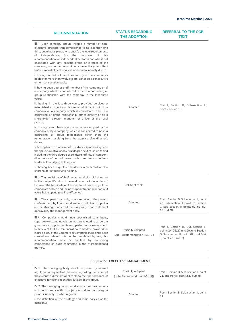| <b>RECOMMENDATION</b>                                                                                                                                                                                                                                                                                                                                                                                                                                                                                                                                                                                                                                                                                                                                                                                                                                                                                                                                                                                                                                                                                                                                                                                                                                                                                                                                                                                                                                                                                                                                                                                                                                                                                                                                                                                                  | <b>STATUS REGARDING</b><br><b>THE ADOPTION</b>              | <b>REFERRAL TO THE CGR</b><br><b>TEXT</b>                                                                                                        |
|------------------------------------------------------------------------------------------------------------------------------------------------------------------------------------------------------------------------------------------------------------------------------------------------------------------------------------------------------------------------------------------------------------------------------------------------------------------------------------------------------------------------------------------------------------------------------------------------------------------------------------------------------------------------------------------------------------------------------------------------------------------------------------------------------------------------------------------------------------------------------------------------------------------------------------------------------------------------------------------------------------------------------------------------------------------------------------------------------------------------------------------------------------------------------------------------------------------------------------------------------------------------------------------------------------------------------------------------------------------------------------------------------------------------------------------------------------------------------------------------------------------------------------------------------------------------------------------------------------------------------------------------------------------------------------------------------------------------------------------------------------------------------------------------------------------------|-------------------------------------------------------------|--------------------------------------------------------------------------------------------------------------------------------------------------|
| III.4. Each company should include a number of non-<br>executive directors that corresponds to no less than one<br>third, but always plural, who satisfy the legal requirements<br>independence.<br>For the<br>purposes<br>of<br>of<br>this<br>recommendation, an independent person is one who is not<br>associated with any specific group of interest of the<br>company, nor under any circumstance likely to affect<br>his/her impartiality of analysis or decision, namely due to:<br>i. having carried out functions in any of the company's<br>bodies for more than twelve years, either on a consecutive<br>or non-consecutive basis;<br>ii. having been a prior staff member of the company or of<br>a company which is considered to be in a controlling or<br>group relationship with the company in the last three<br>years;<br>iii. having, in the last three years, provided services or<br>established a significant business relationship with the<br>company or a company which is considered to be in a<br>controlling or group relationship, either directly or as a<br>shareholder, director, manager or officer of the legal<br>person:<br>iv. having been a beneficiary of remuneration paid by the<br>company or by a company which is considered to be in a<br>controlling or group relationship other than the<br>remuneration resulting from the exercise of a director's<br>duties;<br>v. having lived in a non-marital partnership or having been<br>the spouse, relative or any first degree next of kin up to and<br>including the third degree of collateral affinity of company<br>directors or of natural persons who are direct or indirect<br>holders of qualifying holdings, or<br>vi. having been a qualified holder or representative of a<br>shareholder of qualifying holding. | Adopted                                                     | Part I, Section B, Sub-section II,<br>points 17 and 18                                                                                           |
| III.5. The provisions of (i) of recommendation III.4 does not<br>inhibit the qualification of a new director as independent if,<br>between the termination of his/her functions in any of the<br>company's bodies and the new appointment, a period of 3<br>years has elapsed (cooling-off period).                                                                                                                                                                                                                                                                                                                                                                                                                                                                                                                                                                                                                                                                                                                                                                                                                                                                                                                                                                                                                                                                                                                                                                                                                                                                                                                                                                                                                                                                                                                    | Not Applicable                                              |                                                                                                                                                  |
| III.6. The supervisory body, in observance of the powers<br>conferred to it by law, should, assess and give its opinion<br>on the strategic lines and the risk policy prior to its final<br>approval by the management body.                                                                                                                                                                                                                                                                                                                                                                                                                                                                                                                                                                                                                                                                                                                                                                                                                                                                                                                                                                                                                                                                                                                                                                                                                                                                                                                                                                                                                                                                                                                                                                                           | Adopted                                                     | Part I, Section B, Sub-section II, point<br>29, Sub-section III, point 30, Section<br>C, Sub-section III, points 50, 51, 52,<br>54 and 55        |
| III.7. Companies should have specialised committees,<br>separately or cumulatively, on matters related to corporate<br>governance, appointments and performance assessment.<br>In the event that the remuneration committee provided for<br>in article 399 of the Commercial Companies Code has been<br>created and should this not be prohibited by law, this<br>recommendation may be fulfilled by conferring<br>competence on such committee in the aforementioned<br>matters.                                                                                                                                                                                                                                                                                                                                                                                                                                                                                                                                                                                                                                                                                                                                                                                                                                                                                                                                                                                                                                                                                                                                                                                                                                                                                                                                      | <b>Partially Adopted</b><br>(Sub-Recommendation III.7. (2)) | Part I, Section B, Sub-section II,<br>points 24, 25, 27 and 29, and Section<br>D, Sub-section III, point 69, and Part<br>II, point 2.1., sub. c) |

# **Chapter IV . EXECUTIVE MANAGEMENT**

| IV.1. The managing body should approve, by internal<br>regulation or equivalent, the rules regarding the action of<br>the executive directors applicable to their performance of<br>executive functions in entities outside of the group. | <b>Partially Adopted</b><br>(Sub-Recommendation IV.1.(1)) | Part I, Section B, Sub-section II, point<br>21, and Part II, point 2.1., sub. d) |
|-------------------------------------------------------------------------------------------------------------------------------------------------------------------------------------------------------------------------------------------|-----------------------------------------------------------|----------------------------------------------------------------------------------|
| IV.2. The managing body should ensure that the company<br>acts consistently with its objects and does not delegate<br>powers, namely, in what regards:<br>i. the definition of the strategy and main policies of the<br>company;          | Adopted                                                   | Part I, Section B, Sub-section II, point<br>21                                   |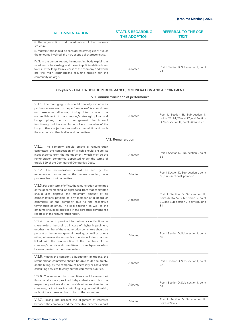| <b>RECOMMENDATION</b>                                                                                                                                                                                                                                              | <b>STATUS REGARDING</b><br><b>THE ADOPTION</b> | <b>REFERRAL TO THE CGR</b><br>TEXT             |
|--------------------------------------------------------------------------------------------------------------------------------------------------------------------------------------------------------------------------------------------------------------------|------------------------------------------------|------------------------------------------------|
| ii. the organisation and coordination of the business<br>structure:                                                                                                                                                                                                |                                                |                                                |
| iii. matters that should be considered strategic in virtue of<br>the amounts involved, the risk, or special characteristics.                                                                                                                                       |                                                |                                                |
| IV.3. In the annual report, the managing body explains in<br>what terms the strategy and the main policies defined seek<br>to ensure the long-term success of the company and which<br>are the main contributions resulting therein for the<br>community at large. | Adopted                                        | Part I, Section B, Sub-section II, point<br>21 |

**Chapter V · EVALUATION OF PERFORMANCE, REMUNERATION AND APPOINTMENT**

| V.1. Annual evaluation of performance                                                                                                                                                                                                                                                                                                                                                                                                                               |                   |                                                                                                                             |
|---------------------------------------------------------------------------------------------------------------------------------------------------------------------------------------------------------------------------------------------------------------------------------------------------------------------------------------------------------------------------------------------------------------------------------------------------------------------|-------------------|-----------------------------------------------------------------------------------------------------------------------------|
| V.1.1. The managing body should annually evaluate its<br>performance as well as the performance of its committees<br>and executive directors, taking into account the<br>accomplishment of the company's strategic plans and<br>budget plans, the risk management, the internal<br>functioning and the contribution of each member of the<br>body to these objectives, as well as the relationship with<br>the company's other bodies and committees.               | Adopted           | Part I, Section B, Sub-section II,<br>points 21, 24, 25 and 27, and Section<br>D, Sub-section III, points 69 and 70         |
|                                                                                                                                                                                                                                                                                                                                                                                                                                                                     | V.2. Remuneration |                                                                                                                             |
| V.2.1. The company should create a remuneration<br>committee, the composition of which should ensure its<br>independence from the management, which may be the<br>remuneration committee appointed under the terms of<br>article 399 of the Commercial Companies Code.                                                                                                                                                                                              | Adopted           | Part I, Section D, Sub-section I, point<br>66                                                                               |
| V.2.2. The remuneration should be set by the<br>remuneration committee or the general meeting, on a<br>proposal from that committee.                                                                                                                                                                                                                                                                                                                                | Adopted           | Part I, Section D, Sub-section I, point<br>66, Sub-section II, point 67                                                     |
| V.2.3. For each term of office, the remuneration committee<br>or the general meeting, on a proposal from that committee<br>should also approve the maximum amount of all<br>compensations payable to any member of a board or<br>committee of the company due to the respective<br>termination of office. The said situation as well as the<br>amounts should be disclosed in the corporate governance<br>report or in the remuneration report.                     | Adopted           | Part I, Section D, Sub-section III,<br>points 69 to 74, Sub-section IV, point<br>80, and Sub-section V, points 83 and<br>84 |
| V.2.4. In order to provide information or clarifications to<br>shareholders, the chair or, in case of his/her impediment,<br>another member of the remuneration committee should be<br>present at the annual general meeting, as well as at any<br>other, whenever the respective agenda includes a matter<br>linked with the remuneration of the members of the<br>company's boards and committees or, if such presence has<br>been requested by the shareholders. | Adopted           | Part I, Section D, Sub-section II, point<br>67                                                                              |
| V.2.5. Within the company's budgetary limitations, the<br>remuneration committee should be able to decide, freely,<br>on the hiring, by the company, of necessary or convenient<br>consulting services to carry out the committee's duties.                                                                                                                                                                                                                         | Adopted           | Part I, Section D, Sub-section II, point<br>67                                                                              |
| V.2.6. The remuneration committee should ensure that<br>those services are provided independently and that the<br>respective providers do not provide other services to the<br>company, or to others in controlling or group relationship,<br>without the express authorization of the committee.                                                                                                                                                                   | Adopted           | Part I, Section D, Sub-section II, point<br>67                                                                              |
| V.2.7. Taking into account the alignment of interests<br>between the company and the executive directors, a part                                                                                                                                                                                                                                                                                                                                                    | Adopted           | Part I, Section D, Sub-section III,<br>points 69 to 71                                                                      |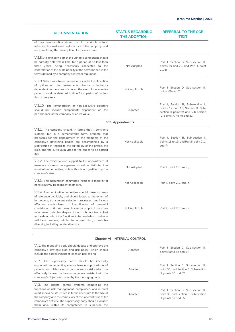| <b>RECOMMENDATION</b>                                                                                                                                                                                                                                                                                                                                                                                                                                                                                                              | <b>STATUS REGARDING</b><br><b>THE ADOPTION</b> | <b>REFERRAL TO THE CGR</b><br><b>TEXT</b>                                                                                                       |
|------------------------------------------------------------------------------------------------------------------------------------------------------------------------------------------------------------------------------------------------------------------------------------------------------------------------------------------------------------------------------------------------------------------------------------------------------------------------------------------------------------------------------------|------------------------------------------------|-------------------------------------------------------------------------------------------------------------------------------------------------|
| of their remuneration should be of a variable nature,<br>reflecting the sustained performance of the company, and<br>not stimulating the assumption of excessive risks.                                                                                                                                                                                                                                                                                                                                                            |                                                |                                                                                                                                                 |
| V.2.8. A significant part of the variable component should<br>be partially deferred in time, for a period of no less than<br>three years, being necessarily connected to the<br>confirmation of the sustainability of the performance, in the<br>terms defined by a company's internal regulation.                                                                                                                                                                                                                                 | Not Adopted                                    | Part I, Section D, Sub-section III,<br>points 69 and 72, and Part II, point<br>2.1.e                                                            |
| V.2.9. When variable remuneration includes the allocation<br>of options or other instruments directly or indirectly<br>dependent on the value of shares, the start of the exercise<br>period should be deferred in time for a period of no less<br>than three years.                                                                                                                                                                                                                                                               | Not Applicable                                 | Part I, Section D, Sub-section III,<br>points 69 and 74                                                                                         |
| V.2.10. The remuneration of non-executive directors<br>should not include components dependent on the<br>performance of the company or on its value.                                                                                                                                                                                                                                                                                                                                                                               | Adopted                                        | Part I, Section B, Sub-section II,<br>points 17 and 18, Section D, Sub-<br>section III, point 69, and Sub-section<br>IV, points 77 to 79 and 81 |
|                                                                                                                                                                                                                                                                                                                                                                                                                                                                                                                                    | V.3. Appointments                              |                                                                                                                                                 |
| V.3.1. The company should, in terms that it considers<br>suitable, but in a demonstrable form, promote that<br>proposals for the appointment of the members of the<br>company's governing bodies are accompanied by a<br>justification in regard to the suitability of the profile, the<br>skills and the curriculum vitae to the duties to be carried<br>out.                                                                                                                                                                     | Not Applicable                                 | Part I, Section B, Sub-section II,<br>points 16 to 19, and Part II, point 2.1.,<br>sub. f)                                                      |
| V.3.2. The overview and support to the appointment of<br>members of senior management should be attributed to a<br>nomination committee, unless this is not justified by the<br>company's size.                                                                                                                                                                                                                                                                                                                                    | Not Adopted                                    | Part II, point 2.1., sub. g)                                                                                                                    |
| V.3.3. This nomination committee includes a majority of<br>nonexecutive, independent members.                                                                                                                                                                                                                                                                                                                                                                                                                                      | Not Applicable                                 | Part II, point 2.1., sub. h)                                                                                                                    |
| V.3.4. The nomination committee should make its terms<br>of reference available, and should foster, to the extent of<br>its powers, transparent selection processes that include<br>effective mechanisms of identification of potential<br>candidates, and that those chosen for proposal are those<br>who present a higher degree of merit, who are best suited<br>to the demands of the functions to be carried out, and who<br>will best promote, within the organisation, a suitable<br>diversity, including gender diversity. | Not Applicable                                 | Part II, point 2.1., sub. i)                                                                                                                    |

| Chapter VI · INTERNAL CONTROL                                                                                                                                                                                                                                                                                                                              |         |                                                                                                      |  |
|------------------------------------------------------------------------------------------------------------------------------------------------------------------------------------------------------------------------------------------------------------------------------------------------------------------------------------------------------------|---------|------------------------------------------------------------------------------------------------------|--|
| VI.1. The managing body should debate and approve the<br>company's strategic plan and risk policy, which should<br>include the establishment of limits on risk-taking.                                                                                                                                                                                     | Adopted | Part I. Section C. Sub-section III.<br>points 50 to 52 and 54                                        |  |
| VI.2. The supervisory board should be internally<br>organised, implementing mechanisms and procedures of<br>periodic control that seek to quarantee that risks which are<br>effectively incurred by the company are consistent with the<br>company's objectives, as set by the managing body.                                                              | Adopted | Part I. Section B. Sub-section III.<br>point 30, and Section C, Sub-section<br>III, points 50 and 52 |  |
| VI.3. The internal control systems, comprising the<br>functions of risk management, compliance, and internal<br>audit should be structured in terms adequate to the size of<br>the company and the complexity of the inherent risks of the<br>company's activity. The supervisory body should evaluate<br>them and, within its competence to supervise the | Adopted | Part I. Section B. Sub-section III.<br>point 30, and Section C, Sub-section<br>III, points 52 and 55 |  |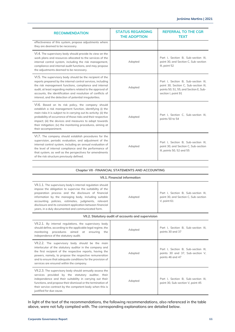| <b>RECOMMENDATION</b>                                                                                                                                                                                                                                                                                                                                                                                    | <b>STATUS REGARDING</b><br><b>THE ADOPTION</b> | <b>REFERRAL TO THE CGR</b><br><b>TEXT</b>                                                                                                     |
|----------------------------------------------------------------------------------------------------------------------------------------------------------------------------------------------------------------------------------------------------------------------------------------------------------------------------------------------------------------------------------------------------------|------------------------------------------------|-----------------------------------------------------------------------------------------------------------------------------------------------|
| effectiveness of this system, propose adjustments where<br>they are deemed to be necessary.                                                                                                                                                                                                                                                                                                              |                                                |                                                                                                                                               |
| VI.4. The supervisory body should provide its view on the<br>work plans and resources allocated to the services of the<br>internal control system, including the risk management,<br>compliance and internal audit functions, and may propose<br>the adjustments deemed to be necessary.                                                                                                                 | Adopted                                        | Part I, Section B, Sub-section III,<br>point 30, and Section C, Sub-section<br>III, point 52                                                  |
| VI.5. The supervisory body should be the recipient of the<br>reports prepared by the internal control services, including<br>the risk management functions, compliance and internal<br>audit, at least regarding matters related to the approval of<br>accounts, the identification and resolution of conflicts of<br>interest, and the detection of potential irregularities.                           | Adopted                                        | Part I, Section B, Sub-section III,<br>point 30, Section C, Sub-section III,<br>points 50, 51, 55, and Section E, Sub-<br>section I, point 91 |
| VI.6. Based on its risk policy, the company should<br>establish a risk management function, identifying (i) the<br>main risks it is subject to in carrying out its activity; (ii) the<br>probability of occurrence of those risks and their respective<br>impact; (iii) the devices and measures to adopt towards<br>their mitigation; (iv) the monitoring procedures, aiming at<br>their accompaniment. | Adopted                                        | Part I, Section C, Sub-section III,<br>points 50 to 54                                                                                        |
| VI.7. The company should establish procedures for the<br>supervision, periodic evaluation, and adjustment of the<br>internal control system, including an annual evaluation of<br>the level of internal compliance and the performance of<br>that system, as well as the perspectives for amendments<br>of the risk structure previously defined.                                                        | Adopted                                        | Part I. Section B. Sub-section III.<br>point 30, and Section C, Sub-section<br>III, points 50, 52 and 55                                      |

|  |  | Chapter VII · FINANCIAL STATEMENTS AND ACCOUNTING |  |
|--|--|---------------------------------------------------|--|
|--|--|---------------------------------------------------|--|

### **VII.1. Financial information**

| VII.1.1. The supervisory body's internal regulation should<br>impose the obligation to supervise the suitability of the<br>preparation process and the disclosure of financial<br>information by the managing body, including suitable<br>accounting policies, estimates, judgments, relevant<br>disclosure and its consistent application between financial<br>years, in a duly documented and communicated form. | Adopted | Part I, Section B, Sub-section III,<br>point 30, and Section C, Sub-section<br>V, point 61  |  |
|--------------------------------------------------------------------------------------------------------------------------------------------------------------------------------------------------------------------------------------------------------------------------------------------------------------------------------------------------------------------------------------------------------------------|---------|---------------------------------------------------------------------------------------------|--|
| VII.2. Statutory audit of accounts and supervision                                                                                                                                                                                                                                                                                                                                                                 |         |                                                                                             |  |
| VII.2.1. By internal regulations, the supervisory body<br>should define, according to the applicable legal regime, the<br>monitoring procedures aimed at ensuring the<br>independence of the statutory audit;                                                                                                                                                                                                      | Adopted | Part I. Section B. Sub-section III.<br>points 30 and 37                                     |  |
| VII.2.2. The supervisory body should be the main<br>interlocutor of the statutory auditor in the company and<br>the first recipient of the respective reports, having the<br>powers, namely, to propose the respective remuneration<br>and to ensure that adequate conditions for the provision of<br>services are ensured within the company.                                                                     | Adopted | Part I. Section B. Sub-section III.<br>points 30 and 37, Sub-section V,<br>points 46 and 47 |  |
| VII.2.3. The supervisory body should annually assess the<br>services provided by the statutory auditor, their<br>independence and their suitability in carrying out their<br>functions, and propose their dismissal or the termination of<br>their service contract by the competent body when this is<br>justified for due cause.                                                                                 | Adopted | Part I, Section B, Sub-section III,<br>point 30, Sub-section V, point 45                    |  |

In light of the text of the recommendations, the following recommendations, also referenced in the table above, were not fully complied with. The corresponding explanations are detailed below.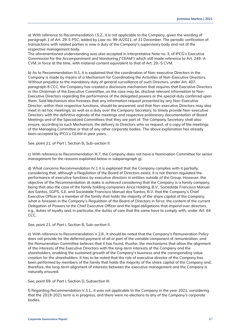a) With reference to Recommendation I.5.2., it is not applicable to the Company, given the wording of paragraph 1 of Art. 29-S PSC, added by Law no. 99-A/2021, of 31 December. The periodic verification of transactions with related parties is now a duty of the Company's supervisory body and not of the respective management body.

The aforementioned understanding was also accepted in Interpretative Note no. 3, of IPCG's Executive Commission for the Accompaniment and Monitoring ("CEAM") which still made reference to Art. 249.-A CVM, in force at the time, with material content equivalent to that of Art. 29.-S CVM.

b) As to Recommendation III.1, it is explained that the coordination of Non-executive Directors in the Company is made by means of a Mechanism for Coordinating the Activities of Non-Executive Directors. Without prejudice to the mandatory duty of general surveillance of such Directors, under Art. 407, paragraph 8 CCC, the Company has created a disclosure mechanism that requires that Executive Directors or the Chairman of the Executive Committee, as the case may be, disclose relevant information to Non-Executive Directors regarding the performance of the delegated powers or the special duty conferred upon them. Said Mechanism also foresees that any information request presented by any Non-Executive Director, within their respective functions, should be answered, and that Non-executive Directors may also meet in ad hoc meetings, as well as a duty over the Company Secretary, to timely provide Non-executive Directors with the definitive agenda of the meetings and respective preliminary documentation of Board Meetings and of the Specialized Committees that they are part of. The Company Secretary shall also ensure, according to such Mechanism, the delivery to Directors who so request, of a copy of the meetings of the Managing Committee or that of any other corporate bodies. The above explanation has already been accepted by IPCG's CEAM in past years.

See, point 21. of Part I, Section B, Sub-section II.

c) With reference to Recommendation III.7, the Company does not have a Nomination Committee for senior management for the reasons explained below in subparagraph g).

d) What concerns Recommendation IV.1 it is explained that the Company complies with it partially, considering that, although a Regulation of the Board of Directors exists, it is not therein regulated the performance of executive functions by executive directors in entities outside of the Group. However, the objective of the Recommendation at stake is achieved considering that the Company is a family company, being that also the case of the family holding companies Arica Holding, B.V., Sociedade Francisco Manuel dos Santos, SGPS, S.E. and Sociedade Francisco Manuel dos Santos, B.V. that the Company's Chief Executive Officer is a member of the family that holds the majority of the share capital of the Company, what is foreseen in the Company's Regulation of the Board of Directors in force, the content of the current Delegation of Powers to the Chief Executive Officer and the legal obligations that impend over directors, e.g., duties of loyalty and, in particular, the duties of care that the same have to comply with, under Art. 64 CCC.

See, point 21. of Part I, Section B, Sub-section II.

e) With reference to Recommendation V.2.8., it should be noted that the Company's Remuneration Policy does not provide for the deferred payment of all or part of the variable component of remuneration, and the Remuneration Committee believes that it has found, thusfar, the mechanisms that allow the alignment of the interests of the Executive Directors with the long-term interests of the Company and the shareholders, enabling the sustained growth of the Company's business and the corresponding value creation for the shareholders. It has to be noted that the role of executive director of the Company has been performed by members of the family that holds the majority of the share capital of the Company and, therefore, the long-term alignment of interests between the executive management and the Company is naturally ensured.

See, point 69. of Part I, Section D, Subsection III.

f) Regarding Recommendation V.3.1., it was not applicable to the Company in the year 2021, considering that the 2019-2021 term is in progress, and there were no elections to any of the Company's corporate bodies.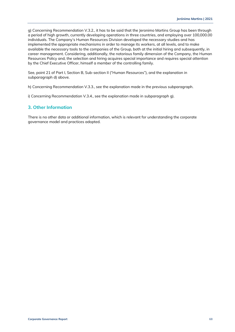g) Concerning Recommendation V.3.2., it has to be said that the Jeronimo Martins Group has been through a period of high growth, currently developing operations in three countries, and employing over 100,000.00 individuals. The Company's Human Resources Division developed the necessary studies and has implemented the appropriate mechanisms in order to manage its workers, at all levels, and to make available the necessary tools to the companies of the Group, both at the initial hiring and subsequently, in career management. Considering, additionally, the notorious family dimension of the Company, the Human Resources Policy and, the selection and hiring acquires special importance and requires special attention by the Chief Executive Officer, himself a member of the controlling family.

See, point 21 of Part I, Section B, Sub-section II ("Human Resources"), and the explanation in subparagraph d) above.

h) Concerning Recommendation V.3.3., see the explanation made in the previous subparagraph.

i) Concerning Recommendation V.3.4., see the explanation made in subparagraph g).

# <span id="page-67-0"></span>**3. Other Information**

There is no other data or additional information, which is relevant for understanding the corporate governance model and practices adopted.